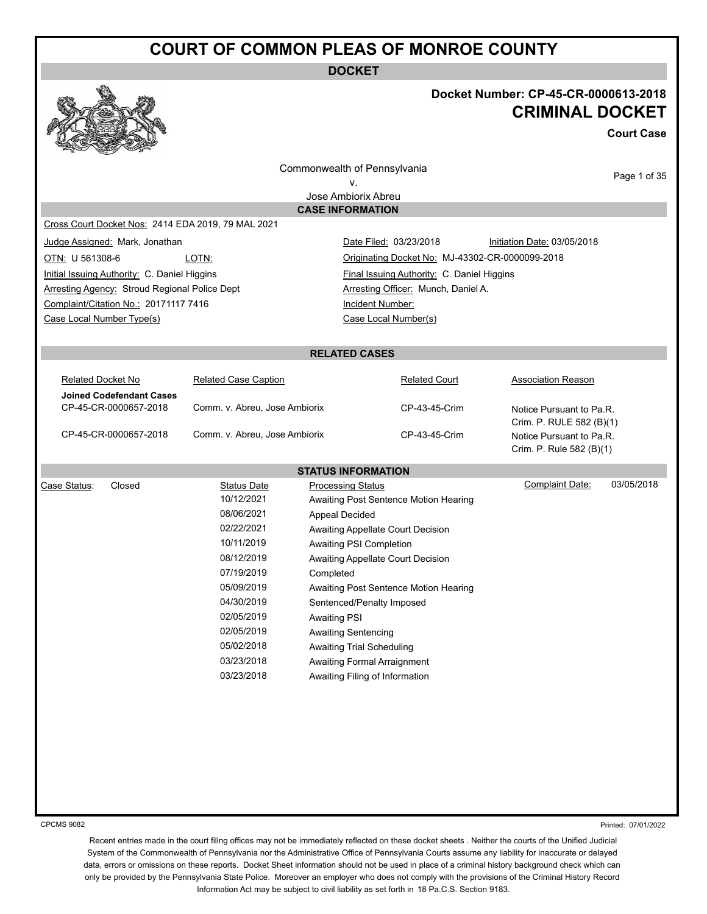**DOCKET**



## **Docket Number: CP-45-CR-0000613-2018 CRIMINAL DOCKET**

**Court Case**

Commonwealth of Pennsylvania

Page 1 of 35

v.

Jose Ambiorix Abreu **CASE INFORMATION**

Cross Court Docket Nos: 2414 EDA 2019, 79 MAL 2021

Initial Issuing Authority: C. Daniel Higgins Final Issuing Authority: C. Daniel Higgins Arresting Agency: Stroud Regional Police Dept **Arresting Officer: Munch, Daniel A.** Complaint/Citation No.: 20171117 7416 Incident Number: Case Local Number Type(s) Case Local Number(s)

Judge Assigned: Mark, Jonathan Nation Date Filed: 03/23/2018 Initiation Date: 03/05/2018 OTN: U 561308-6 LOTN: LOTN: Criginating Docket No: MJ-43302-CR-0000099-2018

#### **RELATED CASES**

| Related Docket No               | <b>Related Case Caption</b>   | <b>Related Court</b> | Association Reason       |
|---------------------------------|-------------------------------|----------------------|--------------------------|
| <b>Joined Codefendant Cases</b> |                               |                      |                          |
| CP-45-CR-0000657-2018           | Comm. v. Abreu, Jose Ambiorix | CP-43-45-Crim        | Notice Pursuant to Pa.R. |
|                                 |                               |                      | Crim. P. RULE 582 (B)(1) |
| CP-45-CR-0000657-2018           | Comm. v. Abreu, Jose Ambiorix | CP-43-45-Crim        | Notice Pursuant to Pa.R. |
|                                 |                               |                      | Crim. P. Rule 582 (B)(1) |

|        |             | <b>STATUS INFORMATION</b>             |                 |            |
|--------|-------------|---------------------------------------|-----------------|------------|
| Closed | Status Date | <b>Processing Status</b>              | Complaint Date: | 03/05/2018 |
|        | 10/12/2021  | Awaiting Post Sentence Motion Hearing |                 |            |
|        | 08/06/2021  | Appeal Decided                        |                 |            |
|        | 02/22/2021  | Awaiting Appellate Court Decision     |                 |            |
|        | 10/11/2019  | Awaiting PSI Completion               |                 |            |
|        | 08/12/2019  | Awaiting Appellate Court Decision     |                 |            |
|        | 07/19/2019  | Completed                             |                 |            |
|        | 05/09/2019  | Awaiting Post Sentence Motion Hearing |                 |            |
|        | 04/30/2019  | Sentenced/Penalty Imposed             |                 |            |
|        | 02/05/2019  | <b>Awaiting PSI</b>                   |                 |            |
|        | 02/05/2019  | <b>Awaiting Sentencing</b>            |                 |            |
|        | 05/02/2018  | <b>Awaiting Trial Scheduling</b>      |                 |            |
|        | 03/23/2018  | Awaiting Formal Arraignment           |                 |            |
|        | 03/23/2018  | Awaiting Filing of Information        |                 |            |
|        |             |                                       |                 |            |

CPCMS 9082

Printed: 07/01/2022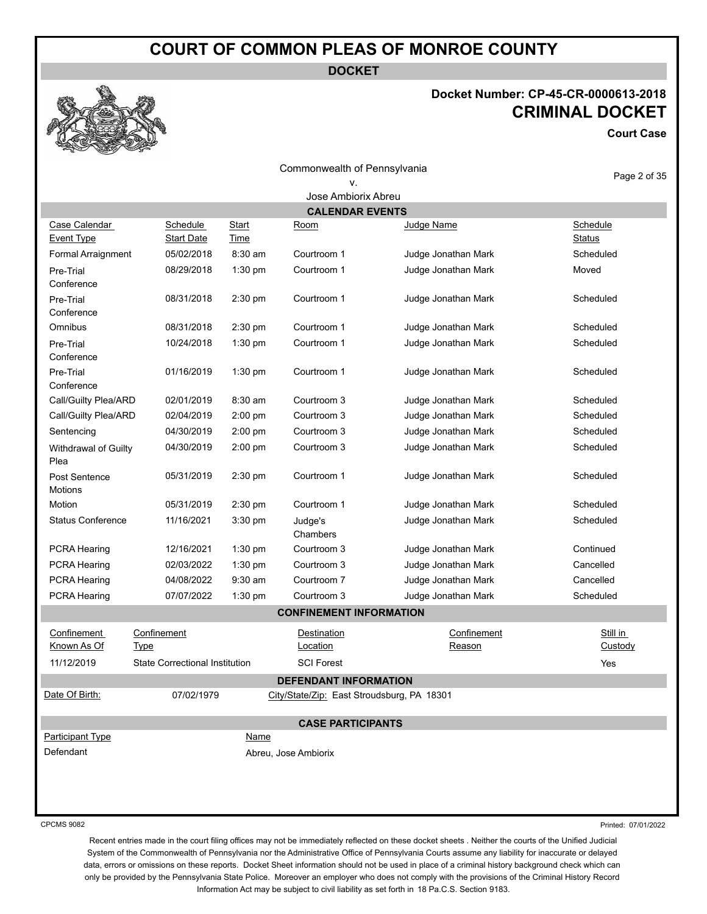**DOCKET**

# **Docket Number: CP-45-CR-0000613-2018 CRIMINAL DOCKET**

**Court Case**

| Commonwealth of Pennsylvania       |                                       |                             |                                            |                       | Page 2 of 35        |
|------------------------------------|---------------------------------------|-----------------------------|--------------------------------------------|-----------------------|---------------------|
|                                    |                                       |                             | v.                                         |                       |                     |
|                                    |                                       |                             | Jose Ambiorix Abreu                        |                       |                     |
|                                    |                                       |                             | <b>CALENDAR EVENTS</b>                     |                       |                     |
| Case Calendar<br><b>Event Type</b> | <b>Schedule</b><br>Start Date         | <b>Start</b><br><b>Time</b> | <u>Room</u>                                | Judge Name            | Schedule<br>Status  |
| Formal Arraignment                 | 05/02/2018                            | $8:30$ am                   | Courtroom 1                                | Judge Jonathan Mark   | Scheduled           |
| Pre-Trial<br>Conference            | 08/29/2018                            | 1:30 pm                     | Courtroom 1                                | Judge Jonathan Mark   | Moved               |
| Pre-Trial<br>Conference            | 08/31/2018                            | 2:30 pm                     | Courtroom 1                                | Judge Jonathan Mark   | Scheduled           |
| Omnibus                            | 08/31/2018                            | 2:30 pm                     | Courtroom 1                                | Judge Jonathan Mark   | Scheduled           |
| Pre-Trial<br>Conference            | 10/24/2018                            | 1:30 pm                     | Courtroom 1                                | Judge Jonathan Mark   | Scheduled           |
| Pre-Trial<br>Conference            | 01/16/2019                            | 1:30 pm                     | Courtroom 1                                | Judge Jonathan Mark   | Scheduled           |
| Call/Guilty Plea/ARD               | 02/01/2019                            | $8:30$ am                   | Courtroom 3                                | Judge Jonathan Mark   | Scheduled           |
| Call/Guilty Plea/ARD               | 02/04/2019                            | 2:00 pm                     | Courtroom 3                                | Judge Jonathan Mark   | Scheduled           |
| Sentencing                         | 04/30/2019                            | 2:00 pm                     | Courtroom 3                                | Judge Jonathan Mark   | Scheduled           |
| Withdrawal of Guilty<br>Plea       | 04/30/2019                            | 2:00 pm                     | Courtroom 3                                | Judge Jonathan Mark   | Scheduled           |
| Post Sentence<br>Motions           | 05/31/2019                            | 2:30 pm                     | Courtroom 1                                | Judge Jonathan Mark   | Scheduled           |
| Motion                             | 05/31/2019                            | 2:30 pm                     | Courtroom 1                                | Judge Jonathan Mark   | Scheduled           |
| <b>Status Conference</b>           | 11/16/2021                            | 3:30 pm                     | Judge's<br>Chambers                        | Judge Jonathan Mark   | Scheduled           |
| PCRA Hearing                       | 12/16/2021                            | $1:30$ pm                   | Courtroom 3                                | Judge Jonathan Mark   | Continued           |
| PCRA Hearing                       | 02/03/2022                            | 1:30 pm                     | Courtroom 3                                | Judge Jonathan Mark   | Cancelled           |
| PCRA Hearing                       | 04/08/2022                            | $9:30$ am                   | Courtroom 7                                | Judge Jonathan Mark   | Cancelled           |
| PCRA Hearing                       | 07/07/2022                            | 1:30 pm                     | Courtroom 3                                | Judge Jonathan Mark   | Scheduled           |
|                                    |                                       |                             | <b>CONFINEMENT INFORMATION</b>             |                       |                     |
| Confinement<br><b>Known As Of</b>  | Confinement<br><b>Type</b>            |                             | Destination<br>Location                    | Confinement<br>Reason | Still in<br>Custody |
| 11/12/2019                         | <b>State Correctional Institution</b> |                             | SCI Forest                                 |                       | Yes                 |
|                                    |                                       |                             | <b>DEFENDANT INFORMATION</b>               |                       |                     |
| Date Of Birth:                     | 07/02/1979                            |                             | City/State/Zip: East Stroudsburg, PA 18301 |                       |                     |
|                                    |                                       |                             | <b>CASE PARTICIPANTS</b>                   |                       |                     |
| <b>Participant Type</b>            |                                       | <b>Name</b>                 |                                            |                       |                     |
| Defendant                          |                                       |                             | Abreu, Jose Ambiorix                       |                       |                     |
|                                    |                                       |                             |                                            |                       |                     |
|                                    |                                       |                             |                                            |                       |                     |
|                                    |                                       |                             |                                            |                       |                     |
|                                    |                                       |                             |                                            |                       |                     |

CPCMS 9082

Printed: 07/01/2022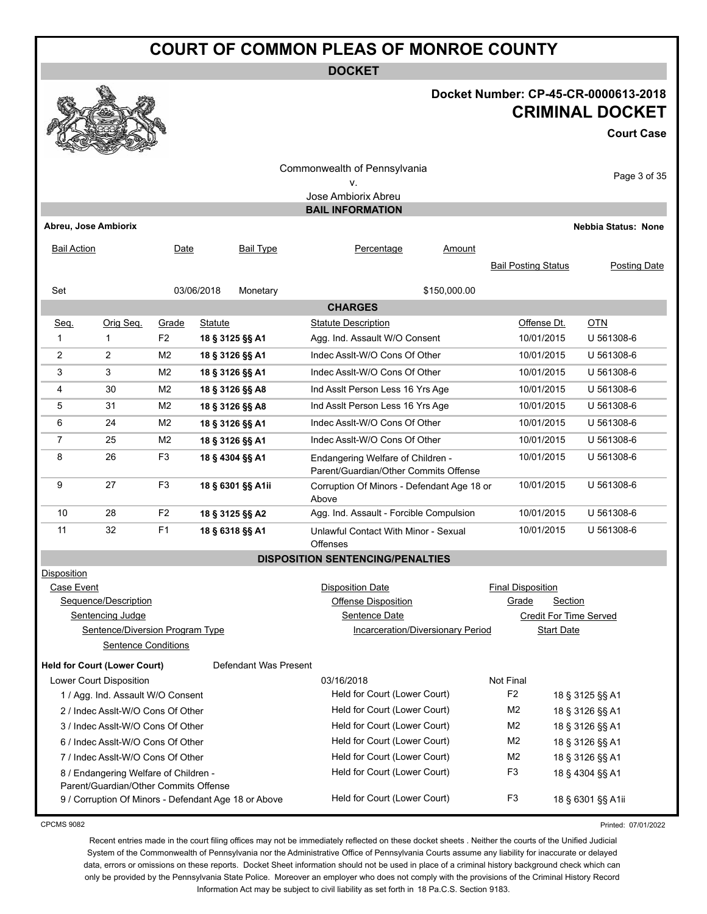**DOCKET**

### **Docket Number: CP-45-CR-0000613-2018 CRIMINAL DOCKET**

**Court Case**

| ۷.<br>Jose Ambiorix Abreu<br><b>BAIL INFORMATION</b><br>Abreu, Jose Ambiorix<br><b>Bail Type</b><br>Percentage<br><b>Bail Action</b><br>Date<br>Amount<br><b>Bail Posting Status</b><br>03/06/2018<br>\$150,000.00<br>Set<br>Monetary<br><b>CHARGES</b><br><b>OTN</b><br>Seq.<br>Orig Seq.<br>Statute<br><b>Statute Description</b><br>Offense Dt.<br>Grade<br>1<br>F <sub>2</sub><br>18 § 3125 §§ A1<br>Agg. Ind. Assault W/O Consent<br>10/01/2015<br>1<br>$\overline{2}$<br>$\overline{2}$<br>Indec Asslt-W/O Cons Of Other<br>M <sub>2</sub><br>10/01/2015<br>18 § 3126 §§ A1<br>3<br>Indec Asslt-W/O Cons Of Other<br>10/01/2015<br>3<br>M <sub>2</sub><br>18 § 3126 §§ A1<br>30<br>M <sub>2</sub><br>Ind Asslt Person Less 16 Yrs Age<br>10/01/2015<br>4<br>18 § 3126 §§ A8<br>5<br>31<br>M <sub>2</sub><br>Ind Assit Person Less 16 Yrs Age<br>10/01/2015<br>18 § 3126 §§ A8<br>M <sub>2</sub><br>Indec Assit-W/O Cons Of Other<br>6<br>24<br>10/01/2015<br>18 § 3126 §§ A1<br>$\overline{7}$<br>25<br>M <sub>2</sub><br>18 § 3126 §§ A1<br>Indec AssIt-W/O Cons Of Other<br>10/01/2015<br>8<br>26<br>F <sub>3</sub><br>10/01/2015<br>18 § 4304 §§ A1<br>Endangering Welfare of Children -<br>Parent/Guardian/Other Commits Offense<br>F <sub>3</sub><br>27<br>9<br>18 § 6301 §§ A1ii<br>10/01/2015<br>Corruption Of Minors - Defendant Age 18 or<br>Above<br>28<br>F <sub>2</sub><br>10<br>Agg. Ind. Assault - Forcible Compulsion<br>10/01/2015<br>18 § 3125 §§ A2<br>F <sub>1</sub><br>11<br>32<br>18 § 6318 §§ A1<br>10/01/2015<br>Unlawful Contact With Minor - Sexual<br><b>Offenses</b><br><b>DISPOSITION SENTENCING/PENALTIES</b><br>Disposition<br>Case Event<br><b>Disposition Date</b><br><b>Final Disposition</b><br>Sequence/Description<br>Grade<br>Section<br>Offense Disposition<br>Sentencing Judge<br>Sentence Date<br>Credit For Time Served<br>Sentence/Diversion Program Type<br>Incarceration/Diversionary Period<br><b>Start Date</b><br><b>Sentence Conditions</b><br><b>Held for Court (Lower Court)</b><br>Defendant Was Present<br>Not Final<br>Lower Court Disposition<br>03/16/2018<br>F <sub>2</sub><br>Held for Court (Lower Court)<br>1 / Agg. Ind. Assault W/O Consent<br>18 § 3125 §§ A1<br>Held for Court (Lower Court)<br>M <sub>2</sub><br>2 / Indec Asslt-W/O Cons Of Other<br>18 § 3126 §§ A1<br>Held for Court (Lower Court)<br>M <sub>2</sub><br>3 / Indec Asslt-W/O Cons Of Other<br>18 § 3126 §§ A1 | <b>REPORT</b><br>Commonwealth of Pennsylvania |                            |  |  |  |  |  |  |  |  |
|-------------------------------------------------------------------------------------------------------------------------------------------------------------------------------------------------------------------------------------------------------------------------------------------------------------------------------------------------------------------------------------------------------------------------------------------------------------------------------------------------------------------------------------------------------------------------------------------------------------------------------------------------------------------------------------------------------------------------------------------------------------------------------------------------------------------------------------------------------------------------------------------------------------------------------------------------------------------------------------------------------------------------------------------------------------------------------------------------------------------------------------------------------------------------------------------------------------------------------------------------------------------------------------------------------------------------------------------------------------------------------------------------------------------------------------------------------------------------------------------------------------------------------------------------------------------------------------------------------------------------------------------------------------------------------------------------------------------------------------------------------------------------------------------------------------------------------------------------------------------------------------------------------------------------------------------------------------------------------------------------------------------------------------------------------------------------------------------------------------------------------------------------------------------------------------------------------------------------------------------------------------------------------------------------------------------------------------------------------------------------------------------------------------------------------------------------------|-----------------------------------------------|----------------------------|--|--|--|--|--|--|--|--|
|                                                                                                                                                                                                                                                                                                                                                                                                                                                                                                                                                                                                                                                                                                                                                                                                                                                                                                                                                                                                                                                                                                                                                                                                                                                                                                                                                                                                                                                                                                                                                                                                                                                                                                                                                                                                                                                                                                                                                                                                                                                                                                                                                                                                                                                                                                                                                                                                                                                       | Page 3 of 35                                  |                            |  |  |  |  |  |  |  |  |
|                                                                                                                                                                                                                                                                                                                                                                                                                                                                                                                                                                                                                                                                                                                                                                                                                                                                                                                                                                                                                                                                                                                                                                                                                                                                                                                                                                                                                                                                                                                                                                                                                                                                                                                                                                                                                                                                                                                                                                                                                                                                                                                                                                                                                                                                                                                                                                                                                                                       |                                               |                            |  |  |  |  |  |  |  |  |
|                                                                                                                                                                                                                                                                                                                                                                                                                                                                                                                                                                                                                                                                                                                                                                                                                                                                                                                                                                                                                                                                                                                                                                                                                                                                                                                                                                                                                                                                                                                                                                                                                                                                                                                                                                                                                                                                                                                                                                                                                                                                                                                                                                                                                                                                                                                                                                                                                                                       |                                               |                            |  |  |  |  |  |  |  |  |
|                                                                                                                                                                                                                                                                                                                                                                                                                                                                                                                                                                                                                                                                                                                                                                                                                                                                                                                                                                                                                                                                                                                                                                                                                                                                                                                                                                                                                                                                                                                                                                                                                                                                                                                                                                                                                                                                                                                                                                                                                                                                                                                                                                                                                                                                                                                                                                                                                                                       |                                               | <b>Nebbia Status: None</b> |  |  |  |  |  |  |  |  |
|                                                                                                                                                                                                                                                                                                                                                                                                                                                                                                                                                                                                                                                                                                                                                                                                                                                                                                                                                                                                                                                                                                                                                                                                                                                                                                                                                                                                                                                                                                                                                                                                                                                                                                                                                                                                                                                                                                                                                                                                                                                                                                                                                                                                                                                                                                                                                                                                                                                       |                                               |                            |  |  |  |  |  |  |  |  |
|                                                                                                                                                                                                                                                                                                                                                                                                                                                                                                                                                                                                                                                                                                                                                                                                                                                                                                                                                                                                                                                                                                                                                                                                                                                                                                                                                                                                                                                                                                                                                                                                                                                                                                                                                                                                                                                                                                                                                                                                                                                                                                                                                                                                                                                                                                                                                                                                                                                       | Posting Date                                  |                            |  |  |  |  |  |  |  |  |
|                                                                                                                                                                                                                                                                                                                                                                                                                                                                                                                                                                                                                                                                                                                                                                                                                                                                                                                                                                                                                                                                                                                                                                                                                                                                                                                                                                                                                                                                                                                                                                                                                                                                                                                                                                                                                                                                                                                                                                                                                                                                                                                                                                                                                                                                                                                                                                                                                                                       |                                               |                            |  |  |  |  |  |  |  |  |
|                                                                                                                                                                                                                                                                                                                                                                                                                                                                                                                                                                                                                                                                                                                                                                                                                                                                                                                                                                                                                                                                                                                                                                                                                                                                                                                                                                                                                                                                                                                                                                                                                                                                                                                                                                                                                                                                                                                                                                                                                                                                                                                                                                                                                                                                                                                                                                                                                                                       |                                               |                            |  |  |  |  |  |  |  |  |
|                                                                                                                                                                                                                                                                                                                                                                                                                                                                                                                                                                                                                                                                                                                                                                                                                                                                                                                                                                                                                                                                                                                                                                                                                                                                                                                                                                                                                                                                                                                                                                                                                                                                                                                                                                                                                                                                                                                                                                                                                                                                                                                                                                                                                                                                                                                                                                                                                                                       |                                               |                            |  |  |  |  |  |  |  |  |
|                                                                                                                                                                                                                                                                                                                                                                                                                                                                                                                                                                                                                                                                                                                                                                                                                                                                                                                                                                                                                                                                                                                                                                                                                                                                                                                                                                                                                                                                                                                                                                                                                                                                                                                                                                                                                                                                                                                                                                                                                                                                                                                                                                                                                                                                                                                                                                                                                                                       |                                               | U 561308-6                 |  |  |  |  |  |  |  |  |
|                                                                                                                                                                                                                                                                                                                                                                                                                                                                                                                                                                                                                                                                                                                                                                                                                                                                                                                                                                                                                                                                                                                                                                                                                                                                                                                                                                                                                                                                                                                                                                                                                                                                                                                                                                                                                                                                                                                                                                                                                                                                                                                                                                                                                                                                                                                                                                                                                                                       |                                               | U 561308-6                 |  |  |  |  |  |  |  |  |
|                                                                                                                                                                                                                                                                                                                                                                                                                                                                                                                                                                                                                                                                                                                                                                                                                                                                                                                                                                                                                                                                                                                                                                                                                                                                                                                                                                                                                                                                                                                                                                                                                                                                                                                                                                                                                                                                                                                                                                                                                                                                                                                                                                                                                                                                                                                                                                                                                                                       |                                               | U 561308-6                 |  |  |  |  |  |  |  |  |
|                                                                                                                                                                                                                                                                                                                                                                                                                                                                                                                                                                                                                                                                                                                                                                                                                                                                                                                                                                                                                                                                                                                                                                                                                                                                                                                                                                                                                                                                                                                                                                                                                                                                                                                                                                                                                                                                                                                                                                                                                                                                                                                                                                                                                                                                                                                                                                                                                                                       |                                               | U 561308-6                 |  |  |  |  |  |  |  |  |
|                                                                                                                                                                                                                                                                                                                                                                                                                                                                                                                                                                                                                                                                                                                                                                                                                                                                                                                                                                                                                                                                                                                                                                                                                                                                                                                                                                                                                                                                                                                                                                                                                                                                                                                                                                                                                                                                                                                                                                                                                                                                                                                                                                                                                                                                                                                                                                                                                                                       |                                               | U 561308-6                 |  |  |  |  |  |  |  |  |
|                                                                                                                                                                                                                                                                                                                                                                                                                                                                                                                                                                                                                                                                                                                                                                                                                                                                                                                                                                                                                                                                                                                                                                                                                                                                                                                                                                                                                                                                                                                                                                                                                                                                                                                                                                                                                                                                                                                                                                                                                                                                                                                                                                                                                                                                                                                                                                                                                                                       |                                               | U 561308-6                 |  |  |  |  |  |  |  |  |
|                                                                                                                                                                                                                                                                                                                                                                                                                                                                                                                                                                                                                                                                                                                                                                                                                                                                                                                                                                                                                                                                                                                                                                                                                                                                                                                                                                                                                                                                                                                                                                                                                                                                                                                                                                                                                                                                                                                                                                                                                                                                                                                                                                                                                                                                                                                                                                                                                                                       |                                               | U 561308-6                 |  |  |  |  |  |  |  |  |
|                                                                                                                                                                                                                                                                                                                                                                                                                                                                                                                                                                                                                                                                                                                                                                                                                                                                                                                                                                                                                                                                                                                                                                                                                                                                                                                                                                                                                                                                                                                                                                                                                                                                                                                                                                                                                                                                                                                                                                                                                                                                                                                                                                                                                                                                                                                                                                                                                                                       |                                               | U 561308-6                 |  |  |  |  |  |  |  |  |
|                                                                                                                                                                                                                                                                                                                                                                                                                                                                                                                                                                                                                                                                                                                                                                                                                                                                                                                                                                                                                                                                                                                                                                                                                                                                                                                                                                                                                                                                                                                                                                                                                                                                                                                                                                                                                                                                                                                                                                                                                                                                                                                                                                                                                                                                                                                                                                                                                                                       |                                               | U 561308-6                 |  |  |  |  |  |  |  |  |
|                                                                                                                                                                                                                                                                                                                                                                                                                                                                                                                                                                                                                                                                                                                                                                                                                                                                                                                                                                                                                                                                                                                                                                                                                                                                                                                                                                                                                                                                                                                                                                                                                                                                                                                                                                                                                                                                                                                                                                                                                                                                                                                                                                                                                                                                                                                                                                                                                                                       |                                               | U 561308-6                 |  |  |  |  |  |  |  |  |
|                                                                                                                                                                                                                                                                                                                                                                                                                                                                                                                                                                                                                                                                                                                                                                                                                                                                                                                                                                                                                                                                                                                                                                                                                                                                                                                                                                                                                                                                                                                                                                                                                                                                                                                                                                                                                                                                                                                                                                                                                                                                                                                                                                                                                                                                                                                                                                                                                                                       |                                               | U 561308-6                 |  |  |  |  |  |  |  |  |
|                                                                                                                                                                                                                                                                                                                                                                                                                                                                                                                                                                                                                                                                                                                                                                                                                                                                                                                                                                                                                                                                                                                                                                                                                                                                                                                                                                                                                                                                                                                                                                                                                                                                                                                                                                                                                                                                                                                                                                                                                                                                                                                                                                                                                                                                                                                                                                                                                                                       |                                               |                            |  |  |  |  |  |  |  |  |
|                                                                                                                                                                                                                                                                                                                                                                                                                                                                                                                                                                                                                                                                                                                                                                                                                                                                                                                                                                                                                                                                                                                                                                                                                                                                                                                                                                                                                                                                                                                                                                                                                                                                                                                                                                                                                                                                                                                                                                                                                                                                                                                                                                                                                                                                                                                                                                                                                                                       |                                               |                            |  |  |  |  |  |  |  |  |
|                                                                                                                                                                                                                                                                                                                                                                                                                                                                                                                                                                                                                                                                                                                                                                                                                                                                                                                                                                                                                                                                                                                                                                                                                                                                                                                                                                                                                                                                                                                                                                                                                                                                                                                                                                                                                                                                                                                                                                                                                                                                                                                                                                                                                                                                                                                                                                                                                                                       |                                               |                            |  |  |  |  |  |  |  |  |
|                                                                                                                                                                                                                                                                                                                                                                                                                                                                                                                                                                                                                                                                                                                                                                                                                                                                                                                                                                                                                                                                                                                                                                                                                                                                                                                                                                                                                                                                                                                                                                                                                                                                                                                                                                                                                                                                                                                                                                                                                                                                                                                                                                                                                                                                                                                                                                                                                                                       |                                               |                            |  |  |  |  |  |  |  |  |
|                                                                                                                                                                                                                                                                                                                                                                                                                                                                                                                                                                                                                                                                                                                                                                                                                                                                                                                                                                                                                                                                                                                                                                                                                                                                                                                                                                                                                                                                                                                                                                                                                                                                                                                                                                                                                                                                                                                                                                                                                                                                                                                                                                                                                                                                                                                                                                                                                                                       |                                               |                            |  |  |  |  |  |  |  |  |
|                                                                                                                                                                                                                                                                                                                                                                                                                                                                                                                                                                                                                                                                                                                                                                                                                                                                                                                                                                                                                                                                                                                                                                                                                                                                                                                                                                                                                                                                                                                                                                                                                                                                                                                                                                                                                                                                                                                                                                                                                                                                                                                                                                                                                                                                                                                                                                                                                                                       |                                               |                            |  |  |  |  |  |  |  |  |
|                                                                                                                                                                                                                                                                                                                                                                                                                                                                                                                                                                                                                                                                                                                                                                                                                                                                                                                                                                                                                                                                                                                                                                                                                                                                                                                                                                                                                                                                                                                                                                                                                                                                                                                                                                                                                                                                                                                                                                                                                                                                                                                                                                                                                                                                                                                                                                                                                                                       |                                               |                            |  |  |  |  |  |  |  |  |
|                                                                                                                                                                                                                                                                                                                                                                                                                                                                                                                                                                                                                                                                                                                                                                                                                                                                                                                                                                                                                                                                                                                                                                                                                                                                                                                                                                                                                                                                                                                                                                                                                                                                                                                                                                                                                                                                                                                                                                                                                                                                                                                                                                                                                                                                                                                                                                                                                                                       |                                               |                            |  |  |  |  |  |  |  |  |
|                                                                                                                                                                                                                                                                                                                                                                                                                                                                                                                                                                                                                                                                                                                                                                                                                                                                                                                                                                                                                                                                                                                                                                                                                                                                                                                                                                                                                                                                                                                                                                                                                                                                                                                                                                                                                                                                                                                                                                                                                                                                                                                                                                                                                                                                                                                                                                                                                                                       |                                               |                            |  |  |  |  |  |  |  |  |
|                                                                                                                                                                                                                                                                                                                                                                                                                                                                                                                                                                                                                                                                                                                                                                                                                                                                                                                                                                                                                                                                                                                                                                                                                                                                                                                                                                                                                                                                                                                                                                                                                                                                                                                                                                                                                                                                                                                                                                                                                                                                                                                                                                                                                                                                                                                                                                                                                                                       |                                               |                            |  |  |  |  |  |  |  |  |
|                                                                                                                                                                                                                                                                                                                                                                                                                                                                                                                                                                                                                                                                                                                                                                                                                                                                                                                                                                                                                                                                                                                                                                                                                                                                                                                                                                                                                                                                                                                                                                                                                                                                                                                                                                                                                                                                                                                                                                                                                                                                                                                                                                                                                                                                                                                                                                                                                                                       |                                               |                            |  |  |  |  |  |  |  |  |
| Held for Court (Lower Court)<br>M <sub>2</sub><br>6 / Indec Assit-W/O Cons Of Other<br>18 § 3126 §§ A1                                                                                                                                                                                                                                                                                                                                                                                                                                                                                                                                                                                                                                                                                                                                                                                                                                                                                                                                                                                                                                                                                                                                                                                                                                                                                                                                                                                                                                                                                                                                                                                                                                                                                                                                                                                                                                                                                                                                                                                                                                                                                                                                                                                                                                                                                                                                                |                                               |                            |  |  |  |  |  |  |  |  |
| Held for Court (Lower Court)<br>M <sub>2</sub><br>7 / Indec Asslt-W/O Cons Of Other<br>18 § 3126 §§ A1                                                                                                                                                                                                                                                                                                                                                                                                                                                                                                                                                                                                                                                                                                                                                                                                                                                                                                                                                                                                                                                                                                                                                                                                                                                                                                                                                                                                                                                                                                                                                                                                                                                                                                                                                                                                                                                                                                                                                                                                                                                                                                                                                                                                                                                                                                                                                |                                               |                            |  |  |  |  |  |  |  |  |
| Held for Court (Lower Court)<br>F <sub>3</sub><br>8 / Endangering Welfare of Children -<br>18 § 4304 §§ A1                                                                                                                                                                                                                                                                                                                                                                                                                                                                                                                                                                                                                                                                                                                                                                                                                                                                                                                                                                                                                                                                                                                                                                                                                                                                                                                                                                                                                                                                                                                                                                                                                                                                                                                                                                                                                                                                                                                                                                                                                                                                                                                                                                                                                                                                                                                                            |                                               |                            |  |  |  |  |  |  |  |  |
| Parent/Guardian/Other Commits Offense<br>Held for Court (Lower Court)<br>F <sub>3</sub><br>18 § 6301 §§ A1ii<br>9 / Corruption Of Minors - Defendant Age 18 or Above                                                                                                                                                                                                                                                                                                                                                                                                                                                                                                                                                                                                                                                                                                                                                                                                                                                                                                                                                                                                                                                                                                                                                                                                                                                                                                                                                                                                                                                                                                                                                                                                                                                                                                                                                                                                                                                                                                                                                                                                                                                                                                                                                                                                                                                                                  |                                               |                            |  |  |  |  |  |  |  |  |

CPCMS 9082

Printed: 07/01/2022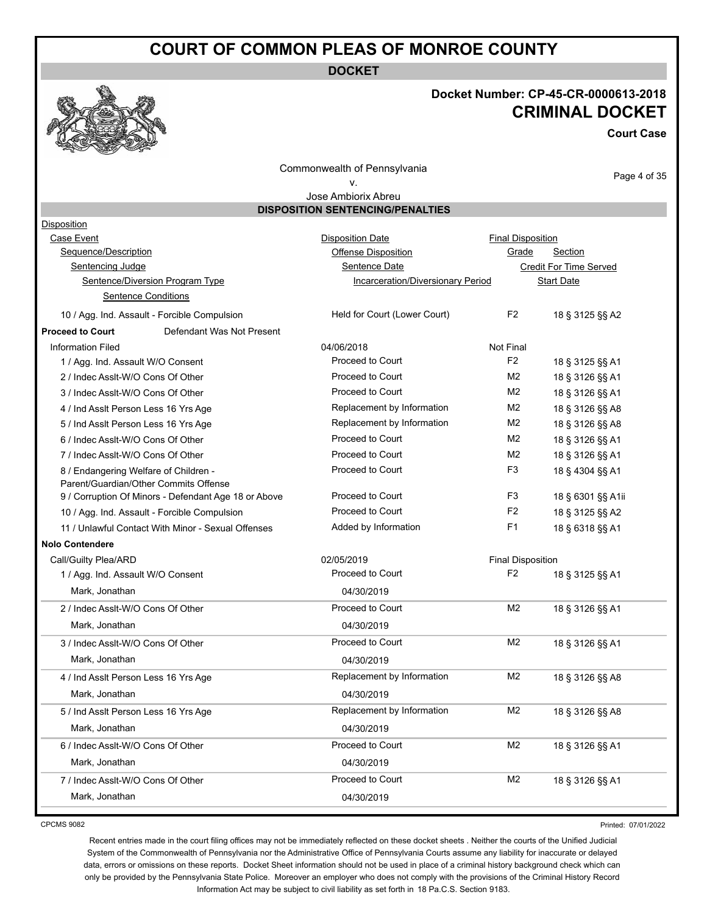**DOCKET**



# **Docket Number: CP-45-CR-0000613-2018 CRIMINAL DOCKET**

**Court Case**

Commonwealth of Pennsylvania v.

Page 4 of 35

#### Jose Ambiorix Abreu **DISPOSITION SENTENCING/PENALTIES**

| <b>Disposition</b>                                   |                                   |                          |                        |
|------------------------------------------------------|-----------------------------------|--------------------------|------------------------|
| Case Event                                           | <b>Disposition Date</b>           | <b>Final Disposition</b> |                        |
| Sequence/Description                                 | Offense Disposition               | Grade                    | Section                |
| Sentencing Judge                                     | Sentence Date                     |                          | Credit For Time Served |
| Sentence/Diversion Program Type                      | Incarceration/Diversionary Period |                          | <b>Start Date</b>      |
| <b>Sentence Conditions</b>                           |                                   |                          |                        |
| 10 / Agg. Ind. Assault - Forcible Compulsion         | Held for Court (Lower Court)      | F <sub>2</sub>           | 18 § 3125 §§ A2        |
| <b>Proceed to Court</b><br>Defendant Was Not Present |                                   |                          |                        |
| <b>Information Filed</b>                             | 04/06/2018                        | Not Final                |                        |
| 1 / Agg. Ind. Assault W/O Consent                    | Proceed to Court                  | F <sub>2</sub>           | 18 § 3125 §§ A1        |
| 2 / Indec Assit-W/O Cons Of Other                    | Proceed to Court                  | M <sub>2</sub>           | 18 § 3126 §§ A1        |
| 3 / Indec Asslt-W/O Cons Of Other                    | Proceed to Court                  | M <sub>2</sub>           | 18 § 3126 §§ A1        |
| 4 / Ind Assit Person Less 16 Yrs Age                 | Replacement by Information        | M <sub>2</sub>           | 18 § 3126 §§ A8        |
| 5 / Ind Assit Person Less 16 Yrs Age                 | Replacement by Information        | M2                       | 18 § 3126 §§ A8        |
| 6 / Indec Assit-W/O Cons Of Other                    | Proceed to Court                  | M <sub>2</sub>           | 18 § 3126 §§ A1        |
| 7 / Indec Assit-W/O Cons Of Other                    | Proceed to Court                  | M <sub>2</sub>           | 18 § 3126 §§ A1        |
| 8 / Endangering Welfare of Children -                | Proceed to Court                  | F <sub>3</sub>           | 18 § 4304 §§ A1        |
| Parent/Guardian/Other Commits Offense                |                                   |                          |                        |
| 9 / Corruption Of Minors - Defendant Age 18 or Above | Proceed to Court                  | F <sub>3</sub>           | 18 § 6301 §§ A1ii      |
| 10 / Agg. Ind. Assault - Forcible Compulsion         | Proceed to Court                  | F <sub>2</sub>           | 18 § 3125 §§ A2        |
| 11 / Unlawful Contact With Minor - Sexual Offenses   | Added by Information              | F <sub>1</sub>           | 18 § 6318 §§ A1        |
| <b>Nolo Contendere</b>                               |                                   |                          |                        |
| Call/Guilty Plea/ARD                                 | 02/05/2019                        | <b>Final Disposition</b> |                        |
| 1 / Agg. Ind. Assault W/O Consent                    | Proceed to Court                  | F <sub>2</sub>           | 18 § 3125 §§ A1        |
| Mark, Jonathan                                       | 04/30/2019                        |                          |                        |
| 2 / Indec Assit-W/O Cons Of Other                    | Proceed to Court                  | M <sub>2</sub>           | 18 § 3126 §§ A1        |
| Mark, Jonathan                                       | 04/30/2019                        |                          |                        |
| 3 / Indec Assit-W/O Cons Of Other                    | Proceed to Court                  | M <sub>2</sub>           | 18 § 3126 §§ A1        |
| Mark, Jonathan                                       | 04/30/2019                        |                          |                        |
| 4 / Ind Assit Person Less 16 Yrs Age                 | Replacement by Information        | M2                       | 18 § 3126 §§ A8        |
| Mark, Jonathan                                       | 04/30/2019                        |                          |                        |
| 5 / Ind Asslt Person Less 16 Yrs Age                 | Replacement by Information        | M <sub>2</sub>           | 18 § 3126 §§ A8        |
| Mark, Jonathan                                       | 04/30/2019                        |                          |                        |
| 6 / Indec Assit-W/O Cons Of Other                    | Proceed to Court                  | M <sub>2</sub>           | 18 § 3126 §§ A1        |
| Mark, Jonathan                                       | 04/30/2019                        |                          |                        |
| 7 / Indec Assit-W/O Cons Of Other                    | Proceed to Court                  | M <sub>2</sub>           | 18 § 3126 §§ A1        |
| Mark, Jonathan                                       | 04/30/2019                        |                          |                        |
|                                                      |                                   |                          |                        |

CPCMS 9082

Printed: 07/01/2022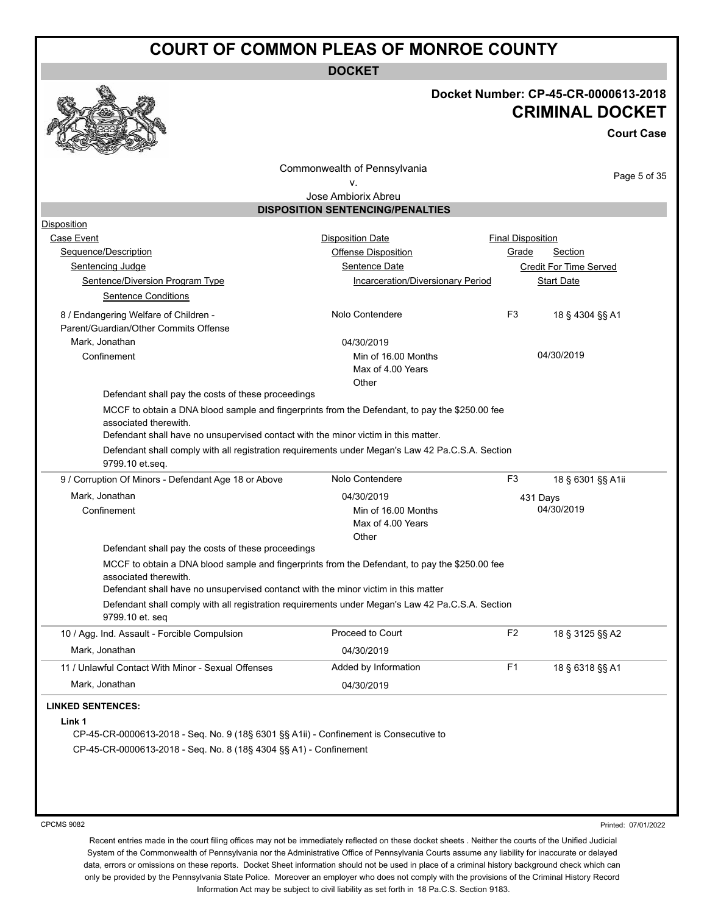**DOCKET**

### **Docket Number: CP-45-CR-0000613-2018 CRIMINAL DOCKET**

**Court Case**

Commonwealth of Pennsylvania

Page 5 of 35

#### v. Jose Ambiorix Abreu

**DISPOSITION SENTENCING/PENALTIES**

| <b>Disposition Date</b><br>Offense Disposition<br>Sentence Date<br>Incarceration/Diversionary Period<br>Nolo Contendere<br>04/30/2019<br>Min of 16.00 Months<br>Max of 4.00 Years<br>Other<br>Defendant shall pay the costs of these proceedings<br>MCCF to obtain a DNA blood sample and fingerprints from the Defendant, to pay the \$250.00 fee<br>Defendant shall have no unsupervised contact with the minor victim in this matter.<br>Defendant shall comply with all registration requirements under Megan's Law 42 Pa.C.S.A. Section | <b>Final Disposition</b><br>Grade<br>F <sub>3</sub>                                                                                                                                                                                                               | <b>Section</b><br><b>Credit For Time Served</b><br><b>Start Date</b><br>18 § 4304 §§ A1<br>04/30/2019                                                                                                                |
|----------------------------------------------------------------------------------------------------------------------------------------------------------------------------------------------------------------------------------------------------------------------------------------------------------------------------------------------------------------------------------------------------------------------------------------------------------------------------------------------------------------------------------------------|-------------------------------------------------------------------------------------------------------------------------------------------------------------------------------------------------------------------------------------------------------------------|----------------------------------------------------------------------------------------------------------------------------------------------------------------------------------------------------------------------|
|                                                                                                                                                                                                                                                                                                                                                                                                                                                                                                                                              |                                                                                                                                                                                                                                                                   |                                                                                                                                                                                                                      |
|                                                                                                                                                                                                                                                                                                                                                                                                                                                                                                                                              |                                                                                                                                                                                                                                                                   |                                                                                                                                                                                                                      |
|                                                                                                                                                                                                                                                                                                                                                                                                                                                                                                                                              |                                                                                                                                                                                                                                                                   |                                                                                                                                                                                                                      |
|                                                                                                                                                                                                                                                                                                                                                                                                                                                                                                                                              |                                                                                                                                                                                                                                                                   |                                                                                                                                                                                                                      |
|                                                                                                                                                                                                                                                                                                                                                                                                                                                                                                                                              |                                                                                                                                                                                                                                                                   |                                                                                                                                                                                                                      |
|                                                                                                                                                                                                                                                                                                                                                                                                                                                                                                                                              |                                                                                                                                                                                                                                                                   |                                                                                                                                                                                                                      |
|                                                                                                                                                                                                                                                                                                                                                                                                                                                                                                                                              |                                                                                                                                                                                                                                                                   |                                                                                                                                                                                                                      |
|                                                                                                                                                                                                                                                                                                                                                                                                                                                                                                                                              |                                                                                                                                                                                                                                                                   |                                                                                                                                                                                                                      |
|                                                                                                                                                                                                                                                                                                                                                                                                                                                                                                                                              |                                                                                                                                                                                                                                                                   |                                                                                                                                                                                                                      |
|                                                                                                                                                                                                                                                                                                                                                                                                                                                                                                                                              |                                                                                                                                                                                                                                                                   |                                                                                                                                                                                                                      |
|                                                                                                                                                                                                                                                                                                                                                                                                                                                                                                                                              |                                                                                                                                                                                                                                                                   |                                                                                                                                                                                                                      |
|                                                                                                                                                                                                                                                                                                                                                                                                                                                                                                                                              |                                                                                                                                                                                                                                                                   |                                                                                                                                                                                                                      |
|                                                                                                                                                                                                                                                                                                                                                                                                                                                                                                                                              |                                                                                                                                                                                                                                                                   |                                                                                                                                                                                                                      |
|                                                                                                                                                                                                                                                                                                                                                                                                                                                                                                                                              |                                                                                                                                                                                                                                                                   |                                                                                                                                                                                                                      |
|                                                                                                                                                                                                                                                                                                                                                                                                                                                                                                                                              |                                                                                                                                                                                                                                                                   |                                                                                                                                                                                                                      |
|                                                                                                                                                                                                                                                                                                                                                                                                                                                                                                                                              |                                                                                                                                                                                                                                                                   |                                                                                                                                                                                                                      |
| Nolo Contendere                                                                                                                                                                                                                                                                                                                                                                                                                                                                                                                              | F <sub>3</sub>                                                                                                                                                                                                                                                    | 18 § 6301 §§ A1ii                                                                                                                                                                                                    |
| 04/30/2019                                                                                                                                                                                                                                                                                                                                                                                                                                                                                                                                   |                                                                                                                                                                                                                                                                   | 431 Days                                                                                                                                                                                                             |
| Min of 16.00 Months                                                                                                                                                                                                                                                                                                                                                                                                                                                                                                                          |                                                                                                                                                                                                                                                                   | 04/30/2019                                                                                                                                                                                                           |
| Max of 4.00 Years                                                                                                                                                                                                                                                                                                                                                                                                                                                                                                                            |                                                                                                                                                                                                                                                                   |                                                                                                                                                                                                                      |
| Other                                                                                                                                                                                                                                                                                                                                                                                                                                                                                                                                        |                                                                                                                                                                                                                                                                   |                                                                                                                                                                                                                      |
|                                                                                                                                                                                                                                                                                                                                                                                                                                                                                                                                              |                                                                                                                                                                                                                                                                   |                                                                                                                                                                                                                      |
|                                                                                                                                                                                                                                                                                                                                                                                                                                                                                                                                              |                                                                                                                                                                                                                                                                   |                                                                                                                                                                                                                      |
|                                                                                                                                                                                                                                                                                                                                                                                                                                                                                                                                              |                                                                                                                                                                                                                                                                   |                                                                                                                                                                                                                      |
|                                                                                                                                                                                                                                                                                                                                                                                                                                                                                                                                              |                                                                                                                                                                                                                                                                   |                                                                                                                                                                                                                      |
|                                                                                                                                                                                                                                                                                                                                                                                                                                                                                                                                              |                                                                                                                                                                                                                                                                   |                                                                                                                                                                                                                      |
| Proceed to Court                                                                                                                                                                                                                                                                                                                                                                                                                                                                                                                             | F <sub>2</sub>                                                                                                                                                                                                                                                    | 18 § 3125 §§ A2                                                                                                                                                                                                      |
|                                                                                                                                                                                                                                                                                                                                                                                                                                                                                                                                              |                                                                                                                                                                                                                                                                   |                                                                                                                                                                                                                      |
|                                                                                                                                                                                                                                                                                                                                                                                                                                                                                                                                              |                                                                                                                                                                                                                                                                   | 18 § 6318 §§ A1                                                                                                                                                                                                      |
|                                                                                                                                                                                                                                                                                                                                                                                                                                                                                                                                              |                                                                                                                                                                                                                                                                   |                                                                                                                                                                                                                      |
|                                                                                                                                                                                                                                                                                                                                                                                                                                                                                                                                              |                                                                                                                                                                                                                                                                   |                                                                                                                                                                                                                      |
|                                                                                                                                                                                                                                                                                                                                                                                                                                                                                                                                              |                                                                                                                                                                                                                                                                   |                                                                                                                                                                                                                      |
|                                                                                                                                                                                                                                                                                                                                                                                                                                                                                                                                              |                                                                                                                                                                                                                                                                   |                                                                                                                                                                                                                      |
| CP-45-CR-0000613-2018 - Seg. No. 9 (18§ 6301 §§ A1ii) - Confinement is Consecutive to                                                                                                                                                                                                                                                                                                                                                                                                                                                        |                                                                                                                                                                                                                                                                   |                                                                                                                                                                                                                      |
|                                                                                                                                                                                                                                                                                                                                                                                                                                                                                                                                              |                                                                                                                                                                                                                                                                   |                                                                                                                                                                                                                      |
|                                                                                                                                                                                                                                                                                                                                                                                                                                                                                                                                              |                                                                                                                                                                                                                                                                   |                                                                                                                                                                                                                      |
|                                                                                                                                                                                                                                                                                                                                                                                                                                                                                                                                              |                                                                                                                                                                                                                                                                   |                                                                                                                                                                                                                      |
|                                                                                                                                                                                                                                                                                                                                                                                                                                                                                                                                              |                                                                                                                                                                                                                                                                   |                                                                                                                                                                                                                      |
|                                                                                                                                                                                                                                                                                                                                                                                                                                                                                                                                              |                                                                                                                                                                                                                                                                   |                                                                                                                                                                                                                      |
|                                                                                                                                                                                                                                                                                                                                                                                                                                                                                                                                              | Defendant shall pay the costs of these proceedings<br>Defendant shall have no unsupervised contanct with the minor victim in this matter<br>04/30/2019<br>Added by Information<br>04/30/2019<br>CP-45-CR-0000613-2018 - Seq. No. 8 (18§ 4304 §§ A1) - Confinement | MCCF to obtain a DNA blood sample and fingerprints from the Defendant, to pay the \$250.00 fee<br>Defendant shall comply with all registration requirements under Megan's Law 42 Pa.C.S.A. Section<br>F <sub>1</sub> |

Printed: 07/01/2022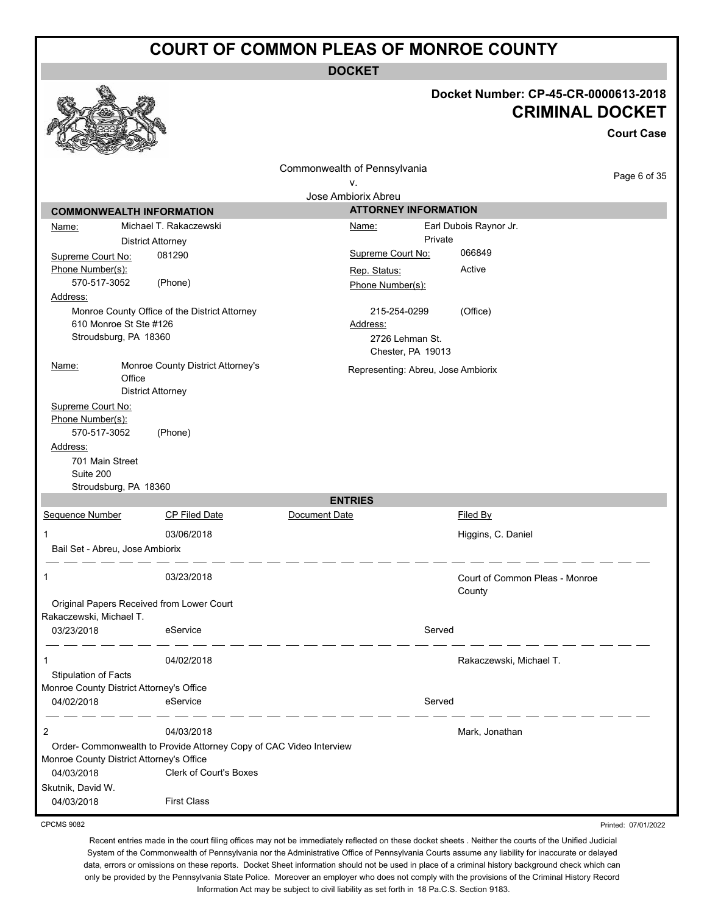**DOCKET**

|                                                                      |                                                                     |                              |                                      | Docket Number: CP-45-CR-0000613-2018<br><b>CRIMINAL DOCKET</b> | <b>Court Case</b> |
|----------------------------------------------------------------------|---------------------------------------------------------------------|------------------------------|--------------------------------------|----------------------------------------------------------------|-------------------|
|                                                                      |                                                                     | Commonwealth of Pennsylvania |                                      |                                                                | Page 6 of 35      |
|                                                                      |                                                                     | ν.<br>Jose Ambiorix Abreu    |                                      |                                                                |                   |
| <b>COMMONWEALTH INFORMATION</b>                                      |                                                                     |                              | <b>ATTORNEY INFORMATION</b>          |                                                                |                   |
| <u>Name:</u>                                                         | Michael T. Rakaczewski                                              | <u>Name:</u>                 |                                      | Earl Dubois Raynor Jr.                                         |                   |
|                                                                      | <b>District Attorney</b>                                            |                              | Private                              |                                                                |                   |
| Supreme Court No:                                                    | 081290                                                              | Supreme Court No:            |                                      | 066849                                                         |                   |
| Phone Number(s):                                                     |                                                                     | Rep. Status:                 |                                      | Active                                                         |                   |
| 570-517-3052                                                         | (Phone)                                                             | Phone Number(s):             |                                      |                                                                |                   |
| Address:                                                             |                                                                     |                              |                                      |                                                                |                   |
|                                                                      | Monroe County Office of the District Attorney                       |                              | 215-254-0299                         | (Office)                                                       |                   |
| 610 Monroe St Ste #126                                               |                                                                     | Address:                     |                                      |                                                                |                   |
| Stroudsburg, PA 18360                                                |                                                                     |                              | 2726 Lehman St.<br>Chester, PA 19013 |                                                                |                   |
| <u>Name:</u><br>Office                                               | Monroe County District Attorney's                                   |                              | Representing: Abreu, Jose Ambiorix   |                                                                |                   |
|                                                                      | <b>District Attorney</b>                                            |                              |                                      |                                                                |                   |
| Supreme Court No:                                                    |                                                                     |                              |                                      |                                                                |                   |
| Phone Number(s):                                                     |                                                                     |                              |                                      |                                                                |                   |
| 570-517-3052<br>Address:                                             | (Phone)                                                             |                              |                                      |                                                                |                   |
| 701 Main Street                                                      |                                                                     |                              |                                      |                                                                |                   |
| Suite 200                                                            |                                                                     |                              |                                      |                                                                |                   |
| Stroudsburg, PA 18360                                                |                                                                     |                              |                                      |                                                                |                   |
|                                                                      |                                                                     | <b>ENTRIES</b>               |                                      |                                                                |                   |
| Sequence Number                                                      | <b>CP Filed Date</b>                                                | Document Date                |                                      | <b>Filed By</b>                                                |                   |
| 1                                                                    | 03/06/2018                                                          |                              |                                      | Higgins, C. Daniel                                             |                   |
| Bail Set - Abreu, Jose Ambiorix                                      |                                                                     |                              |                                      |                                                                |                   |
|                                                                      |                                                                     |                              |                                      |                                                                |                   |
| 1                                                                    | 03/23/2018                                                          |                              |                                      | Court of Common Pleas - Monroe                                 |                   |
|                                                                      |                                                                     |                              |                                      | County                                                         |                   |
| Original Papers Received from Lower Court<br>Rakaczewski, Michael T. |                                                                     |                              |                                      |                                                                |                   |
| 03/23/2018                                                           | eService                                                            |                              | Served                               |                                                                |                   |
|                                                                      |                                                                     |                              |                                      |                                                                |                   |
| 1                                                                    | 04/02/2018                                                          |                              |                                      | Rakaczewski, Michael T.                                        |                   |
| Stipulation of Facts                                                 |                                                                     |                              |                                      |                                                                |                   |
| Monroe County District Attorney's Office                             |                                                                     |                              |                                      |                                                                |                   |
| 04/02/2018                                                           | eService                                                            |                              | Served                               |                                                                |                   |
|                                                                      |                                                                     |                              |                                      |                                                                |                   |
| 2                                                                    | 04/03/2018                                                          |                              |                                      | Mark, Jonathan                                                 |                   |
|                                                                      | Order- Commonwealth to Provide Attorney Copy of CAC Video Interview |                              |                                      |                                                                |                   |
| Monroe County District Attorney's Office<br>04/03/2018               | <b>Clerk of Court's Boxes</b>                                       |                              |                                      |                                                                |                   |
| Skutnik, David W.                                                    |                                                                     |                              |                                      |                                                                |                   |
| 04/03/2018                                                           | <b>First Class</b>                                                  |                              |                                      |                                                                |                   |
|                                                                      |                                                                     |                              |                                      |                                                                |                   |

CPCMS 9082

Recent entries made in the court filing offices may not be immediately reflected on these docket sheets . Neither the courts of the Unified Judicial System of the Commonwealth of Pennsylvania nor the Administrative Office of Pennsylvania Courts assume any liability for inaccurate or delayed data, errors or omissions on these reports. Docket Sheet information should not be used in place of a criminal history background check which can only be provided by the Pennsylvania State Police. Moreover an employer who does not comply with the provisions of the Criminal History Record Information Act may be subject to civil liability as set forth in 18 Pa.C.S. Section 9183.

Printed: 07/01/2022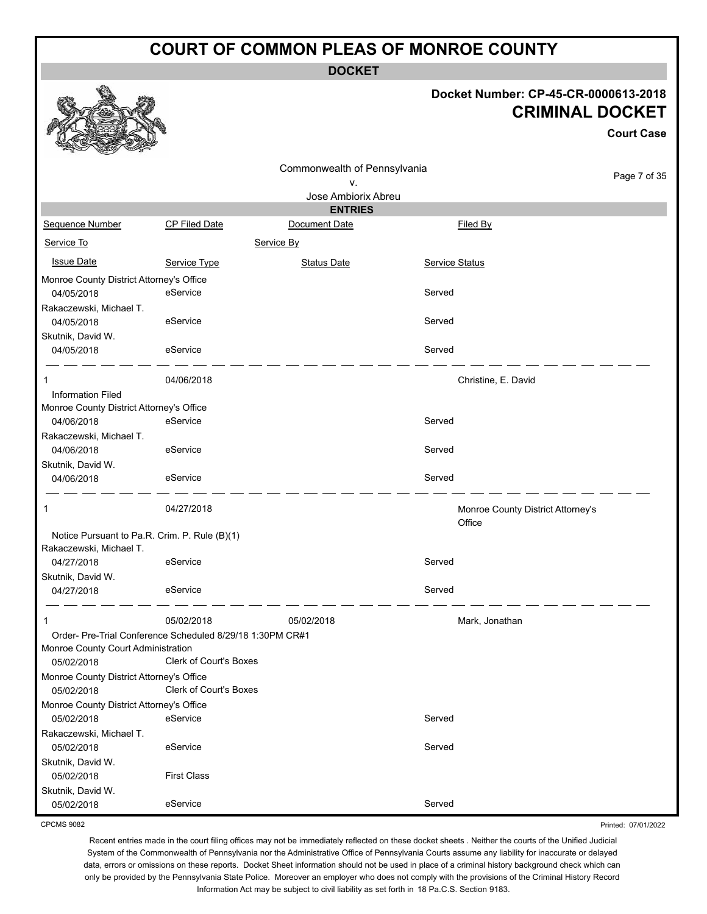**DOCKET**

#### **Docket Number: CP-45-CR-0000613-2018 CRIMINAL DOCKET**

**Court Case**

Printed: 07/01/2022

| ۷.<br>Jose Ambiorix Abreu<br><b>ENTRIES</b><br>Sequence Number<br>CP Filed Date<br>Document Date<br>Filed By<br>Service To<br>Service By<br><b>Issue Date</b><br>Service Status<br>Service Type<br><b>Status Date</b><br>Monroe County District Attorney's Office<br>eService<br>Served<br>04/05/2018<br>Rakaczewski, Michael T.<br>Served<br>04/05/2018<br>eService<br>Skutnik, David W.<br>Served<br>04/05/2018<br>eService<br>04/06/2018<br>Christine, E. David<br><b>Information Filed</b><br>Monroe County District Attorney's Office<br>eService<br>Served<br>04/06/2018<br>Rakaczewski, Michael T.<br>eService<br>Served<br>04/06/2018<br>Skutnik, David W.<br>Served<br>04/06/2018<br>eService<br>04/27/2018<br>1<br>Monroe County District Attorney's<br>Office<br>Notice Pursuant to Pa.R. Crim. P. Rule (B)(1)<br>Rakaczewski, Michael T.<br>Served<br>04/27/2018<br>eService<br>Skutnik, David W.<br>Served<br>04/27/2018<br>eService<br>05/02/2018<br>05/02/2018<br>Mark, Jonathan<br>1<br>Order- Pre-Trial Conference Scheduled 8/29/18 1:30PM CR#1<br>Monroe County Court Administration<br><b>Clerk of Court's Boxes</b><br>05/02/2018<br>Monroe County District Attorney's Office<br>Clerk of Court's Boxes<br>05/02/2018<br>Monroe County District Attorney's Office<br>Served<br>eService<br>05/02/2018<br>Rakaczewski, Michael T.<br>Served<br>eService<br>05/02/2018<br>Skutnik, David W.<br><b>First Class</b><br>05/02/2018<br>Skutnik, David W.<br>Served<br>eService<br>05/02/2018 |  | Commonwealth of Pennsylvania |  |              |
|-------------------------------------------------------------------------------------------------------------------------------------------------------------------------------------------------------------------------------------------------------------------------------------------------------------------------------------------------------------------------------------------------------------------------------------------------------------------------------------------------------------------------------------------------------------------------------------------------------------------------------------------------------------------------------------------------------------------------------------------------------------------------------------------------------------------------------------------------------------------------------------------------------------------------------------------------------------------------------------------------------------------------------------------------------------------------------------------------------------------------------------------------------------------------------------------------------------------------------------------------------------------------------------------------------------------------------------------------------------------------------------------------------------------------------------------------------------------------------------------------------------|--|------------------------------|--|--------------|
|                                                                                                                                                                                                                                                                                                                                                                                                                                                                                                                                                                                                                                                                                                                                                                                                                                                                                                                                                                                                                                                                                                                                                                                                                                                                                                                                                                                                                                                                                                             |  |                              |  | Page 7 of 35 |
|                                                                                                                                                                                                                                                                                                                                                                                                                                                                                                                                                                                                                                                                                                                                                                                                                                                                                                                                                                                                                                                                                                                                                                                                                                                                                                                                                                                                                                                                                                             |  |                              |  |              |
|                                                                                                                                                                                                                                                                                                                                                                                                                                                                                                                                                                                                                                                                                                                                                                                                                                                                                                                                                                                                                                                                                                                                                                                                                                                                                                                                                                                                                                                                                                             |  |                              |  |              |
|                                                                                                                                                                                                                                                                                                                                                                                                                                                                                                                                                                                                                                                                                                                                                                                                                                                                                                                                                                                                                                                                                                                                                                                                                                                                                                                                                                                                                                                                                                             |  |                              |  |              |
|                                                                                                                                                                                                                                                                                                                                                                                                                                                                                                                                                                                                                                                                                                                                                                                                                                                                                                                                                                                                                                                                                                                                                                                                                                                                                                                                                                                                                                                                                                             |  |                              |  |              |
|                                                                                                                                                                                                                                                                                                                                                                                                                                                                                                                                                                                                                                                                                                                                                                                                                                                                                                                                                                                                                                                                                                                                                                                                                                                                                                                                                                                                                                                                                                             |  |                              |  |              |
|                                                                                                                                                                                                                                                                                                                                                                                                                                                                                                                                                                                                                                                                                                                                                                                                                                                                                                                                                                                                                                                                                                                                                                                                                                                                                                                                                                                                                                                                                                             |  |                              |  |              |
|                                                                                                                                                                                                                                                                                                                                                                                                                                                                                                                                                                                                                                                                                                                                                                                                                                                                                                                                                                                                                                                                                                                                                                                                                                                                                                                                                                                                                                                                                                             |  |                              |  |              |
|                                                                                                                                                                                                                                                                                                                                                                                                                                                                                                                                                                                                                                                                                                                                                                                                                                                                                                                                                                                                                                                                                                                                                                                                                                                                                                                                                                                                                                                                                                             |  |                              |  |              |
|                                                                                                                                                                                                                                                                                                                                                                                                                                                                                                                                                                                                                                                                                                                                                                                                                                                                                                                                                                                                                                                                                                                                                                                                                                                                                                                                                                                                                                                                                                             |  |                              |  |              |
|                                                                                                                                                                                                                                                                                                                                                                                                                                                                                                                                                                                                                                                                                                                                                                                                                                                                                                                                                                                                                                                                                                                                                                                                                                                                                                                                                                                                                                                                                                             |  |                              |  |              |
|                                                                                                                                                                                                                                                                                                                                                                                                                                                                                                                                                                                                                                                                                                                                                                                                                                                                                                                                                                                                                                                                                                                                                                                                                                                                                                                                                                                                                                                                                                             |  |                              |  |              |
|                                                                                                                                                                                                                                                                                                                                                                                                                                                                                                                                                                                                                                                                                                                                                                                                                                                                                                                                                                                                                                                                                                                                                                                                                                                                                                                                                                                                                                                                                                             |  |                              |  |              |
|                                                                                                                                                                                                                                                                                                                                                                                                                                                                                                                                                                                                                                                                                                                                                                                                                                                                                                                                                                                                                                                                                                                                                                                                                                                                                                                                                                                                                                                                                                             |  |                              |  |              |
|                                                                                                                                                                                                                                                                                                                                                                                                                                                                                                                                                                                                                                                                                                                                                                                                                                                                                                                                                                                                                                                                                                                                                                                                                                                                                                                                                                                                                                                                                                             |  |                              |  |              |
|                                                                                                                                                                                                                                                                                                                                                                                                                                                                                                                                                                                                                                                                                                                                                                                                                                                                                                                                                                                                                                                                                                                                                                                                                                                                                                                                                                                                                                                                                                             |  |                              |  |              |
|                                                                                                                                                                                                                                                                                                                                                                                                                                                                                                                                                                                                                                                                                                                                                                                                                                                                                                                                                                                                                                                                                                                                                                                                                                                                                                                                                                                                                                                                                                             |  |                              |  |              |
|                                                                                                                                                                                                                                                                                                                                                                                                                                                                                                                                                                                                                                                                                                                                                                                                                                                                                                                                                                                                                                                                                                                                                                                                                                                                                                                                                                                                                                                                                                             |  |                              |  |              |
|                                                                                                                                                                                                                                                                                                                                                                                                                                                                                                                                                                                                                                                                                                                                                                                                                                                                                                                                                                                                                                                                                                                                                                                                                                                                                                                                                                                                                                                                                                             |  |                              |  |              |
|                                                                                                                                                                                                                                                                                                                                                                                                                                                                                                                                                                                                                                                                                                                                                                                                                                                                                                                                                                                                                                                                                                                                                                                                                                                                                                                                                                                                                                                                                                             |  |                              |  |              |
|                                                                                                                                                                                                                                                                                                                                                                                                                                                                                                                                                                                                                                                                                                                                                                                                                                                                                                                                                                                                                                                                                                                                                                                                                                                                                                                                                                                                                                                                                                             |  |                              |  |              |
|                                                                                                                                                                                                                                                                                                                                                                                                                                                                                                                                                                                                                                                                                                                                                                                                                                                                                                                                                                                                                                                                                                                                                                                                                                                                                                                                                                                                                                                                                                             |  |                              |  |              |
|                                                                                                                                                                                                                                                                                                                                                                                                                                                                                                                                                                                                                                                                                                                                                                                                                                                                                                                                                                                                                                                                                                                                                                                                                                                                                                                                                                                                                                                                                                             |  |                              |  |              |
|                                                                                                                                                                                                                                                                                                                                                                                                                                                                                                                                                                                                                                                                                                                                                                                                                                                                                                                                                                                                                                                                                                                                                                                                                                                                                                                                                                                                                                                                                                             |  |                              |  |              |
|                                                                                                                                                                                                                                                                                                                                                                                                                                                                                                                                                                                                                                                                                                                                                                                                                                                                                                                                                                                                                                                                                                                                                                                                                                                                                                                                                                                                                                                                                                             |  |                              |  |              |
|                                                                                                                                                                                                                                                                                                                                                                                                                                                                                                                                                                                                                                                                                                                                                                                                                                                                                                                                                                                                                                                                                                                                                                                                                                                                                                                                                                                                                                                                                                             |  |                              |  |              |
|                                                                                                                                                                                                                                                                                                                                                                                                                                                                                                                                                                                                                                                                                                                                                                                                                                                                                                                                                                                                                                                                                                                                                                                                                                                                                                                                                                                                                                                                                                             |  |                              |  |              |
|                                                                                                                                                                                                                                                                                                                                                                                                                                                                                                                                                                                                                                                                                                                                                                                                                                                                                                                                                                                                                                                                                                                                                                                                                                                                                                                                                                                                                                                                                                             |  |                              |  |              |
|                                                                                                                                                                                                                                                                                                                                                                                                                                                                                                                                                                                                                                                                                                                                                                                                                                                                                                                                                                                                                                                                                                                                                                                                                                                                                                                                                                                                                                                                                                             |  |                              |  |              |
|                                                                                                                                                                                                                                                                                                                                                                                                                                                                                                                                                                                                                                                                                                                                                                                                                                                                                                                                                                                                                                                                                                                                                                                                                                                                                                                                                                                                                                                                                                             |  |                              |  |              |
|                                                                                                                                                                                                                                                                                                                                                                                                                                                                                                                                                                                                                                                                                                                                                                                                                                                                                                                                                                                                                                                                                                                                                                                                                                                                                                                                                                                                                                                                                                             |  |                              |  |              |
|                                                                                                                                                                                                                                                                                                                                                                                                                                                                                                                                                                                                                                                                                                                                                                                                                                                                                                                                                                                                                                                                                                                                                                                                                                                                                                                                                                                                                                                                                                             |  |                              |  |              |
|                                                                                                                                                                                                                                                                                                                                                                                                                                                                                                                                                                                                                                                                                                                                                                                                                                                                                                                                                                                                                                                                                                                                                                                                                                                                                                                                                                                                                                                                                                             |  |                              |  |              |
|                                                                                                                                                                                                                                                                                                                                                                                                                                                                                                                                                                                                                                                                                                                                                                                                                                                                                                                                                                                                                                                                                                                                                                                                                                                                                                                                                                                                                                                                                                             |  |                              |  |              |
|                                                                                                                                                                                                                                                                                                                                                                                                                                                                                                                                                                                                                                                                                                                                                                                                                                                                                                                                                                                                                                                                                                                                                                                                                                                                                                                                                                                                                                                                                                             |  |                              |  |              |
|                                                                                                                                                                                                                                                                                                                                                                                                                                                                                                                                                                                                                                                                                                                                                                                                                                                                                                                                                                                                                                                                                                                                                                                                                                                                                                                                                                                                                                                                                                             |  |                              |  |              |
|                                                                                                                                                                                                                                                                                                                                                                                                                                                                                                                                                                                                                                                                                                                                                                                                                                                                                                                                                                                                                                                                                                                                                                                                                                                                                                                                                                                                                                                                                                             |  |                              |  |              |
|                                                                                                                                                                                                                                                                                                                                                                                                                                                                                                                                                                                                                                                                                                                                                                                                                                                                                                                                                                                                                                                                                                                                                                                                                                                                                                                                                                                                                                                                                                             |  |                              |  |              |
|                                                                                                                                                                                                                                                                                                                                                                                                                                                                                                                                                                                                                                                                                                                                                                                                                                                                                                                                                                                                                                                                                                                                                                                                                                                                                                                                                                                                                                                                                                             |  |                              |  |              |
|                                                                                                                                                                                                                                                                                                                                                                                                                                                                                                                                                                                                                                                                                                                                                                                                                                                                                                                                                                                                                                                                                                                                                                                                                                                                                                                                                                                                                                                                                                             |  |                              |  |              |
|                                                                                                                                                                                                                                                                                                                                                                                                                                                                                                                                                                                                                                                                                                                                                                                                                                                                                                                                                                                                                                                                                                                                                                                                                                                                                                                                                                                                                                                                                                             |  |                              |  |              |

CPCMS 9082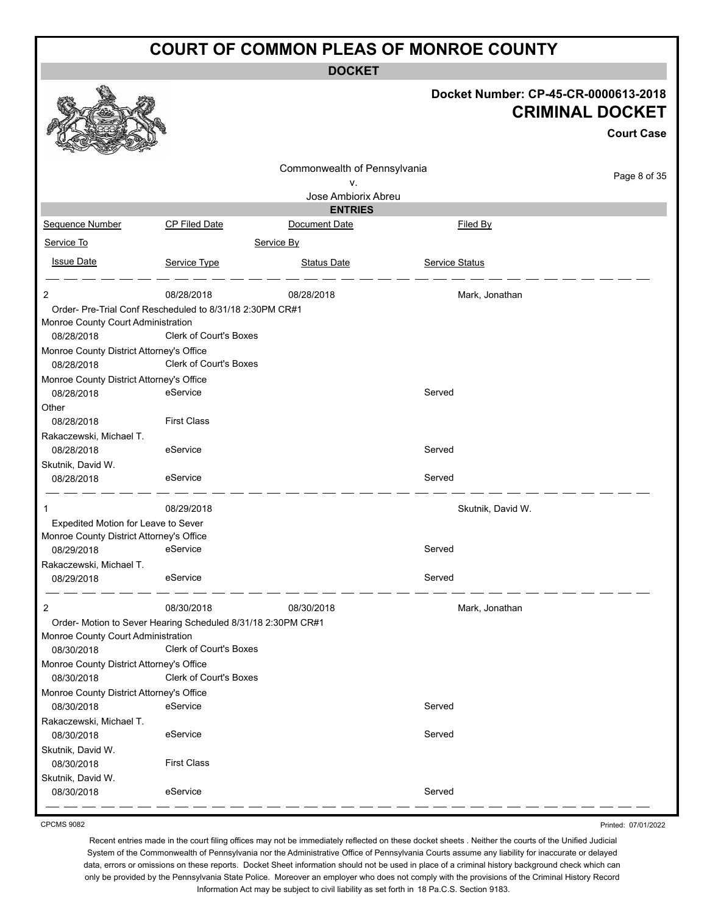**DOCKET**

|                                                              |                               |                              |                   | Docket Number: CP-45-CR-0000613-2018<br><b>CRIMINAL DOCKET</b><br><b>Court Case</b> |
|--------------------------------------------------------------|-------------------------------|------------------------------|-------------------|-------------------------------------------------------------------------------------|
|                                                              |                               | Commonwealth of Pennsylvania |                   |                                                                                     |
|                                                              |                               | ν.                           |                   | Page 8 of 35                                                                        |
|                                                              |                               | Jose Ambiorix Abreu          |                   |                                                                                     |
|                                                              |                               | <b>ENTRIES</b>               |                   |                                                                                     |
| Sequence Number                                              | <b>CP Filed Date</b>          | Document Date                | <b>Filed By</b>   |                                                                                     |
| Service To                                                   |                               | Service By                   |                   |                                                                                     |
| <b>Issue Date</b>                                            | Service Type                  | <b>Status Date</b>           | Service Status    |                                                                                     |
| 2                                                            | 08/28/2018                    | 08/28/2018                   | Mark, Jonathan    |                                                                                     |
| Order- Pre-Trial Conf Rescheduled to 8/31/18 2:30PM CR#1     |                               |                              |                   |                                                                                     |
| Monroe County Court Administration                           |                               |                              |                   |                                                                                     |
| 08/28/2018                                                   | Clerk of Court's Boxes        |                              |                   |                                                                                     |
| Monroe County District Attorney's Office                     |                               |                              |                   |                                                                                     |
| 08/28/2018                                                   | Clerk of Court's Boxes        |                              |                   |                                                                                     |
| Monroe County District Attorney's Office<br>08/28/2018       | eService                      |                              | Served            |                                                                                     |
| Other                                                        |                               |                              |                   |                                                                                     |
| 08/28/2018                                                   | <b>First Class</b>            |                              |                   |                                                                                     |
| Rakaczewski, Michael T.                                      |                               |                              |                   |                                                                                     |
| 08/28/2018                                                   | eService                      |                              | Served            |                                                                                     |
| Skutnik, David W.                                            |                               |                              |                   |                                                                                     |
| 08/28/2018                                                   | eService                      |                              | Served            |                                                                                     |
|                                                              | 08/29/2018                    |                              | Skutnik, David W. |                                                                                     |
| Expedited Motion for Leave to Sever                          |                               |                              |                   |                                                                                     |
| Monroe County District Attorney's Office                     |                               |                              |                   |                                                                                     |
| 08/29/2018                                                   | eService                      |                              | Served            |                                                                                     |
| Rakaczewski, Michael T.<br>08/29/2018                        | eService                      |                              | Served            |                                                                                     |
| 2                                                            | 08/30/2018                    | 08/30/2018                   | Mark, Jonathan    |                                                                                     |
| Order- Motion to Sever Hearing Scheduled 8/31/18 2:30PM CR#1 |                               |                              |                   |                                                                                     |
| Monroe County Court Administration                           |                               |                              |                   |                                                                                     |
| 08/30/2018                                                   | <b>Clerk of Court's Boxes</b> |                              |                   |                                                                                     |
| Monroe County District Attorney's Office<br>08/30/2018       | Clerk of Court's Boxes        |                              |                   |                                                                                     |
| Monroe County District Attorney's Office                     |                               |                              |                   |                                                                                     |
| 08/30/2018                                                   | eService                      |                              | Served            |                                                                                     |
| Rakaczewski, Michael T.                                      |                               |                              |                   |                                                                                     |
| 08/30/2018                                                   | eService                      |                              | Served            |                                                                                     |
| Skutnik, David W.                                            |                               |                              |                   |                                                                                     |
| 08/30/2018                                                   | <b>First Class</b>            |                              |                   |                                                                                     |
| Skutnik, David W.<br>08/30/2018                              | eService                      |                              | Served            |                                                                                     |
|                                                              |                               |                              |                   |                                                                                     |

CPCMS 9082

Printed: 07/01/2022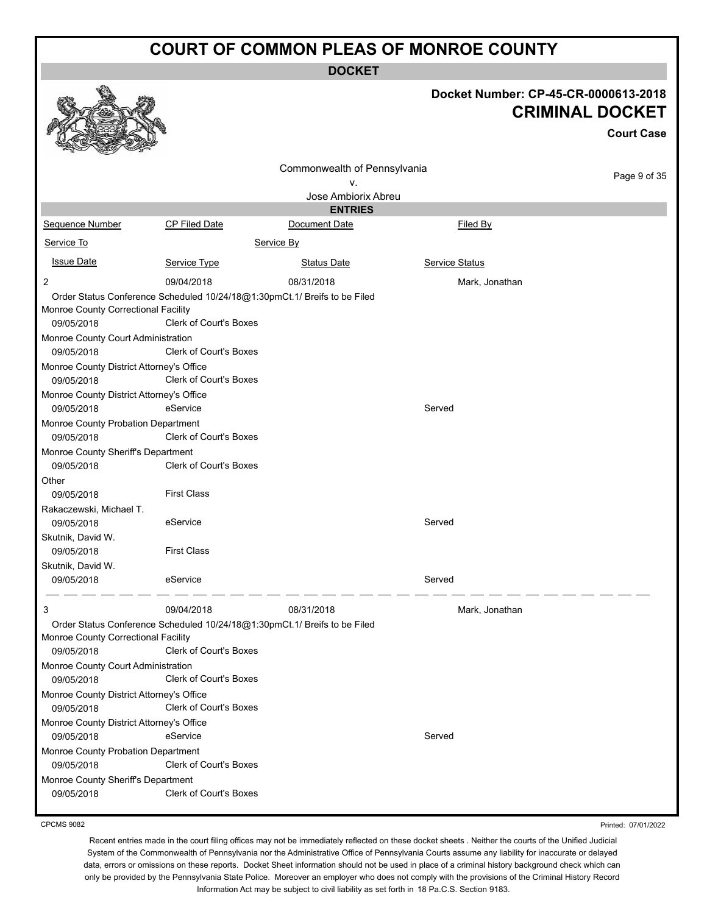**DOCKET**

|                                                                                                                                                                                                                                                                                                                                                                                                                                      |                                                                                                                                                                                                                                                                                 | DUUNE I                      |                                                                                     |
|--------------------------------------------------------------------------------------------------------------------------------------------------------------------------------------------------------------------------------------------------------------------------------------------------------------------------------------------------------------------------------------------------------------------------------------|---------------------------------------------------------------------------------------------------------------------------------------------------------------------------------------------------------------------------------------------------------------------------------|------------------------------|-------------------------------------------------------------------------------------|
|                                                                                                                                                                                                                                                                                                                                                                                                                                      |                                                                                                                                                                                                                                                                                 |                              | Docket Number: CP-45-CR-0000613-2018<br><b>CRIMINAL DOCKET</b><br><b>Court Case</b> |
|                                                                                                                                                                                                                                                                                                                                                                                                                                      |                                                                                                                                                                                                                                                                                 | Commonwealth of Pennsylvania |                                                                                     |
|                                                                                                                                                                                                                                                                                                                                                                                                                                      |                                                                                                                                                                                                                                                                                 | ۷.                           | Page 9 of 35                                                                        |
|                                                                                                                                                                                                                                                                                                                                                                                                                                      |                                                                                                                                                                                                                                                                                 | Jose Ambiorix Abreu          |                                                                                     |
|                                                                                                                                                                                                                                                                                                                                                                                                                                      |                                                                                                                                                                                                                                                                                 | <b>ENTRIES</b>               |                                                                                     |
| Sequence Number                                                                                                                                                                                                                                                                                                                                                                                                                      | <b>CP Filed Date</b>                                                                                                                                                                                                                                                            | Document Date                | Filed By                                                                            |
| Service To                                                                                                                                                                                                                                                                                                                                                                                                                           |                                                                                                                                                                                                                                                                                 | Service By                   |                                                                                     |
| <b>Issue Date</b>                                                                                                                                                                                                                                                                                                                                                                                                                    | Service Type                                                                                                                                                                                                                                                                    | <b>Status Date</b>           | Service Status                                                                      |
| 2                                                                                                                                                                                                                                                                                                                                                                                                                                    | 09/04/2018                                                                                                                                                                                                                                                                      | 08/31/2018                   | Mark, Jonathan                                                                      |
| Monroe County Correctional Facility<br>09/05/2018<br>Monroe County Court Administration<br>09/05/2018<br>Monroe County District Attorney's Office<br>09/05/2018<br>Monroe County District Attorney's Office<br>09/05/2018<br>Monroe County Probation Department<br>09/05/2018<br>Monroe County Sheriff's Department<br>09/05/2018<br>Other<br>09/05/2018<br>Rakaczewski, Michael T.<br>09/05/2018<br>Skutnik, David W.<br>09/05/2018 | Order Status Conference Scheduled 10/24/18@1:30pmCt.1/ Breifs to be Filed<br>Clerk of Court's Boxes<br>Clerk of Court's Boxes<br>Clerk of Court's Boxes<br>eService<br>Clerk of Court's Boxes<br>Clerk of Court's Boxes<br><b>First Class</b><br>eService<br><b>First Class</b> |                              | Served<br>Served                                                                    |
| Skutnik, David W.                                                                                                                                                                                                                                                                                                                                                                                                                    | eService                                                                                                                                                                                                                                                                        |                              | Served                                                                              |
| 09/05/2018                                                                                                                                                                                                                                                                                                                                                                                                                           |                                                                                                                                                                                                                                                                                 |                              |                                                                                     |
| 3                                                                                                                                                                                                                                                                                                                                                                                                                                    | 09/04/2018                                                                                                                                                                                                                                                                      | 08/31/2018                   | Mark, Jonathan                                                                      |
| Monroe County Correctional Facility<br>09/05/2018                                                                                                                                                                                                                                                                                                                                                                                    | Order Status Conference Scheduled 10/24/18@1:30pmCt.1/ Breifs to be Filed<br>Clerk of Court's Boxes                                                                                                                                                                             |                              |                                                                                     |
| Monroe County Court Administration                                                                                                                                                                                                                                                                                                                                                                                                   |                                                                                                                                                                                                                                                                                 |                              |                                                                                     |
| 09/05/2018<br>Monroe County District Attorney's Office<br>09/05/2018<br>Monroe County District Attorney's Office                                                                                                                                                                                                                                                                                                                     | Clerk of Court's Boxes<br>Clerk of Court's Boxes                                                                                                                                                                                                                                |                              |                                                                                     |
| 09/05/2018                                                                                                                                                                                                                                                                                                                                                                                                                           | eService                                                                                                                                                                                                                                                                        |                              | Served                                                                              |
| Monroe County Probation Department<br>09/05/2018                                                                                                                                                                                                                                                                                                                                                                                     | Clerk of Court's Boxes                                                                                                                                                                                                                                                          |                              |                                                                                     |
| Monroe County Sheriff's Department<br>09/05/2018                                                                                                                                                                                                                                                                                                                                                                                     | Clerk of Court's Boxes                                                                                                                                                                                                                                                          |                              |                                                                                     |

CPCMS 9082

Printed: 07/01/2022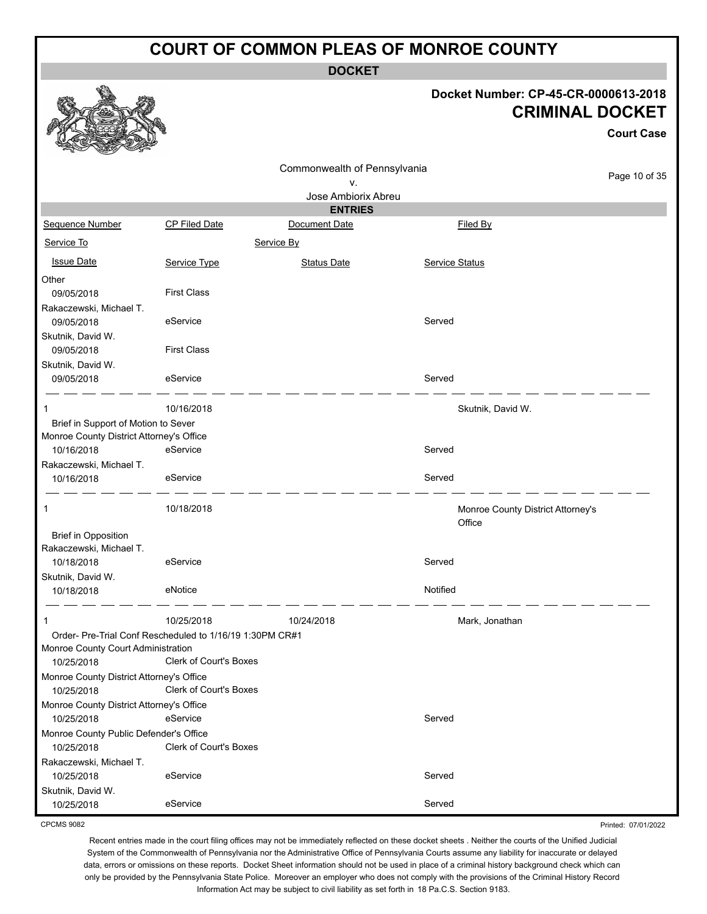**DOCKET**

#### **Docket Number: CP-45-CR-0000613-2018 CRIMINAL DOCKET**

**Court Case**

Printed: 07/01/2022

|                                          |                                                          |                              |                |                                   | <b>Court Case</b> |
|------------------------------------------|----------------------------------------------------------|------------------------------|----------------|-----------------------------------|-------------------|
|                                          |                                                          | Commonwealth of Pennsylvania |                |                                   |                   |
|                                          |                                                          | ۷.                           |                |                                   | Page 10 of 35     |
|                                          |                                                          | Jose Ambiorix Abreu          |                |                                   |                   |
|                                          |                                                          | <b>ENTRIES</b>               |                |                                   |                   |
| Sequence Number                          | CP Filed Date                                            | Document Date                |                | Filed By                          |                   |
| Service To                               |                                                          | Service By                   |                |                                   |                   |
| <b>Issue Date</b>                        | Service Type                                             | <b>Status Date</b>           | Service Status |                                   |                   |
| Other                                    |                                                          |                              |                |                                   |                   |
| 09/05/2018                               | <b>First Class</b>                                       |                              |                |                                   |                   |
| Rakaczewski, Michael T.                  |                                                          |                              |                |                                   |                   |
| 09/05/2018                               | eService                                                 |                              | Served         |                                   |                   |
| Skutnik, David W.                        |                                                          |                              |                |                                   |                   |
| 09/05/2018                               | <b>First Class</b>                                       |                              |                |                                   |                   |
| Skutnik, David W.                        |                                                          |                              |                |                                   |                   |
| 09/05/2018                               | eService                                                 |                              | Served         |                                   |                   |
| -1                                       | 10/16/2018                                               |                              |                | Skutnik, David W.                 |                   |
| Brief in Support of Motion to Sever      |                                                          |                              |                |                                   |                   |
| Monroe County District Attorney's Office |                                                          |                              |                |                                   |                   |
| 10/16/2018                               | eService                                                 |                              | Served         |                                   |                   |
| Rakaczewski, Michael T.                  |                                                          |                              |                |                                   |                   |
| 10/16/2018                               | eService                                                 |                              | Served         |                                   |                   |
| 1                                        | 10/18/2018                                               |                              |                | Monroe County District Attorney's |                   |
|                                          |                                                          |                              |                | Office                            |                   |
| <b>Brief in Opposition</b>               |                                                          |                              |                |                                   |                   |
| Rakaczewski, Michael T.                  |                                                          |                              |                |                                   |                   |
| 10/18/2018                               | eService                                                 |                              | Served         |                                   |                   |
| Skutnik, David W.                        |                                                          |                              |                |                                   |                   |
| 10/18/2018                               | eNotice                                                  |                              | Notified       |                                   |                   |
| -1                                       | 10/25/2018                                               | 10/24/2018                   |                | Mark, Jonathan                    |                   |
|                                          | Order- Pre-Trial Conf Rescheduled to 1/16/19 1:30PM CR#1 |                              |                |                                   |                   |
| Monroe County Court Administration       |                                                          |                              |                |                                   |                   |
| 10/25/2018                               | <b>Clerk of Court's Boxes</b>                            |                              |                |                                   |                   |
| Monroe County District Attorney's Office |                                                          |                              |                |                                   |                   |
| 10/25/2018                               | Clerk of Court's Boxes                                   |                              |                |                                   |                   |
| Monroe County District Attorney's Office |                                                          |                              |                |                                   |                   |
| 10/25/2018                               | eService                                                 |                              | Served         |                                   |                   |
| Monroe County Public Defender's Office   |                                                          |                              |                |                                   |                   |
| 10/25/2018                               | <b>Clerk of Court's Boxes</b>                            |                              |                |                                   |                   |
| Rakaczewski, Michael T.                  |                                                          |                              |                |                                   |                   |
| 10/25/2018                               | eService                                                 |                              | Served         |                                   |                   |
| Skutnik, David W.                        |                                                          |                              |                |                                   |                   |
| 10/25/2018                               | eService                                                 |                              | Served         |                                   |                   |

CPCMS 9082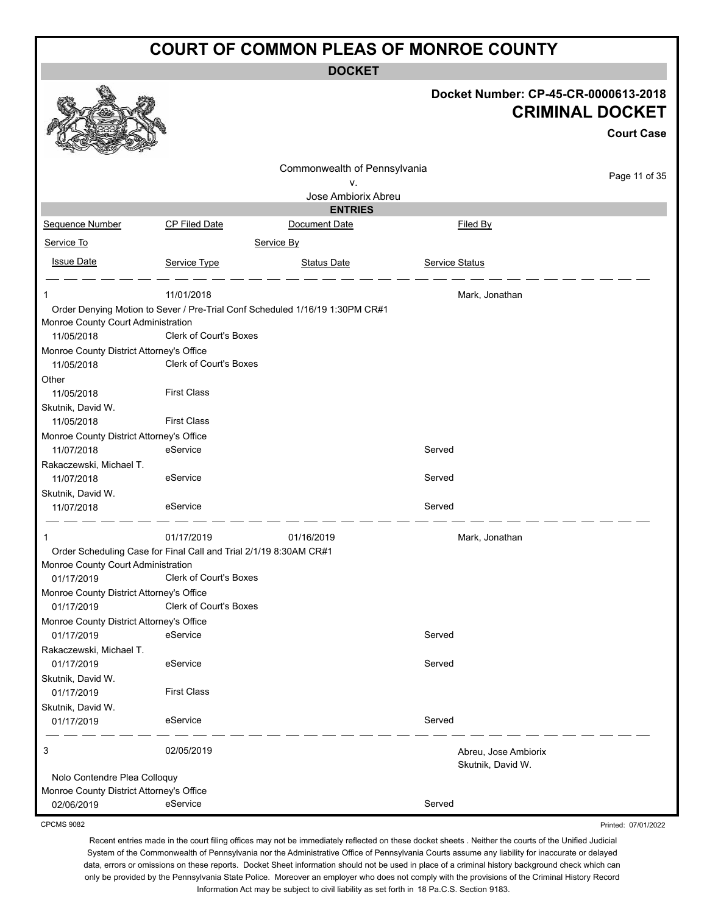**DOCKET**

|                                          |                                                                   |                                                                              |                                           | Docket Number: CP-45-CR-0000613-2018<br><b>CRIMINAL DOCKET</b> |
|------------------------------------------|-------------------------------------------------------------------|------------------------------------------------------------------------------|-------------------------------------------|----------------------------------------------------------------|
|                                          |                                                                   |                                                                              |                                           | <b>Court Case</b>                                              |
|                                          |                                                                   | Commonwealth of Pennsylvania                                                 |                                           |                                                                |
|                                          |                                                                   | ν.                                                                           |                                           | Page 11 of 35                                                  |
|                                          |                                                                   | Jose Ambiorix Abreu                                                          |                                           |                                                                |
|                                          |                                                                   | <b>ENTRIES</b>                                                               |                                           |                                                                |
| Sequence Number                          | <b>CP Filed Date</b>                                              | Document Date                                                                | Filed By                                  |                                                                |
| Service To                               |                                                                   | Service By                                                                   |                                           |                                                                |
| <b>Issue Date</b>                        | Service Type                                                      | <b>Status Date</b>                                                           | Service Status                            |                                                                |
| 1                                        | 11/01/2018                                                        |                                                                              | Mark, Jonathan                            |                                                                |
|                                          |                                                                   | Order Denying Motion to Sever / Pre-Trial Conf Scheduled 1/16/19 1:30PM CR#1 |                                           |                                                                |
| Monroe County Court Administration       |                                                                   |                                                                              |                                           |                                                                |
| 11/05/2018                               | <b>Clerk of Court's Boxes</b>                                     |                                                                              |                                           |                                                                |
| Monroe County District Attorney's Office |                                                                   |                                                                              |                                           |                                                                |
| 11/05/2018                               | <b>Clerk of Court's Boxes</b>                                     |                                                                              |                                           |                                                                |
| Other                                    |                                                                   |                                                                              |                                           |                                                                |
| 11/05/2018                               | <b>First Class</b>                                                |                                                                              |                                           |                                                                |
| Skutnik, David W.                        |                                                                   |                                                                              |                                           |                                                                |
| 11/05/2018                               | <b>First Class</b>                                                |                                                                              |                                           |                                                                |
| Monroe County District Attorney's Office |                                                                   |                                                                              |                                           |                                                                |
| 11/07/2018                               | eService                                                          |                                                                              | Served                                    |                                                                |
| Rakaczewski, Michael T.<br>11/07/2018    | eService                                                          |                                                                              | Served                                    |                                                                |
|                                          |                                                                   |                                                                              |                                           |                                                                |
| Skutnik, David W.<br>11/07/2018          | eService                                                          |                                                                              | Served                                    |                                                                |
|                                          |                                                                   |                                                                              |                                           |                                                                |
|                                          | 01/17/2019                                                        | 01/16/2019                                                                   | Mark, Jonathan                            |                                                                |
| Monroe County Court Administration       | Order Scheduling Case for Final Call and Trial 2/1/19 8:30AM CR#1 |                                                                              |                                           |                                                                |
| 01/17/2019                               | Clerk of Court's Boxes                                            |                                                                              |                                           |                                                                |
| Monroe County District Attorney's Office |                                                                   |                                                                              |                                           |                                                                |
| 01/17/2019                               | <b>Clerk of Court's Boxes</b>                                     |                                                                              |                                           |                                                                |
| Monroe County District Attorney's Office |                                                                   |                                                                              |                                           |                                                                |
| 01/17/2019                               | eService                                                          |                                                                              | Served                                    |                                                                |
| Rakaczewski, Michael T.<br>01/17/2019    | eService                                                          |                                                                              | Served                                    |                                                                |
| Skutnik, David W.                        |                                                                   |                                                                              |                                           |                                                                |
| 01/17/2019                               | <b>First Class</b>                                                |                                                                              |                                           |                                                                |
| Skutnik, David W.                        |                                                                   |                                                                              |                                           |                                                                |
| 01/17/2019                               | eService                                                          |                                                                              | Served                                    |                                                                |
| 3                                        | 02/05/2019                                                        |                                                                              | Abreu, Jose Ambiorix<br>Skutnik, David W. |                                                                |
| Nolo Contendre Plea Colloquy             |                                                                   |                                                                              |                                           |                                                                |
| Monroe County District Attorney's Office |                                                                   |                                                                              |                                           |                                                                |
| 02/06/2019                               | eService                                                          |                                                                              | Served                                    |                                                                |

CPCMS 9082

Recent entries made in the court filing offices may not be immediately reflected on these docket sheets . Neither the courts of the Unified Judicial System of the Commonwealth of Pennsylvania nor the Administrative Office of Pennsylvania Courts assume any liability for inaccurate or delayed data, errors or omissions on these reports. Docket Sheet information should not be used in place of a criminal history background check which can only be provided by the Pennsylvania State Police. Moreover an employer who does not comply with the provisions of the Criminal History Record Information Act may be subject to civil liability as set forth in 18 Pa.C.S. Section 9183.

Printed: 07/01/2022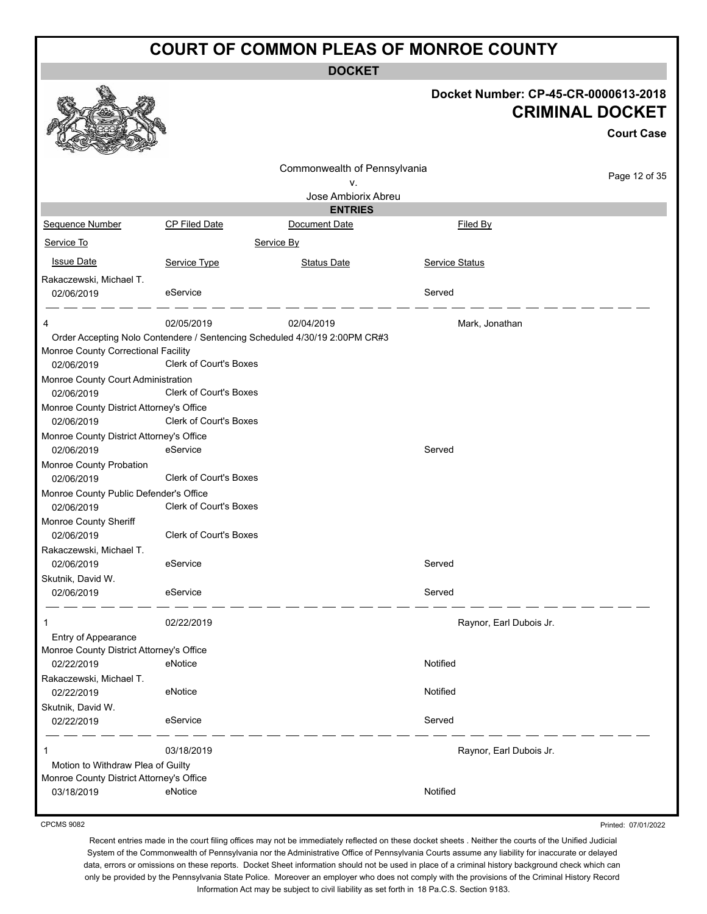**DOCKET**

|                                                        |                                                                            | DUUNE I                      |                |                                                                |
|--------------------------------------------------------|----------------------------------------------------------------------------|------------------------------|----------------|----------------------------------------------------------------|
|                                                        |                                                                            |                              |                | Docket Number: CP-45-CR-0000613-2018<br><b>CRIMINAL DOCKET</b> |
|                                                        |                                                                            |                              |                | <b>Court Case</b>                                              |
|                                                        |                                                                            | Commonwealth of Pennsylvania |                |                                                                |
|                                                        |                                                                            | ۷.                           |                | Page 12 of 35                                                  |
|                                                        |                                                                            | Jose Ambiorix Abreu          |                |                                                                |
|                                                        |                                                                            | <b>ENTRIES</b>               |                |                                                                |
| Sequence Number                                        | CP Filed Date                                                              | Document Date                | Filed By       |                                                                |
| Service To                                             |                                                                            | Service By                   |                |                                                                |
| <b>Issue Date</b>                                      | Service Type                                                               | <b>Status Date</b>           | Service Status |                                                                |
| Rakaczewski, Michael T.                                |                                                                            |                              |                |                                                                |
| 02/06/2019                                             | eService                                                                   |                              | Served         |                                                                |
| 4                                                      | 02/05/2019                                                                 | 02/04/2019                   |                | Mark, Jonathan                                                 |
|                                                        | Order Accepting Nolo Contendere / Sentencing Scheduled 4/30/19 2:00PM CR#3 |                              |                |                                                                |
| Monroe County Correctional Facility                    |                                                                            |                              |                |                                                                |
| 02/06/2019                                             | Clerk of Court's Boxes                                                     |                              |                |                                                                |
| Monroe County Court Administration                     | <b>Clerk of Court's Boxes</b>                                              |                              |                |                                                                |
| 02/06/2019                                             |                                                                            |                              |                |                                                                |
| Monroe County District Attorney's Office<br>02/06/2019 | Clerk of Court's Boxes                                                     |                              |                |                                                                |
| Monroe County District Attorney's Office               |                                                                            |                              |                |                                                                |
| 02/06/2019                                             | eService                                                                   |                              | Served         |                                                                |
| Monroe County Probation                                |                                                                            |                              |                |                                                                |
| 02/06/2019                                             | <b>Clerk of Court's Boxes</b>                                              |                              |                |                                                                |
| Monroe County Public Defender's Office                 |                                                                            |                              |                |                                                                |
| 02/06/2019                                             | <b>Clerk of Court's Boxes</b>                                              |                              |                |                                                                |
| Monroe County Sheriff                                  |                                                                            |                              |                |                                                                |
| 02/06/2019                                             | <b>Clerk of Court's Boxes</b>                                              |                              |                |                                                                |
| Rakaczewski, Michael T.                                |                                                                            |                              |                |                                                                |
| 02/06/2019                                             | eService                                                                   |                              | Served         |                                                                |
| Skutnik, David W.                                      |                                                                            |                              |                |                                                                |
| 02/06/2019                                             | eService                                                                   |                              | Served         |                                                                |
| 1                                                      | 02/22/2019                                                                 |                              |                | Raynor, Earl Dubois Jr.                                        |
| Entry of Appearance                                    |                                                                            |                              |                |                                                                |
| Monroe County District Attorney's Office               |                                                                            |                              |                |                                                                |
| 02/22/2019                                             | eNotice                                                                    |                              | Notified       |                                                                |
| Rakaczewski, Michael T.                                |                                                                            |                              |                |                                                                |
| 02/22/2019                                             | eNotice                                                                    |                              | Notified       |                                                                |
| Skutnik, David W.                                      |                                                                            |                              |                |                                                                |
| 02/22/2019                                             | eService                                                                   |                              | Served         |                                                                |
| 1                                                      | 03/18/2019                                                                 |                              |                | Raynor, Earl Dubois Jr.                                        |
| Motion to Withdraw Plea of Guilty                      |                                                                            |                              |                |                                                                |
| Monroe County District Attorney's Office               |                                                                            |                              | Notified       |                                                                |
| 03/18/2019                                             | eNotice                                                                    |                              |                |                                                                |

CPCMS 9082

Printed: 07/01/2022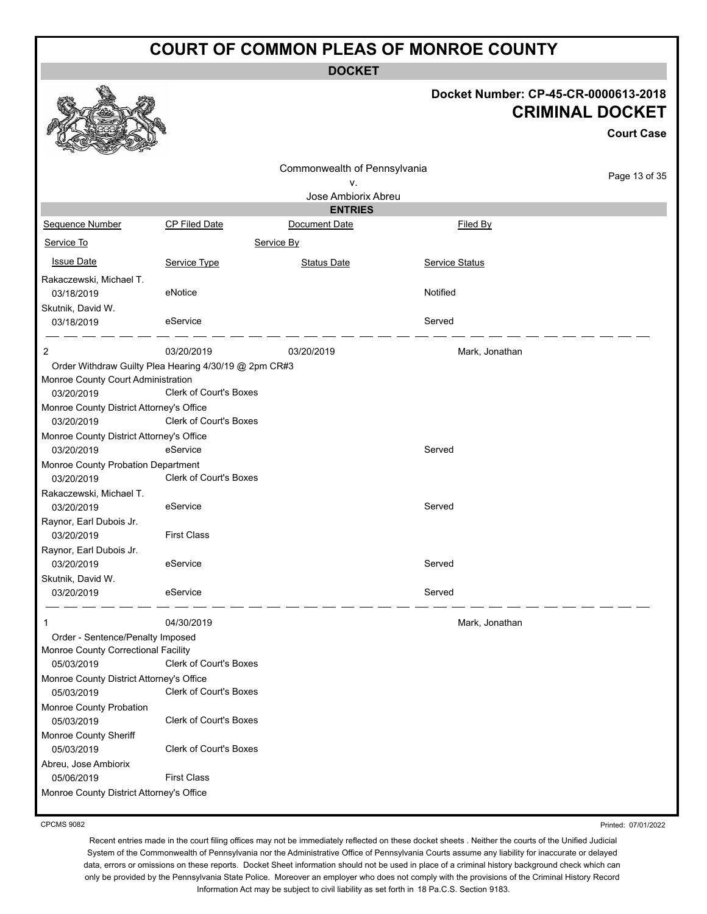**DOCKET**

|                                                   |                                                                                 | <b>DUUNEI</b>                |                       |                                                                                     |
|---------------------------------------------------|---------------------------------------------------------------------------------|------------------------------|-----------------------|-------------------------------------------------------------------------------------|
|                                                   |                                                                                 |                              |                       | Docket Number: CP-45-CR-0000613-2018<br><b>CRIMINAL DOCKET</b><br><b>Court Case</b> |
|                                                   |                                                                                 | Commonwealth of Pennsylvania |                       |                                                                                     |
|                                                   |                                                                                 | ۷.                           |                       | Page 13 of 35                                                                       |
|                                                   |                                                                                 | Jose Ambiorix Abreu          |                       |                                                                                     |
|                                                   |                                                                                 | <b>ENTRIES</b>               |                       |                                                                                     |
| Sequence Number                                   | CP Filed Date                                                                   | Document Date                | Filed By              |                                                                                     |
| Service To                                        |                                                                                 | Service By                   |                       |                                                                                     |
| <b>Issue Date</b>                                 | Service Type                                                                    | <b>Status Date</b>           | <b>Service Status</b> |                                                                                     |
| Rakaczewski, Michael T.<br>03/18/2019             | eNotice                                                                         |                              | Notified              |                                                                                     |
| Skutnik, David W.<br>03/18/2019                   | eService                                                                        |                              | Served                |                                                                                     |
| $\overline{c}$                                    | 03/20/2019                                                                      | 03/20/2019                   | Mark, Jonathan        |                                                                                     |
| Monroe County Court Administration<br>03/20/2019  | Order Withdraw Guilty Plea Hearing 4/30/19 @ 2pm CR#3<br>Clerk of Court's Boxes |                              |                       |                                                                                     |
| Monroe County District Attorney's Office          |                                                                                 |                              |                       |                                                                                     |
| 03/20/2019                                        | Clerk of Court's Boxes                                                          |                              |                       |                                                                                     |
| Monroe County District Attorney's Office          |                                                                                 |                              |                       |                                                                                     |
| 03/20/2019                                        | eService                                                                        |                              | Served                |                                                                                     |
| Monroe County Probation Department                |                                                                                 |                              |                       |                                                                                     |
| 03/20/2019                                        | Clerk of Court's Boxes                                                          |                              |                       |                                                                                     |
| Rakaczewski, Michael T.<br>03/20/2019             | eService                                                                        |                              | Served                |                                                                                     |
| Raynor, Earl Dubois Jr.                           |                                                                                 |                              |                       |                                                                                     |
| 03/20/2019                                        | <b>First Class</b>                                                              |                              |                       |                                                                                     |
| Raynor, Earl Dubois Jr.                           |                                                                                 |                              |                       |                                                                                     |
| 03/20/2019                                        | eService                                                                        |                              | Served                |                                                                                     |
| Skutnik, David W.                                 |                                                                                 |                              |                       |                                                                                     |
| 03/20/2019                                        | eService                                                                        |                              | Served                |                                                                                     |
| 1                                                 | 04/30/2019                                                                      |                              | Mark, Jonathan        |                                                                                     |
| Order - Sentence/Penalty Imposed                  |                                                                                 |                              |                       |                                                                                     |
| Monroe County Correctional Facility<br>05/03/2019 | Clerk of Court's Boxes                                                          |                              |                       |                                                                                     |
| Monroe County District Attorney's Office          |                                                                                 |                              |                       |                                                                                     |
| 05/03/2019                                        | Clerk of Court's Boxes                                                          |                              |                       |                                                                                     |
| Monroe County Probation                           |                                                                                 |                              |                       |                                                                                     |
| 05/03/2019                                        | Clerk of Court's Boxes                                                          |                              |                       |                                                                                     |
| Monroe County Sheriff                             |                                                                                 |                              |                       |                                                                                     |
| 05/03/2019                                        | Clerk of Court's Boxes                                                          |                              |                       |                                                                                     |
| Abreu, Jose Ambiorix                              |                                                                                 |                              |                       |                                                                                     |
| 05/06/2019                                        | <b>First Class</b>                                                              |                              |                       |                                                                                     |
| Monroe County District Attorney's Office          |                                                                                 |                              |                       |                                                                                     |

CPCMS 9082

Printed: 07/01/2022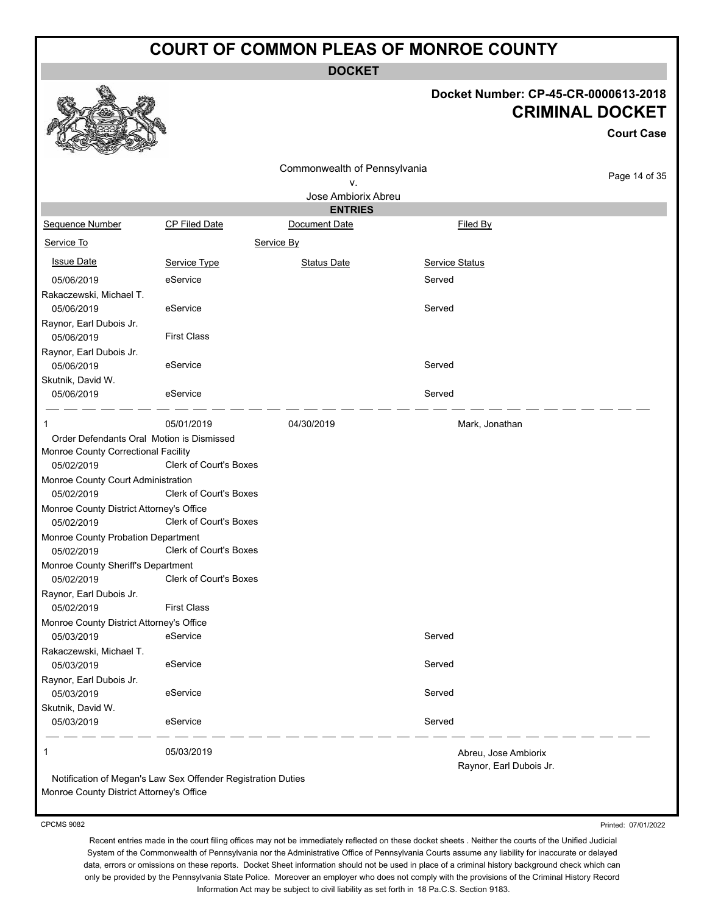**DOCKET**

#### **Docket Number: CP-45-CR-0000613-2018 CRIMINAL DOCKET**

**Court Case**

Page 14 of 35

|                                           |                               | Commonwealth of Pennsylvania |                                                 |  |
|-------------------------------------------|-------------------------------|------------------------------|-------------------------------------------------|--|
|                                           |                               | ۷.                           |                                                 |  |
|                                           |                               | Jose Ambiorix Abreu          |                                                 |  |
|                                           |                               | <b>ENTRIES</b>               |                                                 |  |
| Sequence Number                           | <b>CP Filed Date</b>          | Document Date                | Filed By                                        |  |
| Service To                                |                               | Service By                   |                                                 |  |
| <b>Issue Date</b>                         | Service Type                  | <b>Status Date</b>           | <b>Service Status</b>                           |  |
| 05/06/2019                                | eService                      |                              | Served                                          |  |
| Rakaczewski, Michael T.                   |                               |                              |                                                 |  |
| 05/06/2019                                | eService                      |                              | Served                                          |  |
| Raynor, Earl Dubois Jr.                   |                               |                              |                                                 |  |
| 05/06/2019                                | <b>First Class</b>            |                              |                                                 |  |
| Raynor, Earl Dubois Jr.                   |                               |                              |                                                 |  |
| 05/06/2019                                | eService                      |                              | Served                                          |  |
| Skutnik, David W.                         |                               |                              |                                                 |  |
| 05/06/2019                                | eService                      |                              | Served                                          |  |
| 1                                         | 05/01/2019                    | 04/30/2019                   | Mark, Jonathan                                  |  |
| Order Defendants Oral Motion is Dismissed |                               |                              |                                                 |  |
| Monroe County Correctional Facility       |                               |                              |                                                 |  |
| 05/02/2019                                | Clerk of Court's Boxes        |                              |                                                 |  |
| Monroe County Court Administration        |                               |                              |                                                 |  |
| 05/02/2019                                | Clerk of Court's Boxes        |                              |                                                 |  |
| Monroe County District Attorney's Office  |                               |                              |                                                 |  |
| 05/02/2019                                | Clerk of Court's Boxes        |                              |                                                 |  |
| Monroe County Probation Department        |                               |                              |                                                 |  |
| 05/02/2019                                | <b>Clerk of Court's Boxes</b> |                              |                                                 |  |
| Monroe County Sheriff's Department        |                               |                              |                                                 |  |
| 05/02/2019                                | <b>Clerk of Court's Boxes</b> |                              |                                                 |  |
| Raynor, Earl Dubois Jr.                   |                               |                              |                                                 |  |
| 05/02/2019                                | <b>First Class</b>            |                              |                                                 |  |
| Monroe County District Attorney's Office  |                               |                              |                                                 |  |
| 05/03/2019                                | eService                      |                              | Served                                          |  |
| Rakaczewski, Michael T.                   |                               |                              |                                                 |  |
| 05/03/2019                                | eService                      |                              | Served                                          |  |
| Raynor, Earl Dubois Jr.                   |                               |                              |                                                 |  |
| 05/03/2019                                | eService                      |                              | Served                                          |  |
| Skutnik, David W.                         |                               |                              |                                                 |  |
| 05/03/2019                                | eService                      |                              | Served                                          |  |
| 1                                         | 05/03/2019                    |                              | Abreu, Jose Ambiorix<br>Raynor, Earl Dubois Jr. |  |
|                                           |                               |                              |                                                 |  |

Notification of Megan's Law Sex Offender Registration Duties Monroe County District Attorney's Office

CPCMS 9082

Printed: 07/01/2022

Recent entries made in the court filing offices may not be immediately reflected on these docket sheets . Neither the courts of the Unified Judicial System of the Commonwealth of Pennsylvania nor the Administrative Office of Pennsylvania Courts assume any liability for inaccurate or delayed data, errors or omissions on these reports. Docket Sheet information should not be used in place of a criminal history background check which can only be provided by the Pennsylvania State Police. Moreover an employer who does not comply with the provisions of the Criminal History Record Information Act may be subject to civil liability as set forth in 18 Pa.C.S. Section 9183.

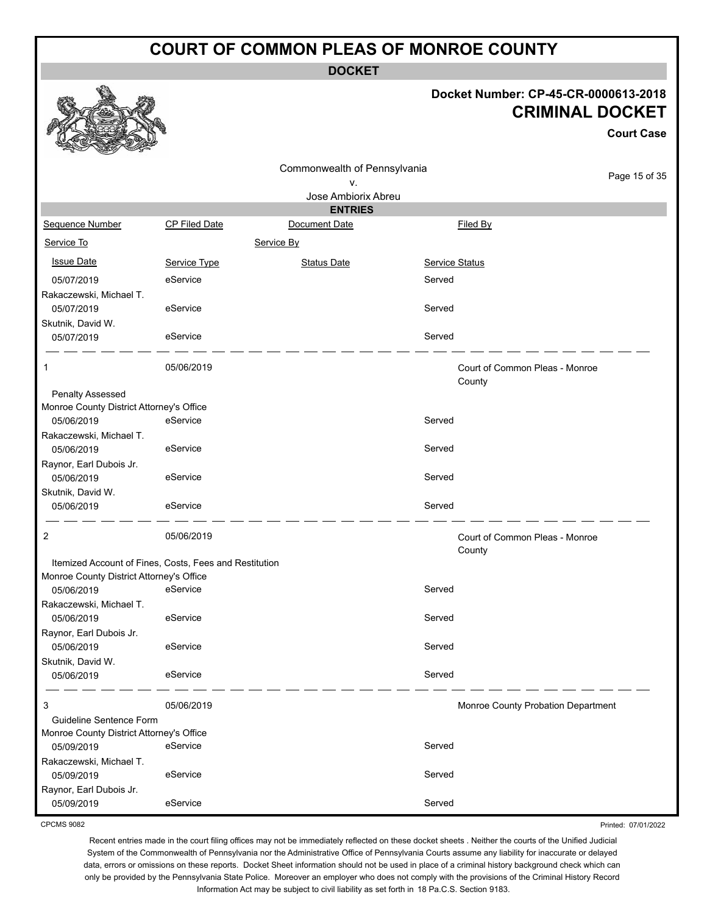**DOCKET**

Commonwealth of Pennsylvania

# **Docket Number: CP-45-CR-0000613-2018 CRIMINAL DOCKET**

**Court Case**

Printed: 07/01/2022

|                                                                     |                                                        | ν.                  |                       | Page 15 of 35                            |
|---------------------------------------------------------------------|--------------------------------------------------------|---------------------|-----------------------|------------------------------------------|
|                                                                     |                                                        | Jose Ambiorix Abreu |                       |                                          |
|                                                                     |                                                        | <b>ENTRIES</b>      |                       |                                          |
| Sequence Number                                                     | <b>CP Filed Date</b>                                   | Document Date       |                       | Filed By                                 |
| Service To                                                          | Service By                                             |                     |                       |                                          |
| <b>Issue Date</b>                                                   | Service Type                                           | <b>Status Date</b>  | <b>Service Status</b> |                                          |
| 05/07/2019                                                          | eService                                               |                     | Served                |                                          |
| Rakaczewski, Michael T.                                             |                                                        |                     |                       |                                          |
| 05/07/2019                                                          | eService                                               |                     | Served                |                                          |
| Skutnik, David W.                                                   |                                                        |                     |                       |                                          |
| 05/07/2019                                                          | eService                                               |                     | Served                |                                          |
| $\mathbf{1}$                                                        | 05/06/2019                                             |                     |                       | Court of Common Pleas - Monroe<br>County |
| <b>Penalty Assessed</b><br>Monroe County District Attorney's Office |                                                        |                     |                       |                                          |
| 05/06/2019                                                          | eService                                               |                     | Served                |                                          |
| Rakaczewski, Michael T.                                             |                                                        |                     |                       |                                          |
| 05/06/2019                                                          | eService                                               |                     | Served                |                                          |
| Raynor, Earl Dubois Jr.                                             |                                                        |                     |                       |                                          |
| 05/06/2019                                                          | eService                                               |                     | Served                |                                          |
| Skutnik, David W.                                                   |                                                        |                     |                       |                                          |
| 05/06/2019                                                          | eService                                               |                     | Served                |                                          |
| 2                                                                   | 05/06/2019                                             |                     |                       | Court of Common Pleas - Monroe<br>County |
|                                                                     | Itemized Account of Fines, Costs, Fees and Restitution |                     |                       |                                          |
| Monroe County District Attorney's Office                            |                                                        |                     |                       |                                          |
| 05/06/2019                                                          | eService                                               |                     | Served                |                                          |
| Rakaczewski, Michael T.                                             |                                                        |                     |                       |                                          |
| 05/06/2019                                                          | eService                                               |                     | Served                |                                          |
| Raynor, Earl Dubois Jr.                                             |                                                        |                     |                       |                                          |
| 05/06/2019                                                          | eService                                               |                     | Served                |                                          |
| Skutnik, David W.                                                   |                                                        |                     |                       |                                          |
| 05/06/2019                                                          | eService                                               |                     | Served                |                                          |
| 3                                                                   | 05/06/2019                                             |                     |                       | Monroe County Probation Department       |
| Guideline Sentence Form                                             |                                                        |                     |                       |                                          |
| Monroe County District Attorney's Office                            |                                                        |                     |                       |                                          |
| 05/09/2019                                                          | eService                                               |                     | Served                |                                          |
| Rakaczewski, Michael T.                                             |                                                        |                     |                       |                                          |
| 05/09/2019                                                          | eService                                               |                     | Served                |                                          |
| Raynor, Earl Dubois Jr.                                             | eService                                               |                     | Served                |                                          |
| 05/09/2019                                                          |                                                        |                     |                       |                                          |

CPCMS 9082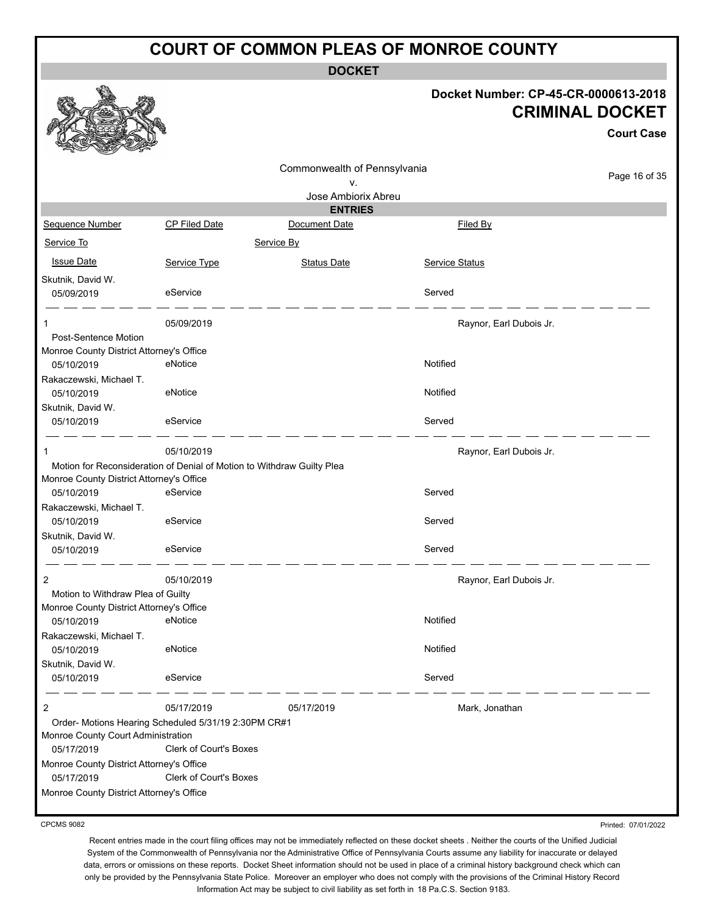**DOCKET**

### **Docket Number: CP-45-CR-0000613-2018 CRIMINAL DOCKET**

|                                          |                                                                        |                              |                         | <b>Court Case</b> |
|------------------------------------------|------------------------------------------------------------------------|------------------------------|-------------------------|-------------------|
|                                          |                                                                        | Commonwealth of Pennsylvania |                         |                   |
|                                          |                                                                        | ۷.                           |                         | Page 16 of 35     |
|                                          |                                                                        | Jose Ambiorix Abreu          |                         |                   |
|                                          |                                                                        | <b>ENTRIES</b>               |                         |                   |
| Sequence Number                          | <b>CP Filed Date</b>                                                   | Document Date                | <b>Filed By</b>         |                   |
| Service To                               |                                                                        | Service By                   |                         |                   |
| <b>Issue Date</b>                        | Service Type                                                           | <b>Status Date</b>           | <b>Service Status</b>   |                   |
| Skutnik, David W.<br>05/09/2019          | eService                                                               |                              | Served                  |                   |
| 1                                        | 05/09/2019                                                             |                              | Raynor, Earl Dubois Jr. |                   |
| <b>Post-Sentence Motion</b>              |                                                                        |                              |                         |                   |
| Monroe County District Attorney's Office |                                                                        |                              |                         |                   |
| 05/10/2019                               | eNotice                                                                |                              | Notified                |                   |
| Rakaczewski, Michael T.                  |                                                                        |                              |                         |                   |
| 05/10/2019                               | eNotice                                                                |                              | Notified                |                   |
| Skutnik, David W.                        |                                                                        |                              |                         |                   |
| 05/10/2019                               | eService                                                               |                              | Served                  |                   |
|                                          | 05/10/2019                                                             |                              | Raynor, Earl Dubois Jr. |                   |
|                                          | Motion for Reconsideration of Denial of Motion to Withdraw Guilty Plea |                              |                         |                   |
| Monroe County District Attorney's Office |                                                                        |                              |                         |                   |
| 05/10/2019                               | eService                                                               |                              | Served                  |                   |
| Rakaczewski, Michael T.                  |                                                                        |                              |                         |                   |
| 05/10/2019                               | eService                                                               |                              | Served                  |                   |
| Skutnik, David W.                        |                                                                        |                              |                         |                   |
| 05/10/2019                               | eService                                                               |                              | Served                  |                   |
| 2                                        | 05/10/2019                                                             |                              | Raynor, Earl Dubois Jr. |                   |
| Motion to Withdraw Plea of Guilty        |                                                                        |                              |                         |                   |
| Monroe County District Attorney's Office |                                                                        |                              |                         |                   |
| 05/10/2019                               | eNotice                                                                |                              | Notified                |                   |
| Rakaczewski, Michael T.                  |                                                                        |                              |                         |                   |
| 05/10/2019                               | eNotice                                                                |                              | Notified                |                   |
| Skutnik, David W.                        |                                                                        |                              |                         |                   |
| 05/10/2019                               | eService                                                               |                              | Served                  |                   |
| 2                                        | 05/17/2019                                                             | 05/17/2019                   | Mark, Jonathan          |                   |
|                                          | Order- Motions Hearing Scheduled 5/31/19 2:30PM CR#1                   |                              |                         |                   |
| Monroe County Court Administration       |                                                                        |                              |                         |                   |
| 05/17/2019                               | <b>Clerk of Court's Boxes</b>                                          |                              |                         |                   |
| Monroe County District Attorney's Office |                                                                        |                              |                         |                   |
| 05/17/2019                               | <b>Clerk of Court's Boxes</b>                                          |                              |                         |                   |
| Monroe County District Attorney's Office |                                                                        |                              |                         |                   |

CPCMS 9082

Printed: 07/01/2022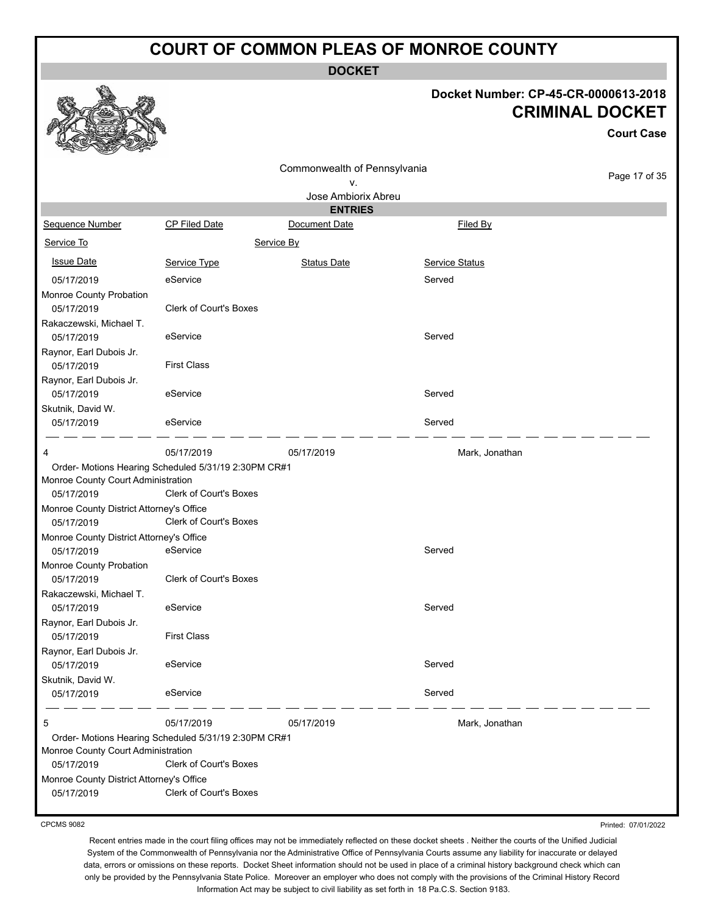**DOCKET**

# **Docket Number: CP-45-CR-0000613-2018 CRIMINAL DOCKET**

**Court Case**

| S<br>$\mathcal{L}$<br><b>REAL PROPERTY</b> |                                                      |                              |                |               |
|--------------------------------------------|------------------------------------------------------|------------------------------|----------------|---------------|
|                                            |                                                      | Commonwealth of Pennsylvania |                |               |
|                                            |                                                      | ۷.                           |                | Page 17 of 35 |
|                                            |                                                      | Jose Ambiorix Abreu          |                |               |
|                                            |                                                      | <b>ENTRIES</b>               |                |               |
| Sequence Number                            | <b>CP Filed Date</b>                                 | Document Date                | Filed By       |               |
| Service To                                 |                                                      | Service By                   |                |               |
| <b>Issue Date</b>                          | Service Type                                         | <b>Status Date</b>           | Service Status |               |
| 05/17/2019                                 | eService                                             |                              | Served         |               |
| Monroe County Probation                    |                                                      |                              |                |               |
| 05/17/2019                                 | <b>Clerk of Court's Boxes</b>                        |                              |                |               |
| Rakaczewski, Michael T.                    |                                                      |                              |                |               |
| 05/17/2019                                 | eService                                             |                              | Served         |               |
| Raynor, Earl Dubois Jr.                    |                                                      |                              |                |               |
| 05/17/2019                                 | <b>First Class</b>                                   |                              |                |               |
| Raynor, Earl Dubois Jr.                    |                                                      |                              |                |               |
| 05/17/2019                                 | eService                                             |                              | Served         |               |
| Skutnik, David W.                          |                                                      |                              |                |               |
| 05/17/2019                                 | eService                                             |                              | Served         |               |
| 4                                          | 05/17/2019                                           | 05/17/2019                   | Mark, Jonathan |               |
|                                            | Order- Motions Hearing Scheduled 5/31/19 2:30PM CR#1 |                              |                |               |
| Monroe County Court Administration         |                                                      |                              |                |               |
| 05/17/2019                                 | <b>Clerk of Court's Boxes</b>                        |                              |                |               |
| Monroe County District Attorney's Office   |                                                      |                              |                |               |
| 05/17/2019                                 | Clerk of Court's Boxes                               |                              |                |               |
| Monroe County District Attorney's Office   |                                                      |                              |                |               |
| 05/17/2019                                 | eService                                             |                              | Served         |               |
| Monroe County Probation                    |                                                      |                              |                |               |
| 05/17/2019                                 | <b>Clerk of Court's Boxes</b>                        |                              |                |               |
| Rakaczewski, Michael T.                    |                                                      |                              |                |               |
| 05/17/2019                                 | eService                                             |                              | Served         |               |
| Raynor, Earl Dubois Jr.                    |                                                      |                              |                |               |
| 05/17/2019                                 | <b>First Class</b>                                   |                              |                |               |
| Raynor, Earl Dubois Jr.                    |                                                      |                              |                |               |
| 05/17/2019                                 | eService                                             |                              | Served         |               |
| Skutnik, David W.                          |                                                      |                              |                |               |
| 05/17/2019                                 | eService                                             |                              | Served         |               |
| 5                                          | 05/17/2019                                           | 05/17/2019                   | Mark, Jonathan |               |
|                                            | Order- Motions Hearing Scheduled 5/31/19 2:30PM CR#1 |                              |                |               |
| Monroe County Court Administration         |                                                      |                              |                |               |
| 05/17/2019                                 | <b>Clerk of Court's Boxes</b>                        |                              |                |               |
| Monroe County District Attorney's Office   |                                                      |                              |                |               |
| 05/17/2019                                 | <b>Clerk of Court's Boxes</b>                        |                              |                |               |
|                                            |                                                      |                              |                |               |

CPCMS 9082

Printed: 07/01/2022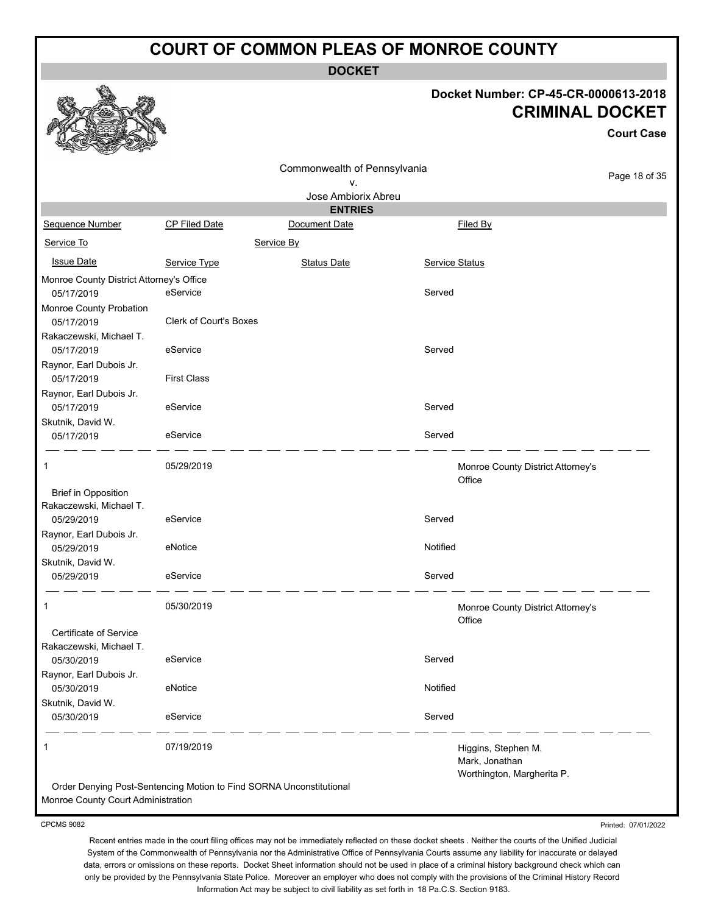**DOCKET**

#### **Docket Number: CP-45-CR-0000613-2018 CRIMINAL DOCKET**

**Court Case**

|                                          |                                                                     | Commonwealth of Pennsylvania |                |                                                                     | Page 18 of 35 |
|------------------------------------------|---------------------------------------------------------------------|------------------------------|----------------|---------------------------------------------------------------------|---------------|
|                                          |                                                                     | ٧.                           |                |                                                                     |               |
|                                          |                                                                     | Jose Ambiorix Abreu          |                |                                                                     |               |
|                                          |                                                                     | <b>ENTRIES</b>               |                |                                                                     |               |
| Sequence Number                          | CP Filed Date                                                       | Document Date                |                | Filed By                                                            |               |
| Service To                               |                                                                     | Service By                   |                |                                                                     |               |
| <b>Issue Date</b>                        | Service Type                                                        | <b>Status Date</b>           | Service Status |                                                                     |               |
| Monroe County District Attorney's Office |                                                                     |                              |                |                                                                     |               |
| 05/17/2019                               | eService                                                            |                              | Served         |                                                                     |               |
| Monroe County Probation                  |                                                                     |                              |                |                                                                     |               |
| 05/17/2019                               | Clerk of Court's Boxes                                              |                              |                |                                                                     |               |
| Rakaczewski, Michael T.                  |                                                                     |                              |                |                                                                     |               |
| 05/17/2019                               | eService                                                            |                              | Served         |                                                                     |               |
| Raynor, Earl Dubois Jr.                  |                                                                     |                              |                |                                                                     |               |
| 05/17/2019                               | <b>First Class</b>                                                  |                              |                |                                                                     |               |
| Raynor, Earl Dubois Jr.                  |                                                                     |                              |                |                                                                     |               |
| 05/17/2019                               | eService                                                            |                              | Served         |                                                                     |               |
| Skutnik, David W.                        |                                                                     |                              |                |                                                                     |               |
| 05/17/2019                               | eService                                                            |                              | Served         |                                                                     |               |
| 1                                        | 05/29/2019                                                          |                              |                | Monroe County District Attorney's<br>Office                         |               |
| <b>Brief in Opposition</b>               |                                                                     |                              |                |                                                                     |               |
| Rakaczewski, Michael T.                  |                                                                     |                              |                |                                                                     |               |
| 05/29/2019                               | eService                                                            |                              | Served         |                                                                     |               |
| Raynor, Earl Dubois Jr.                  |                                                                     |                              |                |                                                                     |               |
| 05/29/2019                               | eNotice                                                             |                              | Notified       |                                                                     |               |
| Skutnik, David W.                        |                                                                     |                              |                |                                                                     |               |
| 05/29/2019                               | eService                                                            |                              | Served         |                                                                     |               |
| 1                                        | 05/30/2019                                                          |                              |                | Monroe County District Attorney's<br>Office                         |               |
| Certificate of Service                   |                                                                     |                              |                |                                                                     |               |
| Rakaczewski, Michael T.                  |                                                                     |                              |                |                                                                     |               |
| 05/30/2019                               | eService                                                            |                              | Served         |                                                                     |               |
| Raynor, Earl Dubois Jr.                  |                                                                     |                              |                |                                                                     |               |
| 05/30/2019                               | eNotice                                                             |                              | Notified       |                                                                     |               |
| Skutnik, David W.                        |                                                                     |                              |                |                                                                     |               |
| 05/30/2019                               | eService                                                            |                              | Served         |                                                                     |               |
| 1                                        | 07/19/2019                                                          |                              |                | Higgins, Stephen M.<br>Mark, Jonathan<br>Worthington, Margherita P. |               |
|                                          | Order Denying Post-Sentencing Motion to Find SORNA Unconstitutional |                              |                |                                                                     |               |

Monroe County Court Administration

CPCMS 9082

Printed: 07/01/2022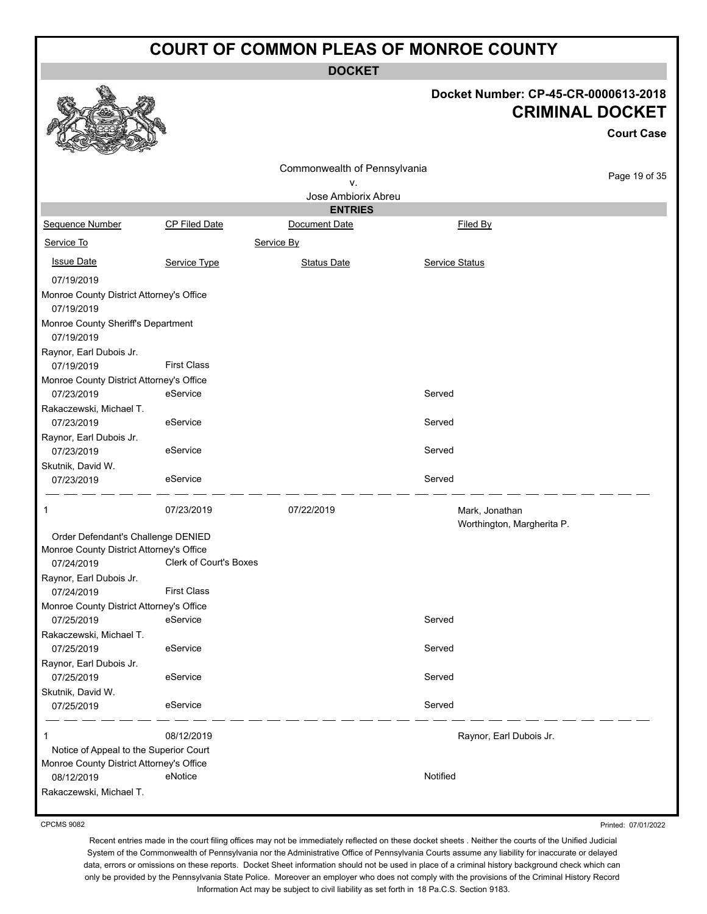**DOCKET**

#### **Docket Number: CP-45-CR-0000613-2018 CRIMINAL DOCKET**

|                                                        |                        |                              |                                              | UNIIIIINAL DUUNE I |
|--------------------------------------------------------|------------------------|------------------------------|----------------------------------------------|--------------------|
|                                                        |                        |                              |                                              | <b>Court Case</b>  |
|                                                        |                        | Commonwealth of Pennsylvania |                                              |                    |
|                                                        |                        | v.                           |                                              | Page 19 of 35      |
|                                                        |                        | Jose Ambiorix Abreu          |                                              |                    |
|                                                        |                        | <b>ENTRIES</b>               |                                              |                    |
| Sequence Number                                        | <b>CP Filed Date</b>   | Document Date                | Filed By                                     |                    |
| Service To                                             |                        | Service By                   |                                              |                    |
| <b>Issue Date</b>                                      | Service Type           | <b>Status Date</b>           | <b>Service Status</b>                        |                    |
| 07/19/2019                                             |                        |                              |                                              |                    |
| Monroe County District Attorney's Office<br>07/19/2019 |                        |                              |                                              |                    |
| Monroe County Sheriff's Department<br>07/19/2019       |                        |                              |                                              |                    |
| Raynor, Earl Dubois Jr.<br>07/19/2019                  | <b>First Class</b>     |                              |                                              |                    |
| Monroe County District Attorney's Office<br>07/23/2019 | eService               |                              | Served                                       |                    |
| Rakaczewski, Michael T.<br>07/23/2019                  | eService               |                              | Served                                       |                    |
| Raynor, Earl Dubois Jr.<br>07/23/2019                  | eService               |                              | Served                                       |                    |
| Skutnik, David W.                                      |                        |                              |                                              |                    |
| 07/23/2019                                             | eService               |                              | Served                                       |                    |
| 1                                                      | 07/23/2019             | 07/22/2019                   | Mark, Jonathan<br>Worthington, Margherita P. |                    |
| Order Defendant's Challenge DENIED                     |                        |                              |                                              |                    |
| Monroe County District Attorney's Office               |                        |                              |                                              |                    |
| 07/24/2019                                             | Clerk of Court's Boxes |                              |                                              |                    |
| Raynor, Earl Dubois Jr.                                |                        |                              |                                              |                    |
| 07/24/2019                                             | <b>First Class</b>     |                              |                                              |                    |
| Monroe County District Attorney's Office               |                        |                              |                                              |                    |
| 07/25/2019                                             | eService               |                              | Served                                       |                    |
| Rakaczewski, Michael T.                                |                        |                              | Served                                       |                    |
| 07/25/2019<br>Raynor, Earl Dubois Jr.                  | eService               |                              |                                              |                    |
| 07/25/2019                                             | eService               |                              | Served                                       |                    |
| Skutnik, David W.                                      |                        |                              |                                              |                    |
| 07/25/2019                                             | eService               |                              | Served                                       |                    |
| 1                                                      | 08/12/2019             |                              | Raynor, Earl Dubois Jr.                      |                    |
| Notice of Appeal to the Superior Court                 |                        |                              |                                              |                    |
| Monroe County District Attorney's Office               | eNotice                |                              | Notified                                     |                    |
| 08/12/2019                                             |                        |                              |                                              |                    |
| Rakaczewski, Michael T.                                |                        |                              |                                              |                    |

CPCMS 9082

Printed: 07/01/2022

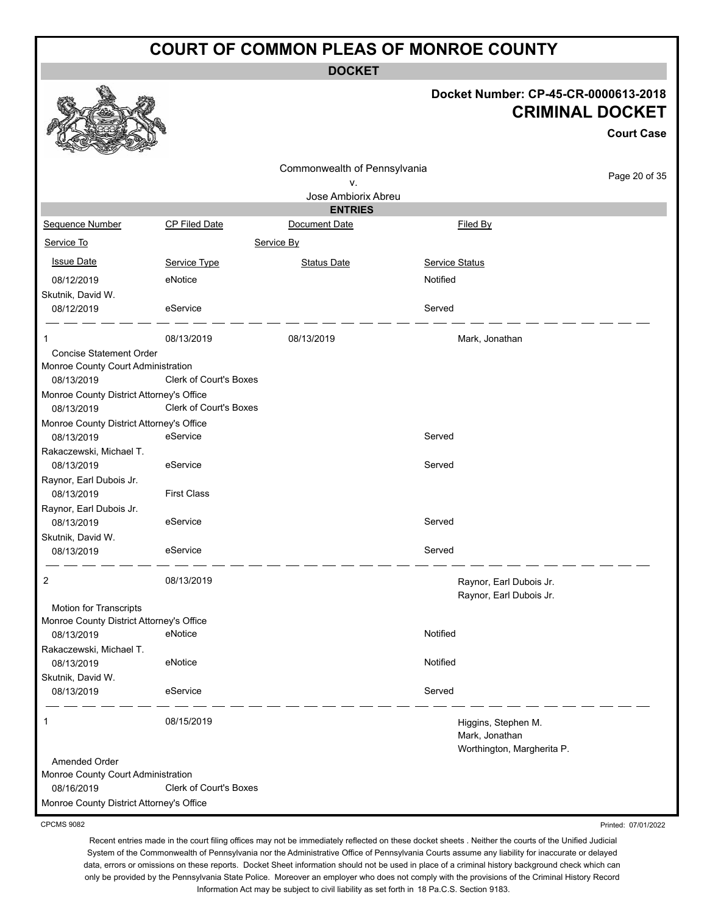**DOCKET**

#### **Docket Number: CP-45-CR-0000613-2018 CRIMINAL DOCKET**

Printed: 07/01/2022

|                                                        |                               |                                    |                                                                     | <b>Court Case</b> |
|--------------------------------------------------------|-------------------------------|------------------------------------|---------------------------------------------------------------------|-------------------|
|                                                        |                               | Commonwealth of Pennsylvania<br>٧. |                                                                     | Page 20 of 35     |
|                                                        |                               | Jose Ambiorix Abreu                |                                                                     |                   |
|                                                        |                               | <b>ENTRIES</b>                     |                                                                     |                   |
| Sequence Number                                        | <b>CP Filed Date</b>          | Document Date                      | Filed By                                                            |                   |
| Service To                                             |                               | Service By                         |                                                                     |                   |
| <b>Issue Date</b>                                      | Service Type                  | <b>Status Date</b>                 | Service Status                                                      |                   |
| 08/12/2019<br>Skutnik, David W.                        | eNotice                       |                                    | Notified                                                            |                   |
| 08/12/2019                                             | eService                      |                                    | Served                                                              |                   |
| 1                                                      | 08/13/2019                    | 08/13/2019                         | Mark, Jonathan                                                      |                   |
| <b>Concise Statement Order</b>                         |                               |                                    |                                                                     |                   |
| Monroe County Court Administration                     |                               |                                    |                                                                     |                   |
| 08/13/2019                                             | Clerk of Court's Boxes        |                                    |                                                                     |                   |
| Monroe County District Attorney's Office<br>08/13/2019 | <b>Clerk of Court's Boxes</b> |                                    |                                                                     |                   |
| Monroe County District Attorney's Office               |                               |                                    |                                                                     |                   |
| 08/13/2019                                             | eService                      |                                    | Served                                                              |                   |
| Rakaczewski, Michael T.<br>08/13/2019                  | eService                      |                                    | Served                                                              |                   |
| Raynor, Earl Dubois Jr.                                |                               |                                    |                                                                     |                   |
| 08/13/2019                                             | <b>First Class</b>            |                                    |                                                                     |                   |
| Raynor, Earl Dubois Jr.<br>08/13/2019                  | eService                      |                                    | Served                                                              |                   |
| Skutnik, David W.                                      |                               |                                    |                                                                     |                   |
| 08/13/2019                                             | eService                      |                                    | Served                                                              |                   |
| 2                                                      | 08/13/2019                    |                                    | Raynor, Earl Dubois Jr.                                             |                   |
|                                                        |                               |                                    | Raynor, Earl Dubois Jr.                                             |                   |
| Motion for Transcripts                                 |                               |                                    |                                                                     |                   |
| Monroe County District Attorney's Office<br>08/13/2019 | eNotice                       |                                    | Notified                                                            |                   |
| Rakaczewski, Michael T.                                |                               |                                    |                                                                     |                   |
| 08/13/2019                                             | eNotice                       |                                    | Notified                                                            |                   |
| Skutnik, David W.                                      |                               |                                    |                                                                     |                   |
| 08/13/2019                                             | eService                      |                                    | Served                                                              |                   |
| 1                                                      | 08/15/2019                    |                                    | Higgins, Stephen M.<br>Mark, Jonathan<br>Worthington, Margherita P. |                   |
| Amended Order                                          |                               |                                    |                                                                     |                   |
| Monroe County Court Administration                     |                               |                                    |                                                                     |                   |
| 08/16/2019                                             | Clerk of Court's Boxes        |                                    |                                                                     |                   |
| Monroe County District Attorney's Office               |                               |                                    |                                                                     |                   |

CPCMS 9082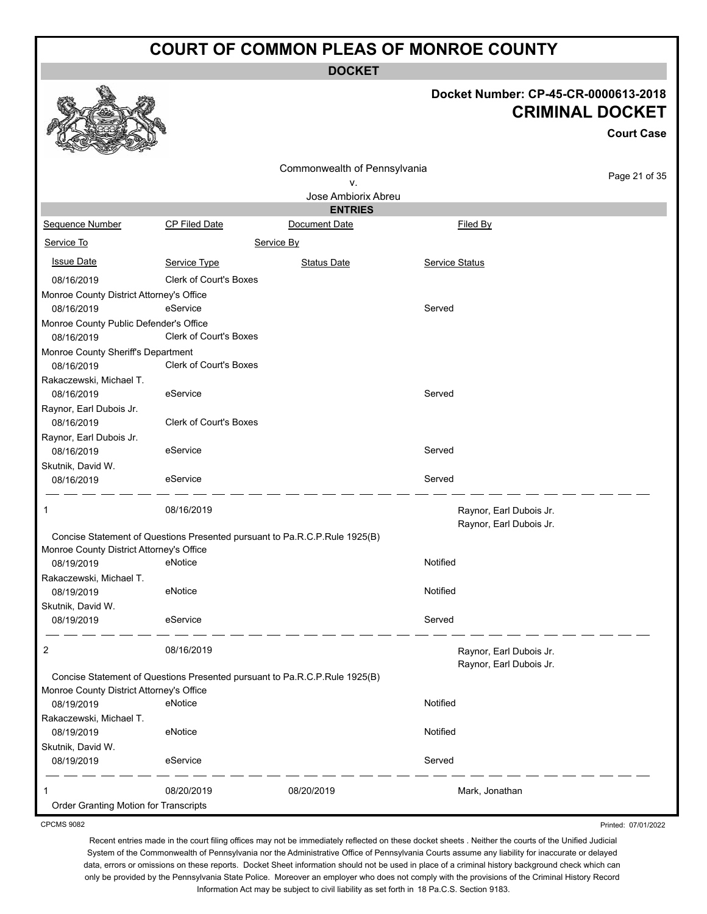**DOCKET**

**Docket Number: CP-45-CR-0000613-2018**

**CRIMINAL DOCKET**

**Court Case**

#### Page 21 of 35 Commonwealth of Pennsylvania v. Jose Ambiorix Abreu **ENTRIES** Sequence Number CP Filed Date Document Date **Document Date** Filed By Service To Service By **Issue Date Service Type** Service Type Status Date Service Status Date Service Status Service Status **Service Status** 08/16/2019 Clerk of Court's Boxes Monroe County District Attorney's Office 08/16/2019 eService Served Monroe County Public Defender's Office 08/16/2019 Clerk of Court's Boxes Monroe County Sheriff's Department 08/16/2019 Clerk of Court's Boxes Rakaczewski, Michael T. 08/16/2019 eService Served Raynor, Earl Dubois Jr. 08/16/2019 Clerk of Court's Boxes Raynor, Earl Dubois Jr. 08/16/2019 eService Served Skutnik, David W. 08/16/2019 eService Served 1 08/16/2019 **DB** 08/16/2019 **Raynor, Earl Dubois Jr.** Raynor, Earl Dubois Jr. Concise Statement of Questions Presented pursuant to Pa.R.C.P.Rule 1925(B) Monroe County District Attorney's Office 08/19/2019 eNotice Notified Rakaczewski, Michael T. 08/19/2019 eNotice Notified Skutnik, David W. 08/19/2019 eService Served 2 08/16/2019 **DESEMBLE 2 CONSUMING A CONSUMING A CONSUMING A CONSUMING A CONSUMING A CONSUMING A CONSUMING A CONSUMING A CONSUMING A CONSUMING A CONSUMING A CONSUMING A CONSUMING A CONSUMING A CONSUMING A CONSUMING A CON** Raynor, Earl Dubois Jr. Concise Statement of Questions Presented pursuant to Pa.R.C.P.Rule 1925(B) Monroe County District Attorney's Office 08/19/2019 eNotice Notified Rakaczewski, Michael T. 08/19/2019 eNotice Notified Skutnik, David W. 08/19/2019 eService Served 1 08/20/2019 08/20/2019 Mark, Jonathan Order Granting Motion for Transcripts

CPCMS 9082

Recent entries made in the court filing offices may not be immediately reflected on these docket sheets . Neither the courts of the Unified Judicial System of the Commonwealth of Pennsylvania nor the Administrative Office of Pennsylvania Courts assume any liability for inaccurate or delayed data, errors or omissions on these reports. Docket Sheet information should not be used in place of a criminal history background check which can only be provided by the Pennsylvania State Police. Moreover an employer who does not comply with the provisions of the Criminal History Record Information Act may be subject to civil liability as set forth in 18 Pa.C.S. Section 9183.

Printed: 07/01/2022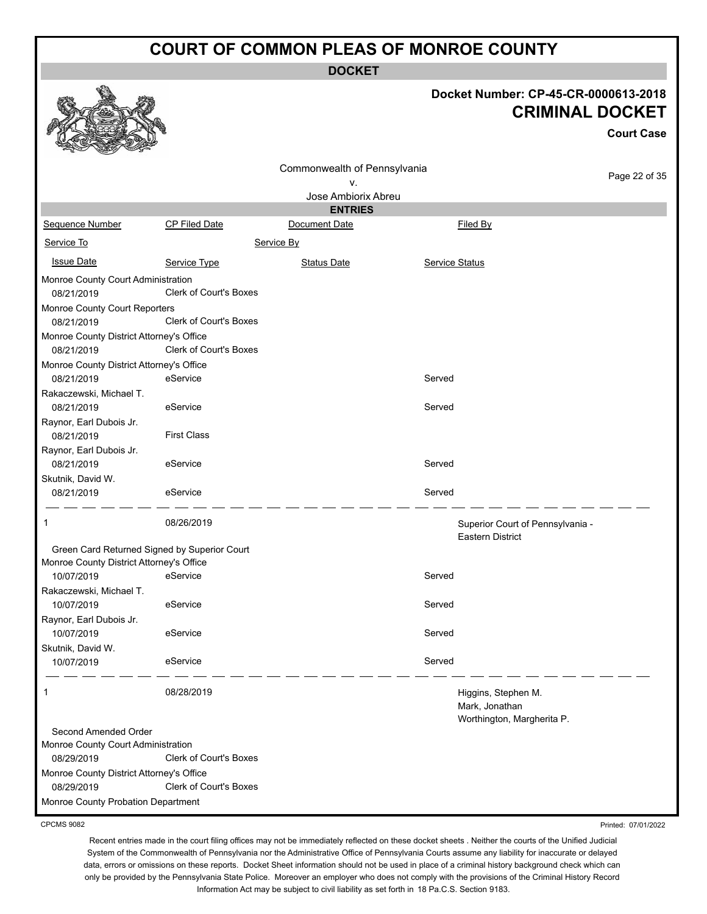**DOCKET**

# **Docket Number: CP-45-CR-0000613-2018**

|                                                        |                               |                              |                | <b>CRIMINAL DOCKET</b>                                      | <b>Court Case</b> |
|--------------------------------------------------------|-------------------------------|------------------------------|----------------|-------------------------------------------------------------|-------------------|
|                                                        |                               | Commonwealth of Pennsylvania |                |                                                             |                   |
|                                                        |                               | ν.                           |                |                                                             | Page 22 of 35     |
|                                                        |                               | Jose Ambiorix Abreu          |                |                                                             |                   |
|                                                        |                               | <b>ENTRIES</b>               |                |                                                             |                   |
| Sequence Number                                        | CP Filed Date                 | Document Date                |                | Filed By                                                    |                   |
| Service To                                             |                               | Service By                   |                |                                                             |                   |
| <b>Issue Date</b>                                      | Service Type                  | Status Date                  | Service Status |                                                             |                   |
| Monroe County Court Administration<br>08/21/2019       | Clerk of Court's Boxes        |                              |                |                                                             |                   |
| Monroe County Court Reporters<br>08/21/2019            | Clerk of Court's Boxes        |                              |                |                                                             |                   |
| Monroe County District Attorney's Office               |                               |                              |                |                                                             |                   |
| 08/21/2019                                             | Clerk of Court's Boxes        |                              |                |                                                             |                   |
| Monroe County District Attorney's Office<br>08/21/2019 | eService                      |                              | Served         |                                                             |                   |
| Rakaczewski, Michael T.                                |                               |                              |                |                                                             |                   |
| 08/21/2019                                             | eService                      |                              | Served         |                                                             |                   |
| Raynor, Earl Dubois Jr.                                |                               |                              |                |                                                             |                   |
| 08/21/2019                                             | <b>First Class</b>            |                              |                |                                                             |                   |
| Raynor, Earl Dubois Jr.                                |                               |                              |                |                                                             |                   |
| 08/21/2019                                             | eService                      |                              | Served         |                                                             |                   |
| Skutnik, David W.                                      |                               |                              |                |                                                             |                   |
| 08/21/2019                                             | eService                      |                              | Served         |                                                             |                   |
| 1                                                      | 08/26/2019                    |                              |                | Superior Court of Pennsylvania -<br><b>Eastern District</b> |                   |
| Green Card Returned Signed by Superior Court           |                               |                              |                |                                                             |                   |
| Monroe County District Attorney's Office               | eService                      |                              | Served         |                                                             |                   |
| 10/07/2019                                             |                               |                              |                |                                                             |                   |
| Rakaczewski, Michael T.<br>10/07/2019                  | eService                      |                              | Served         |                                                             |                   |
| Raynor, Earl Dubois Jr.                                |                               |                              |                |                                                             |                   |
| 10/07/2019                                             | eService                      |                              | Served         |                                                             |                   |
| Skutnik, David W.                                      |                               |                              |                |                                                             |                   |
| 10/07/2019                                             | eService                      |                              | Served         |                                                             |                   |
|                                                        |                               |                              |                |                                                             |                   |
| -1                                                     | 08/28/2019                    |                              |                | Higgins, Stephen M.<br>Mark, Jonathan                       |                   |
|                                                        |                               |                              |                | Worthington, Margherita P.                                  |                   |
| Second Amended Order                                   |                               |                              |                |                                                             |                   |
| Monroe County Court Administration                     |                               |                              |                |                                                             |                   |
| 08/29/2019                                             | Clerk of Court's Boxes        |                              |                |                                                             |                   |
| Monroe County District Attorney's Office<br>08/29/2019 | <b>Clerk of Court's Boxes</b> |                              |                |                                                             |                   |
| Monroe County Probation Department                     |                               |                              |                |                                                             |                   |

CPCMS 9082

 $\mathbf{Q}$ 

etha

Recent entries made in the court filing offices may not be immediately reflected on these docket sheets . Neither the courts of the Unified Judicial System of the Commonwealth of Pennsylvania nor the Administrative Office of Pennsylvania Courts assume any liability for inaccurate or delayed data, errors or omissions on these reports. Docket Sheet information should not be used in place of a criminal history background check which can only be provided by the Pennsylvania State Police. Moreover an employer who does not comply with the provisions of the Criminal History Record Information Act may be subject to civil liability as set forth in 18 Pa.C.S. Section 9183.

Printed: 07/01/2022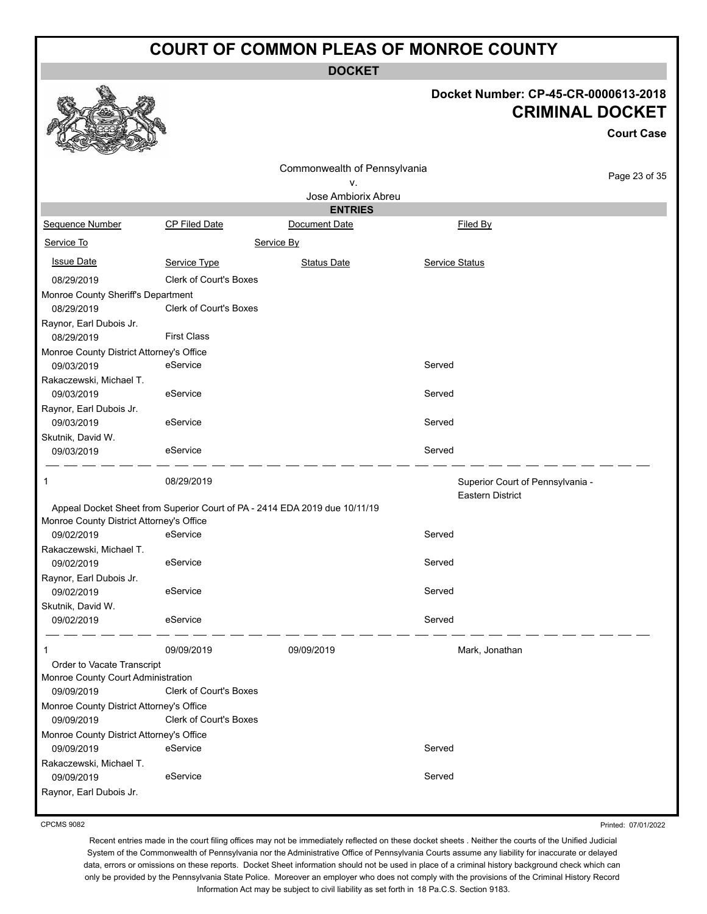**DOCKET**

### **Docket Number: CP-45-CR-0000613-2018 CRIMINAL DOCKET**

**Court Case**

|                                          |                                                                            | Commonwealth of Pennsylvania<br>٧. |                                                             | Page 23 of 35 |
|------------------------------------------|----------------------------------------------------------------------------|------------------------------------|-------------------------------------------------------------|---------------|
|                                          |                                                                            | Jose Ambiorix Abreu                |                                                             |               |
|                                          |                                                                            | <b>ENTRIES</b>                     |                                                             |               |
| Sequence Number                          | CP Filed Date                                                              | Document Date                      | Filed By                                                    |               |
| Service To                               |                                                                            | Service By                         |                                                             |               |
| <b>Issue Date</b>                        | Service Type                                                               | <b>Status Date</b>                 | <b>Service Status</b>                                       |               |
| 08/29/2019                               | Clerk of Court's Boxes                                                     |                                    |                                                             |               |
| Monroe County Sheriff's Department       |                                                                            |                                    |                                                             |               |
| 08/29/2019                               | <b>Clerk of Court's Boxes</b>                                              |                                    |                                                             |               |
| Raynor, Earl Dubois Jr.                  |                                                                            |                                    |                                                             |               |
| 08/29/2019                               | <b>First Class</b>                                                         |                                    |                                                             |               |
| Monroe County District Attorney's Office |                                                                            |                                    |                                                             |               |
| 09/03/2019                               | eService                                                                   |                                    | Served                                                      |               |
| Rakaczewski, Michael T.                  |                                                                            |                                    |                                                             |               |
| 09/03/2019                               | eService                                                                   |                                    | Served                                                      |               |
| Raynor, Earl Dubois Jr.                  |                                                                            |                                    |                                                             |               |
| 09/03/2019                               | eService                                                                   |                                    | Served                                                      |               |
| Skutnik, David W.                        |                                                                            |                                    |                                                             |               |
| 09/03/2019                               | eService                                                                   |                                    | Served                                                      |               |
|                                          |                                                                            |                                    |                                                             |               |
| 1                                        | 08/29/2019                                                                 |                                    | Superior Court of Pennsylvania -<br><b>Eastern District</b> |               |
|                                          | Appeal Docket Sheet from Superior Court of PA - 2414 EDA 2019 due 10/11/19 |                                    |                                                             |               |
| Monroe County District Attorney's Office |                                                                            |                                    |                                                             |               |
| 09/02/2019                               | eService                                                                   |                                    | Served                                                      |               |
| Rakaczewski, Michael T.                  |                                                                            |                                    |                                                             |               |
| 09/02/2019                               | eService                                                                   |                                    | Served                                                      |               |
| Raynor, Earl Dubois Jr.                  | eService                                                                   |                                    | Served                                                      |               |
| 09/02/2019                               |                                                                            |                                    |                                                             |               |
| Skutnik, David W.                        | eService                                                                   |                                    | Served                                                      |               |
| 09/02/2019                               |                                                                            |                                    |                                                             |               |
|                                          | 09/09/2019                                                                 | 09/09/2019                         | Mark, Jonathan                                              |               |
| Order to Vacate Transcript               |                                                                            |                                    |                                                             |               |
| Monroe County Court Administration       |                                                                            |                                    |                                                             |               |
| 09/09/2019                               | <b>Clerk of Court's Boxes</b>                                              |                                    |                                                             |               |
| Monroe County District Attorney's Office |                                                                            |                                    |                                                             |               |
| 09/09/2019                               | Clerk of Court's Boxes                                                     |                                    |                                                             |               |
| Monroe County District Attorney's Office |                                                                            |                                    |                                                             |               |
| 09/09/2019                               | eService                                                                   |                                    | Served                                                      |               |
| Rakaczewski, Michael T.                  |                                                                            |                                    |                                                             |               |
| 09/09/2019                               | eService                                                                   |                                    | Served                                                      |               |
| Raynor, Earl Dubois Jr.                  |                                                                            |                                    |                                                             |               |

CPCMS 9082

Printed: 07/01/2022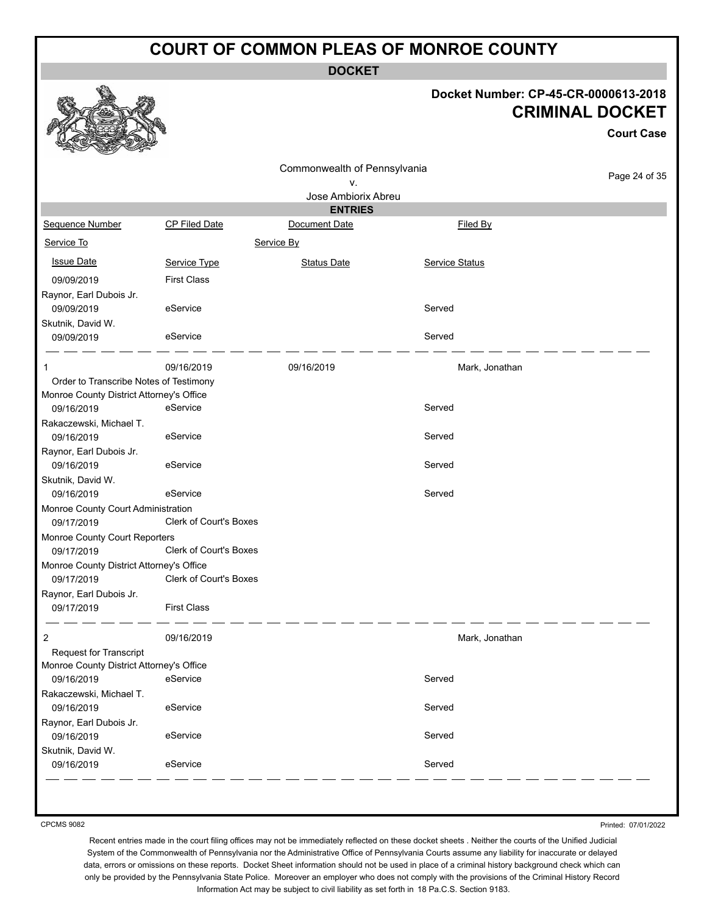**DOCKET**

### **Docket Number: CP-45-CR-0000613-2018 CRIMINAL DOCKET**

**Court Case**

|                                          |                               | Commonwealth of Pennsylvania |                |               |
|------------------------------------------|-------------------------------|------------------------------|----------------|---------------|
|                                          |                               | v.                           |                | Page 24 of 35 |
|                                          |                               | Jose Ambiorix Abreu          |                |               |
|                                          |                               | <b>ENTRIES</b>               |                |               |
| Sequence Number                          | <b>CP Filed Date</b>          | Document Date                | Filed By       |               |
| Service To                               |                               | Service By                   |                |               |
| <b>Issue Date</b>                        | Service Type                  | <b>Status Date</b>           | Service Status |               |
| 09/09/2019                               | <b>First Class</b>            |                              |                |               |
| Raynor, Earl Dubois Jr.                  |                               |                              |                |               |
| 09/09/2019                               | eService                      |                              | Served         |               |
| Skutnik, David W.                        |                               |                              |                |               |
| 09/09/2019                               | eService                      |                              | Served         |               |
|                                          |                               |                              |                |               |
| -1                                       | 09/16/2019                    | 09/16/2019                   | Mark, Jonathan |               |
| Order to Transcribe Notes of Testimony   |                               |                              |                |               |
| Monroe County District Attorney's Office |                               |                              |                |               |
| 09/16/2019                               | eService                      |                              | Served         |               |
| Rakaczewski, Michael T.                  |                               |                              |                |               |
| 09/16/2019                               | eService                      |                              | Served         |               |
| Raynor, Earl Dubois Jr.                  |                               |                              |                |               |
| 09/16/2019                               | eService                      |                              | Served         |               |
| Skutnik, David W.                        |                               |                              |                |               |
| 09/16/2019                               | eService                      |                              | Served         |               |
| Monroe County Court Administration       |                               |                              |                |               |
| 09/17/2019                               | Clerk of Court's Boxes        |                              |                |               |
| Monroe County Court Reporters            |                               |                              |                |               |
| 09/17/2019                               | <b>Clerk of Court's Boxes</b> |                              |                |               |
| Monroe County District Attorney's Office |                               |                              |                |               |
| 09/17/2019                               | <b>Clerk of Court's Boxes</b> |                              |                |               |
| Raynor, Earl Dubois Jr.                  |                               |                              |                |               |
| 09/17/2019                               | <b>First Class</b>            |                              |                |               |
| $\overline{2}$                           | 09/16/2019                    |                              | Mark, Jonathan |               |
| <b>Request for Transcript</b>            |                               |                              |                |               |
| Monroe County District Attorney's Office |                               |                              |                |               |
| 09/16/2019                               | eService                      |                              | Served         |               |
| Rakaczewski, Michael T.                  |                               |                              |                |               |
| 09/16/2019                               | eService                      |                              | Served         |               |
| Raynor, Earl Dubois Jr.                  |                               |                              |                |               |
| 09/16/2019                               | eService                      |                              | Served         |               |
| Skutnik, David W.                        |                               |                              |                |               |
| 09/16/2019                               | eService                      |                              | Served         |               |
|                                          |                               |                              |                |               |
|                                          |                               |                              |                |               |

CPCMS 9082

Printed: 07/01/2022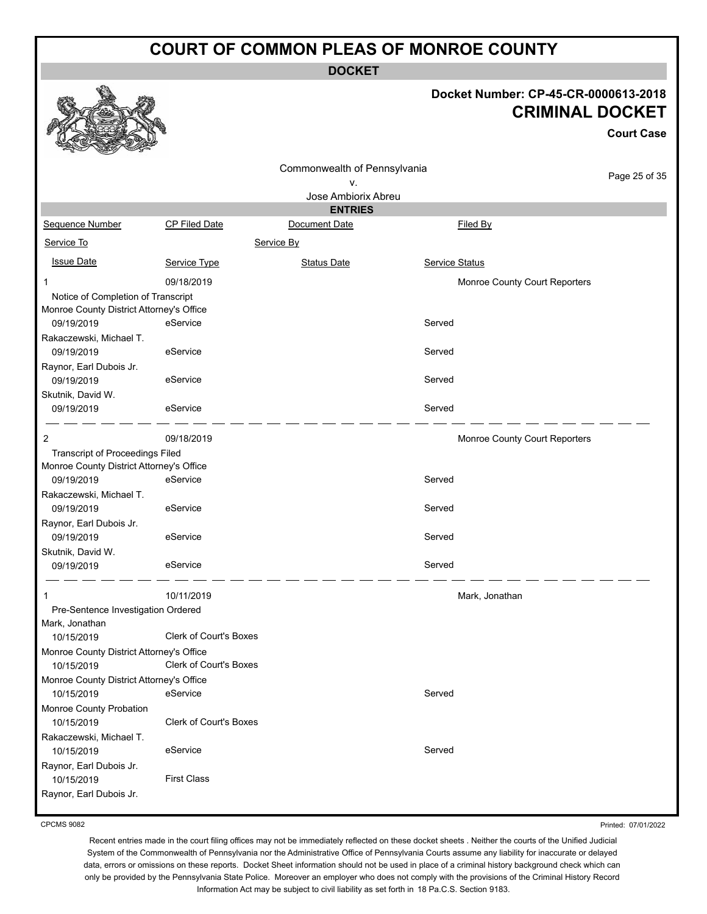**DOCKET**

#### **Docket Number: CP-45-CR-0000613-2018 CRIMINAL DOCKET**

|                                          |                        |                              |                               | <b>Court Case</b> |  |
|------------------------------------------|------------------------|------------------------------|-------------------------------|-------------------|--|
|                                          |                        | Commonwealth of Pennsylvania |                               |                   |  |
|                                          |                        | ۷.                           |                               | Page 25 of 35     |  |
|                                          |                        | Jose Ambiorix Abreu          |                               |                   |  |
|                                          |                        | <b>ENTRIES</b>               |                               |                   |  |
| Sequence Number                          | CP Filed Date          | Document Date                | Filed By                      |                   |  |
| Service To                               |                        | Service By                   |                               |                   |  |
| <b>Issue Date</b>                        | Service Type           | <b>Status Date</b>           | Service Status                |                   |  |
| -1                                       | 09/18/2019             |                              | Monroe County Court Reporters |                   |  |
| Notice of Completion of Transcript       |                        |                              |                               |                   |  |
| Monroe County District Attorney's Office |                        |                              |                               |                   |  |
| 09/19/2019                               | eService               |                              | Served                        |                   |  |
| Rakaczewski, Michael T.                  |                        |                              |                               |                   |  |
| 09/19/2019                               | eService               |                              | Served                        |                   |  |
| Raynor, Earl Dubois Jr.                  |                        |                              |                               |                   |  |
| 09/19/2019                               | eService               |                              | Served                        |                   |  |
| Skutnik, David W.<br>09/19/2019          | eService               |                              | Served                        |                   |  |
|                                          |                        |                              |                               |                   |  |
| $\overline{2}$                           | 09/18/2019             |                              | Monroe County Court Reporters |                   |  |
| <b>Transcript of Proceedings Filed</b>   |                        |                              |                               |                   |  |
| Monroe County District Attorney's Office |                        |                              |                               |                   |  |
| 09/19/2019                               | eService               |                              | Served                        |                   |  |
| Rakaczewski, Michael T.                  |                        |                              |                               |                   |  |
| 09/19/2019                               | eService               |                              | Served                        |                   |  |
| Raynor, Earl Dubois Jr.                  |                        |                              |                               |                   |  |
| 09/19/2019                               | eService               |                              | Served                        |                   |  |
| Skutnik, David W.                        | eService               |                              |                               |                   |  |
| 09/19/2019                               |                        |                              | Served                        |                   |  |
|                                          | 10/11/2019             |                              | Mark, Jonathan                |                   |  |
| Pre-Sentence Investigation Ordered       |                        |                              |                               |                   |  |
| Mark, Jonathan                           |                        |                              |                               |                   |  |
| 10/15/2019                               | Clerk of Court's Boxes |                              |                               |                   |  |
| Monroe County District Attorney's Office |                        |                              |                               |                   |  |
| 10/15/2019                               | Clerk of Court's Boxes |                              |                               |                   |  |
| Monroe County District Attorney's Office |                        |                              |                               |                   |  |
| 10/15/2019                               | eService               |                              | Served                        |                   |  |
| Monroe County Probation                  |                        |                              |                               |                   |  |
| 10/15/2019                               | Clerk of Court's Boxes |                              |                               |                   |  |
| Rakaczewski, Michael T.                  |                        |                              | Served                        |                   |  |
| 10/15/2019                               | eService               |                              |                               |                   |  |
| Raynor, Earl Dubois Jr.<br>10/15/2019    | <b>First Class</b>     |                              |                               |                   |  |
| Raynor, Earl Dubois Jr.                  |                        |                              |                               |                   |  |
|                                          |                        |                              |                               |                   |  |

CPCMS 9082

Printed: 07/01/2022

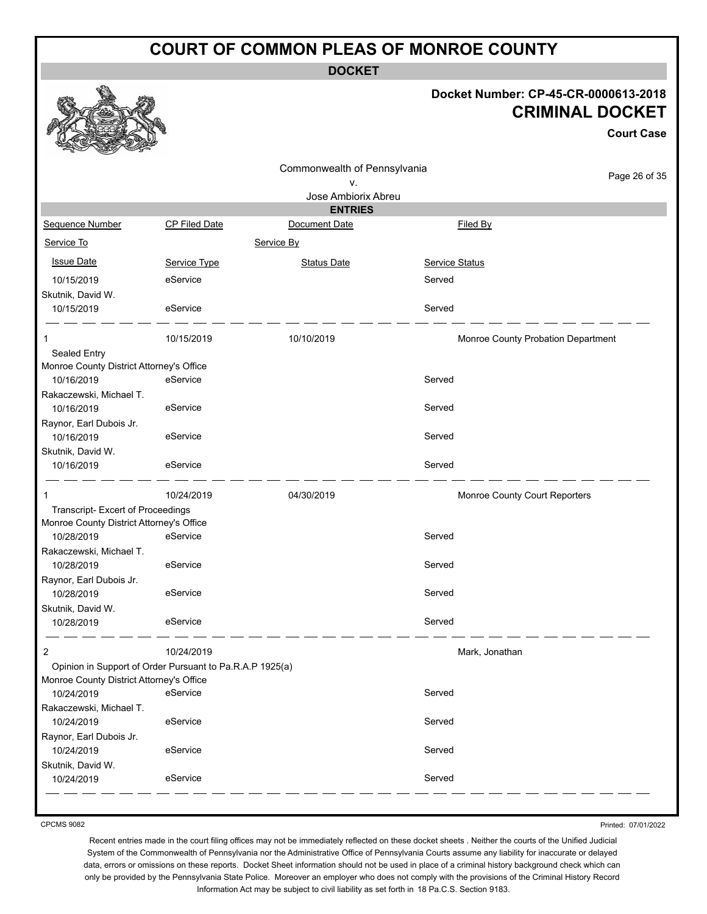**DOCKET**

### **Docket Number: CP-45-CR-0000613-2018 CRIMINAL DOCKET**

**Court Case**

|                                                          |                                                          | Commonwealth of Pennsylvania |                               | Page 26 of 35                      |
|----------------------------------------------------------|----------------------------------------------------------|------------------------------|-------------------------------|------------------------------------|
|                                                          |                                                          | ۷.                           |                               |                                    |
|                                                          |                                                          | Jose Ambiorix Abreu          |                               |                                    |
|                                                          |                                                          | <b>ENTRIES</b>               |                               |                                    |
| Sequence Number                                          | CP Filed Date                                            | Document Date                | Filed By                      |                                    |
| Service To                                               |                                                          | Service By                   |                               |                                    |
| <b>Issue Date</b>                                        | Service Type                                             | <b>Status Date</b>           | Service Status                |                                    |
| 10/15/2019                                               | eService                                                 |                              | Served                        |                                    |
| Skutnik, David W.                                        |                                                          |                              |                               |                                    |
| 10/15/2019                                               | eService                                                 |                              | Served                        |                                    |
| 1                                                        | 10/15/2019                                               | 10/10/2019                   |                               | Monroe County Probation Department |
| Sealed Entry<br>Monroe County District Attorney's Office |                                                          |                              |                               |                                    |
| 10/16/2019                                               | eService                                                 |                              | Served                        |                                    |
| Rakaczewski, Michael T.                                  |                                                          |                              |                               |                                    |
| 10/16/2019                                               | eService                                                 |                              | Served                        |                                    |
| Raynor, Earl Dubois Jr.                                  |                                                          |                              |                               |                                    |
| 10/16/2019                                               | eService                                                 |                              | Served                        |                                    |
| Skutnik, David W.                                        |                                                          |                              |                               |                                    |
| 10/16/2019                                               | eService                                                 |                              | Served                        |                                    |
|                                                          | 10/24/2019                                               | 04/30/2019                   | Monroe County Court Reporters |                                    |
| Transcript- Excert of Proceedings                        |                                                          |                              |                               |                                    |
| Monroe County District Attorney's Office                 |                                                          |                              |                               |                                    |
| 10/28/2019                                               | eService                                                 |                              | Served                        |                                    |
| Rakaczewski, Michael T.                                  |                                                          |                              |                               |                                    |
| 10/28/2019                                               | eService                                                 |                              | Served                        |                                    |
| Raynor, Earl Dubois Jr.                                  | eService                                                 |                              | Served                        |                                    |
| 10/28/2019                                               |                                                          |                              |                               |                                    |
| Skutnik, David W.<br>10/28/2019                          | eService                                                 |                              | Served                        |                                    |
|                                                          |                                                          |                              |                               |                                    |
| 2                                                        | 10/24/2019                                               |                              | Mark, Jonathan                |                                    |
|                                                          | Opinion in Support of Order Pursuant to Pa.R.A.P 1925(a) |                              |                               |                                    |
| Monroe County District Attorney's Office                 |                                                          |                              |                               |                                    |
| 10/24/2019                                               | eService                                                 |                              | Served                        |                                    |
| Rakaczewski, Michael T.                                  |                                                          |                              |                               |                                    |
| 10/24/2019                                               | eService                                                 |                              | Served                        |                                    |
| Raynor, Earl Dubois Jr.                                  |                                                          |                              |                               |                                    |
| 10/24/2019                                               | eService                                                 |                              | Served                        |                                    |
| Skutnik, David W.<br>10/24/2019                          | eService                                                 |                              | Served                        |                                    |
|                                                          |                                                          |                              |                               |                                    |

CPCMS 9082

Printed: 07/01/2022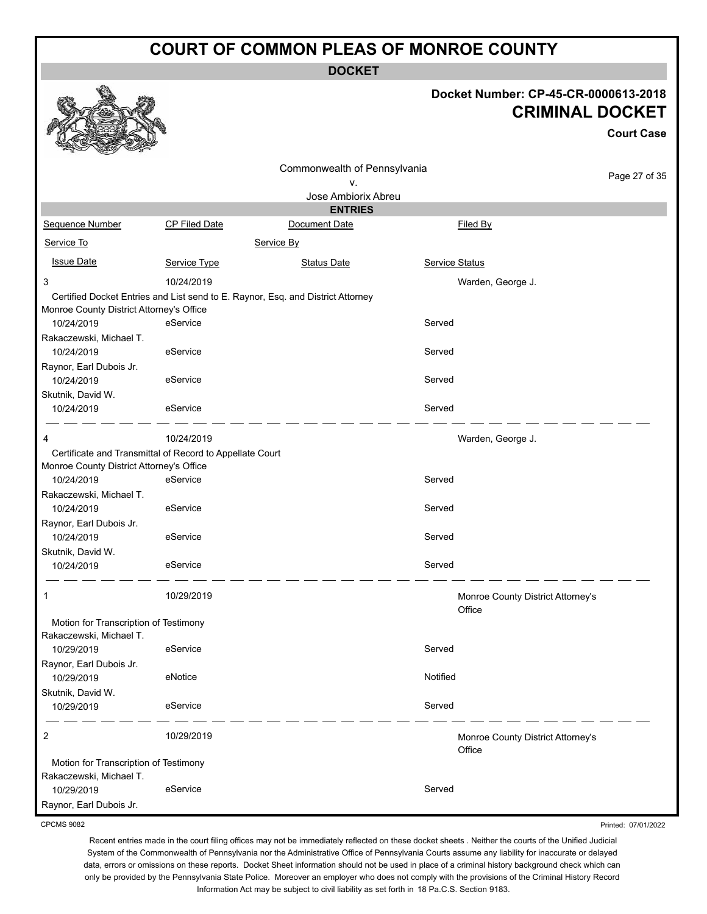**DOCKET**

### **Docket Number: CP-45-CR-0000613-2018 CRIMINAL DOCKET**

**Court Case**

|                                          |                                                          | Commonwealth of Pennsylvania                                                    |                |                                             |
|------------------------------------------|----------------------------------------------------------|---------------------------------------------------------------------------------|----------------|---------------------------------------------|
|                                          |                                                          | ٧.                                                                              |                | Page 27 of 35                               |
|                                          |                                                          | Jose Ambiorix Abreu                                                             |                |                                             |
|                                          |                                                          | <b>ENTRIES</b>                                                                  |                |                                             |
| Sequence Number                          | CP Filed Date                                            | Document Date                                                                   |                | Filed By                                    |
| Service To                               |                                                          | Service By                                                                      |                |                                             |
| <b>Issue Date</b>                        | Service Type                                             | <b>Status Date</b>                                                              | Service Status |                                             |
| 3                                        | 10/24/2019                                               |                                                                                 |                | Warden, George J.                           |
| Monroe County District Attorney's Office |                                                          | Certified Docket Entries and List send to E. Raynor, Esq. and District Attorney |                |                                             |
| 10/24/2019                               | eService                                                 |                                                                                 | Served         |                                             |
| Rakaczewski, Michael T.                  |                                                          |                                                                                 |                |                                             |
| 10/24/2019                               | eService                                                 |                                                                                 | Served         |                                             |
| Raynor, Earl Dubois Jr.<br>10/24/2019    | eService                                                 |                                                                                 | Served         |                                             |
| Skutnik, David W.                        |                                                          |                                                                                 |                |                                             |
| 10/24/2019                               | eService                                                 |                                                                                 | Served         |                                             |
| 4                                        | 10/24/2019                                               |                                                                                 |                | Warden, George J.                           |
|                                          | Certificate and Transmittal of Record to Appellate Court |                                                                                 |                |                                             |
| Monroe County District Attorney's Office |                                                          |                                                                                 |                |                                             |
| 10/24/2019                               | eService                                                 |                                                                                 | Served         |                                             |
| Rakaczewski, Michael T.                  |                                                          |                                                                                 |                |                                             |
| 10/24/2019                               | eService                                                 |                                                                                 | Served         |                                             |
| Raynor, Earl Dubois Jr.                  |                                                          |                                                                                 |                |                                             |
| 10/24/2019                               | eService                                                 |                                                                                 | Served         |                                             |
| Skutnik, David W.                        |                                                          |                                                                                 |                |                                             |
| 10/24/2019                               | eService                                                 |                                                                                 | Served         |                                             |
| 1                                        | 10/29/2019                                               |                                                                                 |                | Monroe County District Attorney's<br>Office |
| Motion for Transcription of Testimony    |                                                          |                                                                                 |                |                                             |
| Rakaczewski, Michael T.                  |                                                          |                                                                                 |                |                                             |
| 10/29/2019                               | eService                                                 |                                                                                 | Served         |                                             |
| Raynor, Earl Dubois Jr.                  |                                                          |                                                                                 |                |                                             |
| 10/29/2019                               | eNotice                                                  |                                                                                 | Notified       |                                             |
| Skutnik, David W.                        |                                                          |                                                                                 |                |                                             |
| 10/29/2019                               | eService                                                 |                                                                                 | Served         |                                             |
| 2                                        | 10/29/2019                                               |                                                                                 |                | Monroe County District Attorney's<br>Office |
| Motion for Transcription of Testimony    |                                                          |                                                                                 |                |                                             |
| Rakaczewski, Michael T.                  |                                                          |                                                                                 |                |                                             |
| 10/29/2019                               | eService                                                 |                                                                                 | Served         |                                             |
| Raynor, Earl Dubois Jr.                  |                                                          |                                                                                 |                |                                             |

CPCMS 9082

Printed: 07/01/2022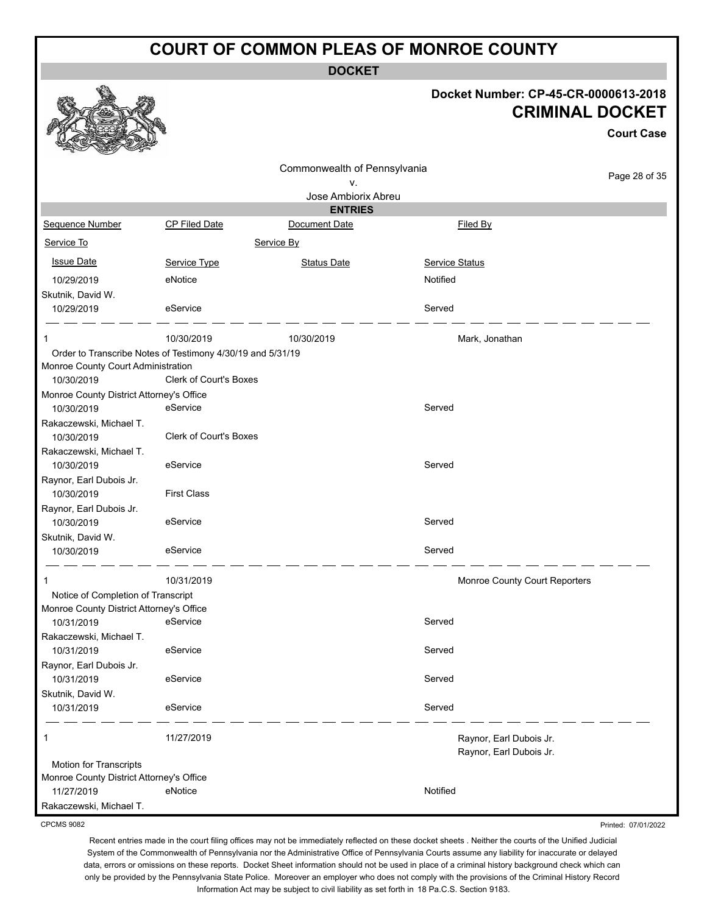**DOCKET**

#### **Docket Number: CP-45-CR-0000613-2018 CRIMINAL DOCKET**

**Court Case**

|                                                                  |                               |                              |                                                    | <b>Court Case</b> |
|------------------------------------------------------------------|-------------------------------|------------------------------|----------------------------------------------------|-------------------|
|                                                                  |                               | Commonwealth of Pennsylvania |                                                    |                   |
|                                                                  |                               | ۷.                           |                                                    | Page 28 of 35     |
|                                                                  |                               | Jose Ambiorix Abreu          |                                                    |                   |
|                                                                  |                               | <b>ENTRIES</b>               |                                                    |                   |
| Sequence Number                                                  | CP Filed Date                 | Document Date                | Filed By                                           |                   |
| Service To                                                       |                               | Service By                   |                                                    |                   |
| <b>Issue Date</b>                                                | Service Type                  | <b>Status Date</b>           | <b>Service Status</b>                              |                   |
| 10/29/2019                                                       | eNotice                       |                              | Notified                                           |                   |
| Skutnik, David W.                                                |                               |                              |                                                    |                   |
| 10/29/2019                                                       | eService                      |                              | Served                                             |                   |
|                                                                  | 10/30/2019                    | 10/30/2019                   |                                                    |                   |
| -1<br>Order to Transcribe Notes of Testimony 4/30/19 and 5/31/19 |                               |                              | Mark, Jonathan                                     |                   |
| Monroe County Court Administration                               |                               |                              |                                                    |                   |
| 10/30/2019                                                       | <b>Clerk of Court's Boxes</b> |                              |                                                    |                   |
| Monroe County District Attorney's Office                         |                               |                              |                                                    |                   |
| 10/30/2019                                                       | eService                      |                              | Served                                             |                   |
| Rakaczewski, Michael T.                                          |                               |                              |                                                    |                   |
| 10/30/2019                                                       | <b>Clerk of Court's Boxes</b> |                              |                                                    |                   |
| Rakaczewski, Michael T.                                          |                               |                              |                                                    |                   |
| 10/30/2019                                                       | eService                      |                              | Served                                             |                   |
| Raynor, Earl Dubois Jr.                                          |                               |                              |                                                    |                   |
| 10/30/2019                                                       | <b>First Class</b>            |                              |                                                    |                   |
| Raynor, Earl Dubois Jr.                                          |                               |                              |                                                    |                   |
| 10/30/2019                                                       | eService                      |                              | Served                                             |                   |
| Skutnik, David W.                                                |                               |                              |                                                    |                   |
| 10/30/2019                                                       | eService                      |                              | Served                                             |                   |
| 1                                                                | 10/31/2019                    |                              | Monroe County Court Reporters                      |                   |
| Notice of Completion of Transcript                               |                               |                              |                                                    |                   |
| Monroe County District Attorney's Office                         |                               |                              |                                                    |                   |
| 10/31/2019                                                       | eService                      |                              | Served                                             |                   |
| Rakaczewski, Michael T.                                          |                               |                              |                                                    |                   |
| 10/31/2019                                                       | eService                      |                              | Served                                             |                   |
| Raynor, Earl Dubois Jr.                                          |                               |                              |                                                    |                   |
| 10/31/2019                                                       | eService                      |                              | Served                                             |                   |
| Skutnik, David W.                                                |                               |                              |                                                    |                   |
| 10/31/2019                                                       | eService                      |                              | Served                                             |                   |
| 1                                                                | 11/27/2019                    |                              |                                                    |                   |
|                                                                  |                               |                              | Raynor, Earl Dubois Jr.<br>Raynor, Earl Dubois Jr. |                   |
| Motion for Transcripts                                           |                               |                              |                                                    |                   |
| Monroe County District Attorney's Office                         |                               |                              |                                                    |                   |
| 11/27/2019                                                       | eNotice                       |                              | Notified                                           |                   |
| Rakaczewski, Michael T.                                          |                               |                              |                                                    |                   |

CPCMS 9082

Printed: 07/01/2022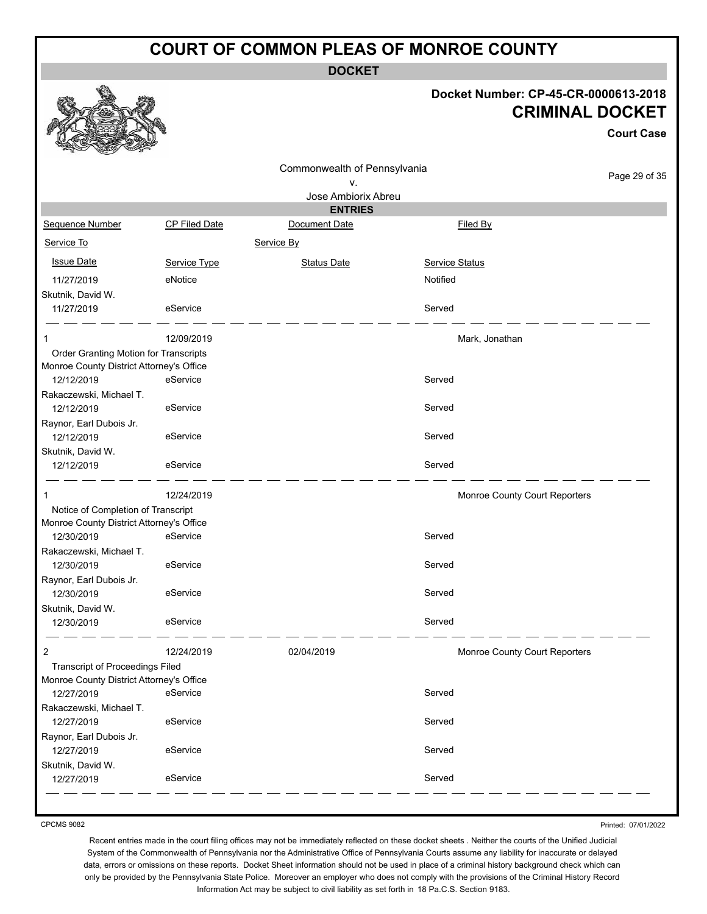**DOCKET**

#### **Docket Number: CP-45-CR-0000613-2018 CET**

**Case** 

of 35

|                                                                                    |                      |                                       | DOCKEL NUITIDEL. CF-45-CR-00000 13-4 | <b>CRIMINAL DOCK</b><br>Court ( |
|------------------------------------------------------------------------------------|----------------------|---------------------------------------|--------------------------------------|---------------------------------|
|                                                                                    |                      | Commonwealth of Pennsylvania          |                                      | Page 29                         |
|                                                                                    |                      | v.                                    |                                      |                                 |
|                                                                                    |                      | Jose Ambiorix Abreu<br><b>ENTRIES</b> |                                      |                                 |
| Sequence Number                                                                    | <b>CP Filed Date</b> | Document Date                         | Filed By                             |                                 |
| Service To                                                                         |                      | Service By                            |                                      |                                 |
| <b>Issue Date</b>                                                                  | Service Type         | <b>Status Date</b>                    | Service Status                       |                                 |
| 11/27/2019                                                                         | eNotice              |                                       | Notified                             |                                 |
| Skutnik, David W.                                                                  |                      |                                       |                                      |                                 |
| 11/27/2019                                                                         | eService             |                                       | Served                               |                                 |
| 1                                                                                  | 12/09/2019           |                                       | Mark, Jonathan                       |                                 |
| Order Granting Motion for Transcripts                                              |                      |                                       |                                      |                                 |
| Monroe County District Attorney's Office<br>12/12/2019                             | eService             |                                       | Served                               |                                 |
| Rakaczewski, Michael T.                                                            |                      |                                       |                                      |                                 |
| 12/12/2019                                                                         | eService             |                                       | Served                               |                                 |
| Raynor, Earl Dubois Jr.                                                            |                      |                                       |                                      |                                 |
| 12/12/2019                                                                         | eService             |                                       | Served                               |                                 |
| Skutnik, David W.<br>12/12/2019                                                    | eService             |                                       | Served                               |                                 |
| 1                                                                                  | 12/24/2019           |                                       | Monroe County Court Reporters        |                                 |
| Notice of Completion of Transcript                                                 |                      |                                       |                                      |                                 |
| Monroe County District Attorney's Office                                           |                      |                                       |                                      |                                 |
| 12/30/2019<br>Rakaczewski, Michael T.                                              | eService             |                                       | Served                               |                                 |
| 12/30/2019                                                                         | eService             |                                       | Served                               |                                 |
| Raynor, Earl Dubois Jr.                                                            |                      |                                       |                                      |                                 |
| 12/30/2019                                                                         | eService             |                                       | Served                               |                                 |
| Skutnik, David W.                                                                  |                      |                                       |                                      |                                 |
| 12/30/2019                                                                         | eService             |                                       | Served                               |                                 |
| 2                                                                                  | 12/24/2019           | 02/04/2019                            | Monroe County Court Reporters        |                                 |
| <b>Transcript of Proceedings Filed</b><br>Monroe County District Attorney's Office |                      |                                       |                                      |                                 |
| 12/27/2019                                                                         | eService             |                                       | Served                               |                                 |
| Rakaczewski, Michael T.                                                            |                      |                                       |                                      |                                 |
| 12/27/2019                                                                         | eService             |                                       | Served                               |                                 |
| Raynor, Earl Dubois Jr.                                                            |                      |                                       |                                      |                                 |
| 12/27/2019                                                                         | eService             |                                       | Served                               |                                 |
| Skutnik, David W.<br>12/27/2019                                                    | eService             |                                       | Served                               |                                 |
|                                                                                    |                      |                                       |                                      |                                 |

CPCMS 9082

g.

燃

Printed: 07/01/2022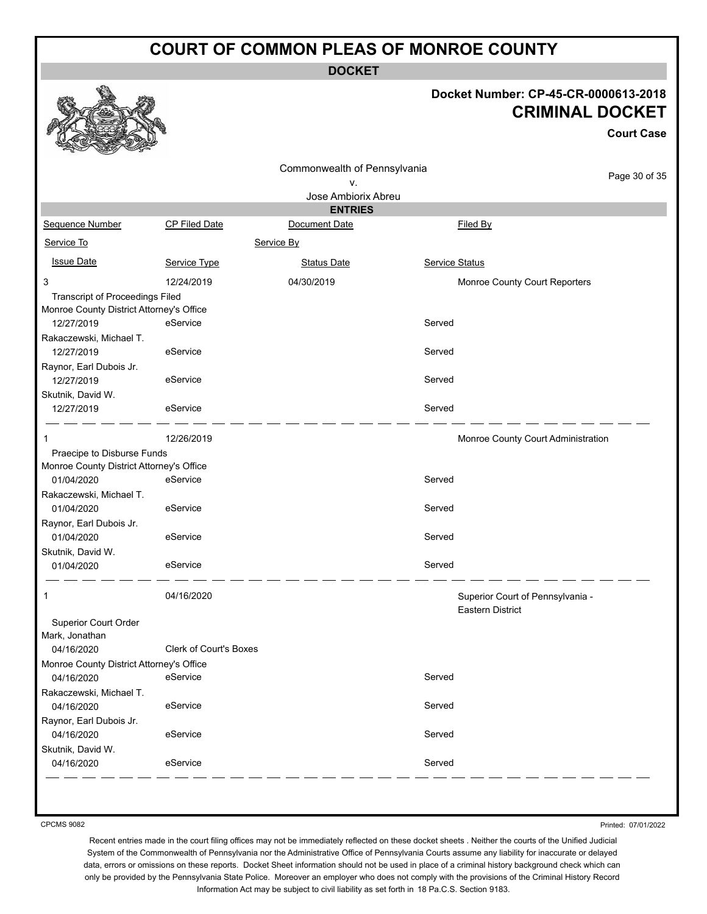**DOCKET**

## **Docket Number: CP-45-CR-0000613-2018 CRIMINAL DOCKET**

|                                          |                        | Commonwealth of Pennsylvania    |                |                                    |
|------------------------------------------|------------------------|---------------------------------|----------------|------------------------------------|
|                                          |                        | ν.                              |                | Page 30 of 35                      |
|                                          |                        | Jose Ambiorix Abreu             |                |                                    |
| Sequence Number                          | <b>CP Filed Date</b>   | <b>ENTRIES</b><br>Document Date |                | Filed By                           |
| Service To                               |                        |                                 |                |                                    |
|                                          |                        | Service By                      |                |                                    |
| <b>Issue Date</b>                        | Service Type           | <b>Status Date</b>              | Service Status |                                    |
| 3                                        | 12/24/2019             | 04/30/2019                      |                | Monroe County Court Reporters      |
| Transcript of Proceedings Filed          |                        |                                 |                |                                    |
| Monroe County District Attorney's Office |                        |                                 |                |                                    |
| 12/27/2019                               | eService               |                                 | Served         |                                    |
| Rakaczewski, Michael T.                  |                        |                                 |                |                                    |
| 12/27/2019                               | eService               |                                 | Served         |                                    |
| Raynor, Earl Dubois Jr.                  |                        |                                 |                |                                    |
| 12/27/2019                               | eService               |                                 | Served         |                                    |
| Skutnik, David W.                        |                        |                                 |                |                                    |
| 12/27/2019                               | eService               |                                 | Served         |                                    |
| 1                                        | 12/26/2019             |                                 |                | Monroe County Court Administration |
| Praecipe to Disburse Funds               |                        |                                 |                |                                    |
| Monroe County District Attorney's Office |                        |                                 |                |                                    |
| 01/04/2020                               | eService               |                                 | Served         |                                    |
| Rakaczewski, Michael T.                  |                        |                                 |                |                                    |
| 01/04/2020                               | eService               |                                 | Served         |                                    |
| Raynor, Earl Dubois Jr.                  |                        |                                 |                |                                    |
| 01/04/2020                               | eService               |                                 | Served         |                                    |
| Skutnik, David W.                        |                        |                                 |                |                                    |
| 01/04/2020                               | eService               |                                 | Served         |                                    |
|                                          |                        |                                 |                |                                    |
| 1                                        | 04/16/2020             |                                 |                | Superior Court of Pennsylvania -   |
|                                          |                        |                                 |                | <b>Eastern District</b>            |
| Superior Court Order                     |                        |                                 |                |                                    |
| Mark, Jonathan                           |                        |                                 |                |                                    |
| 04/16/2020                               | Clerk of Court's Boxes |                                 |                |                                    |
| Monroe County District Attorney's Office |                        |                                 |                |                                    |
| 04/16/2020                               | eService               |                                 | Served         |                                    |
| Rakaczewski, Michael T.                  |                        |                                 |                |                                    |
| 04/16/2020                               | eService               |                                 | Served         |                                    |
| Raynor, Earl Dubois Jr.                  |                        |                                 |                |                                    |
| 04/16/2020                               | eService               |                                 | Served         |                                    |
| Skutnik, David W.                        |                        |                                 |                |                                    |
| 04/16/2020                               | eService               |                                 | Served         |                                    |

CPCMS 9082

Printed: 07/01/2022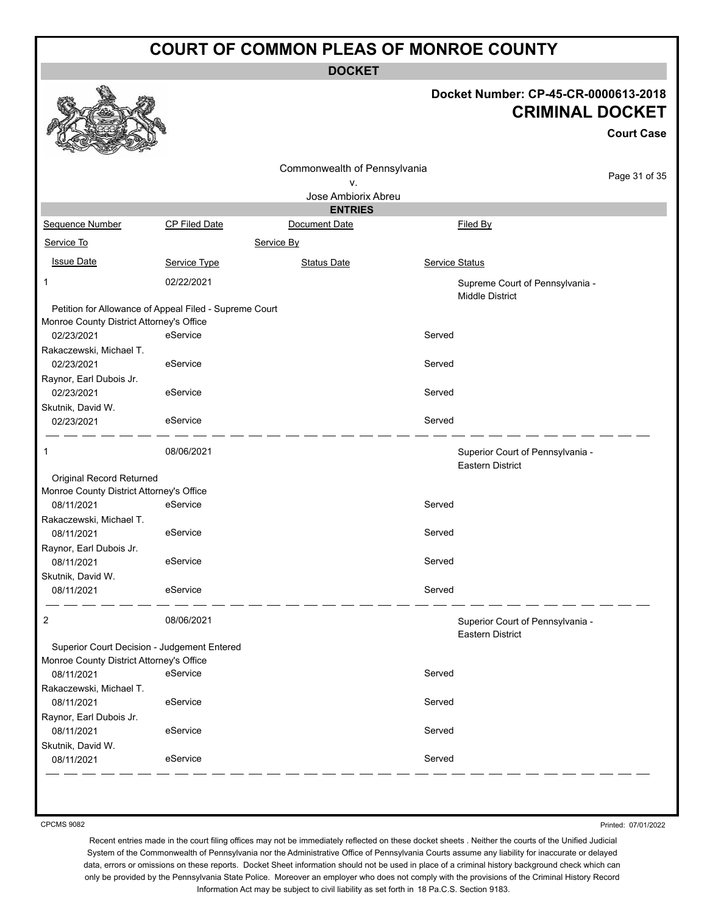**DOCKET**

#### **Docket Number: CP-45-CR-0000613-2018 CRIMINAL DOCKET**

|                                                                                         |                                                        |                                 | Docket Number: CP-45-CR-0000613-2018<br><b>CRIMINAL DOCKET</b> |                   |
|-----------------------------------------------------------------------------------------|--------------------------------------------------------|---------------------------------|----------------------------------------------------------------|-------------------|
|                                                                                         |                                                        |                                 |                                                                | <b>Court Case</b> |
|                                                                                         |                                                        | Commonwealth of Pennsylvania    |                                                                |                   |
|                                                                                         |                                                        | ν.                              |                                                                | Page 31 of 35     |
|                                                                                         |                                                        | Jose Ambiorix Abreu             |                                                                |                   |
| Sequence Number                                                                         | CP Filed Date                                          | <b>ENTRIES</b><br>Document Date | Filed By                                                       |                   |
|                                                                                         |                                                        |                                 |                                                                |                   |
| Service To                                                                              |                                                        | Service By                      |                                                                |                   |
| <b>Issue Date</b>                                                                       | Service Type                                           | <b>Status Date</b>              | Service Status                                                 |                   |
| 1                                                                                       | 02/22/2021                                             |                                 | Supreme Court of Pennsylvania -<br><b>Middle District</b>      |                   |
|                                                                                         | Petition for Allowance of Appeal Filed - Supreme Court |                                 |                                                                |                   |
| Monroe County District Attorney's Office                                                |                                                        |                                 |                                                                |                   |
| 02/23/2021                                                                              | eService                                               |                                 | Served                                                         |                   |
| Rakaczewski, Michael T.                                                                 |                                                        |                                 |                                                                |                   |
| 02/23/2021                                                                              | eService                                               |                                 | Served                                                         |                   |
| Raynor, Earl Dubois Jr.                                                                 |                                                        |                                 | Served                                                         |                   |
| 02/23/2021                                                                              | eService                                               |                                 |                                                                |                   |
| Skutnik, David W.<br>02/23/2021                                                         | eService                                               |                                 | Served                                                         |                   |
| 1                                                                                       | 08/06/2021                                             |                                 | Superior Court of Pennsylvania -<br><b>Eastern District</b>    |                   |
| Original Record Returned                                                                |                                                        |                                 |                                                                |                   |
| Monroe County District Attorney's Office                                                |                                                        |                                 |                                                                |                   |
| 08/11/2021                                                                              | eService                                               |                                 | Served                                                         |                   |
| Rakaczewski, Michael T.                                                                 |                                                        |                                 |                                                                |                   |
| 08/11/2021                                                                              | eService                                               |                                 | Served                                                         |                   |
| Raynor, Earl Dubois Jr.                                                                 |                                                        |                                 |                                                                |                   |
| 08/11/2021                                                                              | eService                                               |                                 | Served                                                         |                   |
| Skutnik, David W.<br>08/11/2021                                                         | eService                                               |                                 | Served                                                         |                   |
|                                                                                         |                                                        |                                 |                                                                |                   |
| 2                                                                                       | 08/06/2021                                             |                                 | Superior Court of Pennsylvania -<br><b>Eastern District</b>    |                   |
| Superior Court Decision - Judgement Entered<br>Monroe County District Attorney's Office |                                                        |                                 |                                                                |                   |
| 08/11/2021                                                                              | eService                                               |                                 | Served                                                         |                   |
| Rakaczewski, Michael T.                                                                 |                                                        |                                 |                                                                |                   |
| 08/11/2021                                                                              | eService                                               |                                 | Served                                                         |                   |
| Raynor, Earl Dubois Jr.                                                                 |                                                        |                                 |                                                                |                   |
| 08/11/2021                                                                              | eService                                               |                                 | Served                                                         |                   |
| Skutnik, David W.<br>08/11/2021                                                         | eService                                               |                                 | Served                                                         |                   |

CPCMS 9082

Printed: 07/01/2022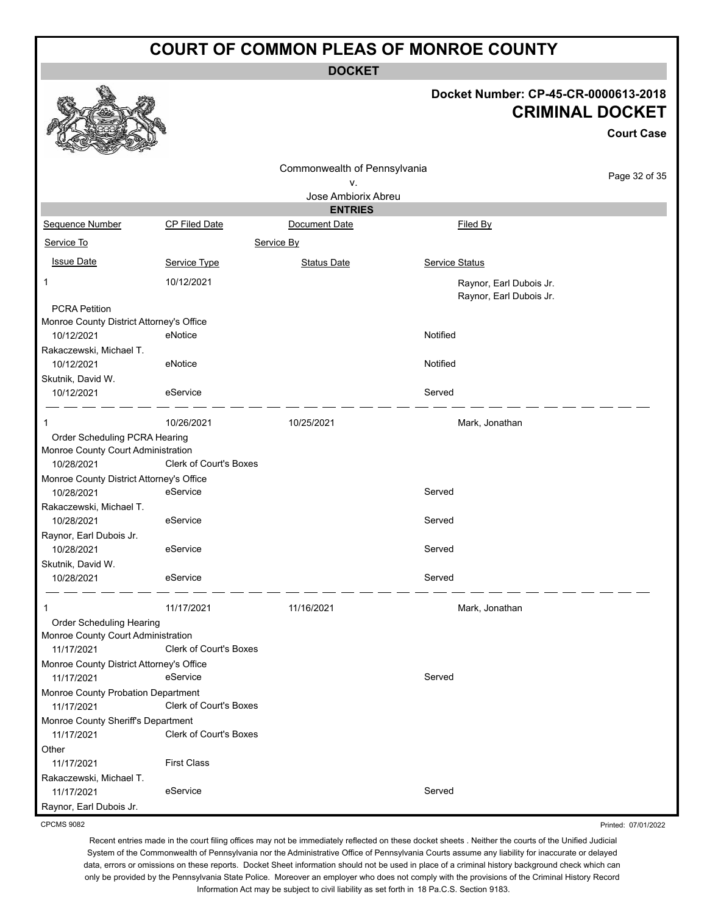**DOCKET**

## **Docket Number: CP-45-CR-0000613-2018 CRIMINAL DOCKET**

**Court Case**

Page 32 of 35

|                                                        |                               | Commonwealth of Pennsylvania |                                                    |  |  |  |
|--------------------------------------------------------|-------------------------------|------------------------------|----------------------------------------------------|--|--|--|
| v.                                                     |                               |                              |                                                    |  |  |  |
|                                                        |                               | Jose Ambiorix Abreu          |                                                    |  |  |  |
|                                                        |                               | <b>ENTRIES</b>               |                                                    |  |  |  |
| Sequence Number                                        | <b>CP Filed Date</b>          | Document Date                | Filed By                                           |  |  |  |
| Service To                                             | Service By                    |                              |                                                    |  |  |  |
| <b>Issue Date</b>                                      | Service Type                  | <b>Status Date</b>           | Service Status                                     |  |  |  |
| 1                                                      | 10/12/2021                    |                              | Raynor, Earl Dubois Jr.<br>Raynor, Earl Dubois Jr. |  |  |  |
| <b>PCRA Petition</b>                                   |                               |                              |                                                    |  |  |  |
| Monroe County District Attorney's Office               |                               |                              |                                                    |  |  |  |
| 10/12/2021                                             | eNotice                       |                              | Notified                                           |  |  |  |
| Rakaczewski, Michael T.<br>10/12/2021                  | eNotice                       |                              | Notified                                           |  |  |  |
| Skutnik, David W.                                      |                               |                              |                                                    |  |  |  |
| 10/12/2021                                             | eService                      |                              | Served                                             |  |  |  |
| 1                                                      | 10/26/2021                    | 10/25/2021                   | Mark, Jonathan                                     |  |  |  |
| Order Scheduling PCRA Hearing                          |                               |                              |                                                    |  |  |  |
| Monroe County Court Administration                     | <b>Clerk of Court's Boxes</b> |                              |                                                    |  |  |  |
| 10/28/2021                                             |                               |                              |                                                    |  |  |  |
| Monroe County District Attorney's Office<br>10/28/2021 | eService                      |                              | Served                                             |  |  |  |
| Rakaczewski, Michael T.                                |                               |                              |                                                    |  |  |  |
| 10/28/2021                                             | eService                      |                              | Served                                             |  |  |  |
| Raynor, Earl Dubois Jr.                                |                               |                              |                                                    |  |  |  |
| 10/28/2021                                             | eService                      |                              | Served                                             |  |  |  |
| Skutnik, David W.                                      |                               |                              |                                                    |  |  |  |
| 10/28/2021                                             | eService                      |                              | Served                                             |  |  |  |
| 1                                                      | 11/17/2021                    | 11/16/2021                   | Mark, Jonathan                                     |  |  |  |
| Order Scheduling Hearing                               |                               |                              |                                                    |  |  |  |
| Monroe County Court Administration                     |                               |                              |                                                    |  |  |  |
| 11/17/2021                                             | Clerk of Court's Boxes        |                              |                                                    |  |  |  |
| Monroe County District Attorney's Office               |                               |                              |                                                    |  |  |  |
| 11/17/2021                                             | eService                      |                              | Served                                             |  |  |  |
| Monroe County Probation Department                     |                               |                              |                                                    |  |  |  |
| 11/17/2021                                             | <b>Clerk of Court's Boxes</b> |                              |                                                    |  |  |  |
| Monroe County Sheriff's Department                     |                               |                              |                                                    |  |  |  |
| 11/17/2021                                             | <b>Clerk of Court's Boxes</b> |                              |                                                    |  |  |  |
| Other                                                  |                               |                              |                                                    |  |  |  |
| 11/17/2021                                             | <b>First Class</b>            |                              |                                                    |  |  |  |
| Rakaczewski, Michael T.                                |                               |                              |                                                    |  |  |  |
| 11/17/2021                                             | eService                      |                              | Served                                             |  |  |  |

Raynor, Earl Dubois Jr. CPCMS 9082

Printed: 07/01/2022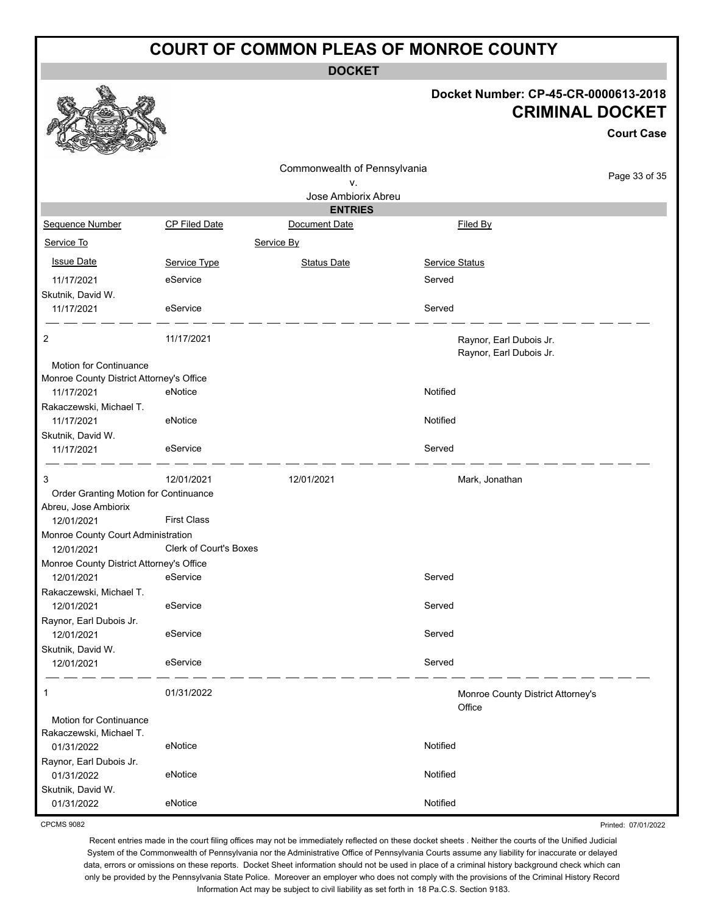**DOCKET**

### **Docket Number: CP-45-CR-0000613-2018 CRIMINAL DOCKET**

**Court Case**

Printed: 07/01/2022

|                                          |                        |                              |                                                    | UUUI LUQSE    |
|------------------------------------------|------------------------|------------------------------|----------------------------------------------------|---------------|
|                                          |                        | Commonwealth of Pennsylvania |                                                    |               |
|                                          |                        | ۷.                           |                                                    | Page 33 of 35 |
|                                          |                        | Jose Ambiorix Abreu          |                                                    |               |
|                                          |                        | <b>ENTRIES</b>               |                                                    |               |
| Sequence Number                          | <b>CP Filed Date</b>   | Document Date                | Filed By                                           |               |
| Service To                               |                        | Service By                   |                                                    |               |
| <b>Issue Date</b>                        | Service Type           | <b>Status Date</b>           | <b>Service Status</b>                              |               |
| 11/17/2021                               | eService               |                              | Served                                             |               |
| Skutnik, David W.                        |                        |                              |                                                    |               |
| 11/17/2021                               | eService               |                              | Served                                             |               |
| 2                                        | 11/17/2021             |                              | Raynor, Earl Dubois Jr.<br>Raynor, Earl Dubois Jr. |               |
| <b>Motion for Continuance</b>            |                        |                              |                                                    |               |
| Monroe County District Attorney's Office |                        |                              |                                                    |               |
| 11/17/2021                               | eNotice                |                              | Notified                                           |               |
| Rakaczewski, Michael T.                  |                        |                              |                                                    |               |
| 11/17/2021                               | eNotice                |                              | Notified                                           |               |
| Skutnik, David W.                        |                        |                              |                                                    |               |
| 11/17/2021                               | eService               |                              | Served                                             |               |
| 3                                        | 12/01/2021             | 12/01/2021                   | Mark, Jonathan                                     |               |
| Order Granting Motion for Continuance    |                        |                              |                                                    |               |
| Abreu, Jose Ambiorix                     |                        |                              |                                                    |               |
| 12/01/2021                               | <b>First Class</b>     |                              |                                                    |               |
| Monroe County Court Administration       |                        |                              |                                                    |               |
| 12/01/2021                               | Clerk of Court's Boxes |                              |                                                    |               |
| Monroe County District Attorney's Office |                        |                              |                                                    |               |
| 12/01/2021                               | eService               |                              | Served                                             |               |
| Rakaczewski, Michael T.                  |                        |                              |                                                    |               |
| 12/01/2021                               | eService               |                              | Served                                             |               |
| Raynor, Earl Dubois Jr.                  |                        |                              |                                                    |               |
| 12/01/2021                               | eService               |                              | Served                                             |               |
| Skutnik, David W.                        |                        |                              |                                                    |               |
| 12/01/2021                               | eService               |                              | Served                                             |               |
| 1                                        | 01/31/2022             |                              | Monroe County District Attorney's<br>Office        |               |
| Motion for Continuance                   |                        |                              |                                                    |               |
| Rakaczewski, Michael T.                  |                        |                              |                                                    |               |
| 01/31/2022                               | eNotice                |                              | Notified                                           |               |
| Raynor, Earl Dubois Jr.                  |                        |                              |                                                    |               |
| 01/31/2022                               | eNotice                |                              | Notified                                           |               |
| Skutnik, David W.                        |                        |                              |                                                    |               |
| 01/31/2022                               | eNotice                |                              | Notified                                           |               |

CPCMS 9082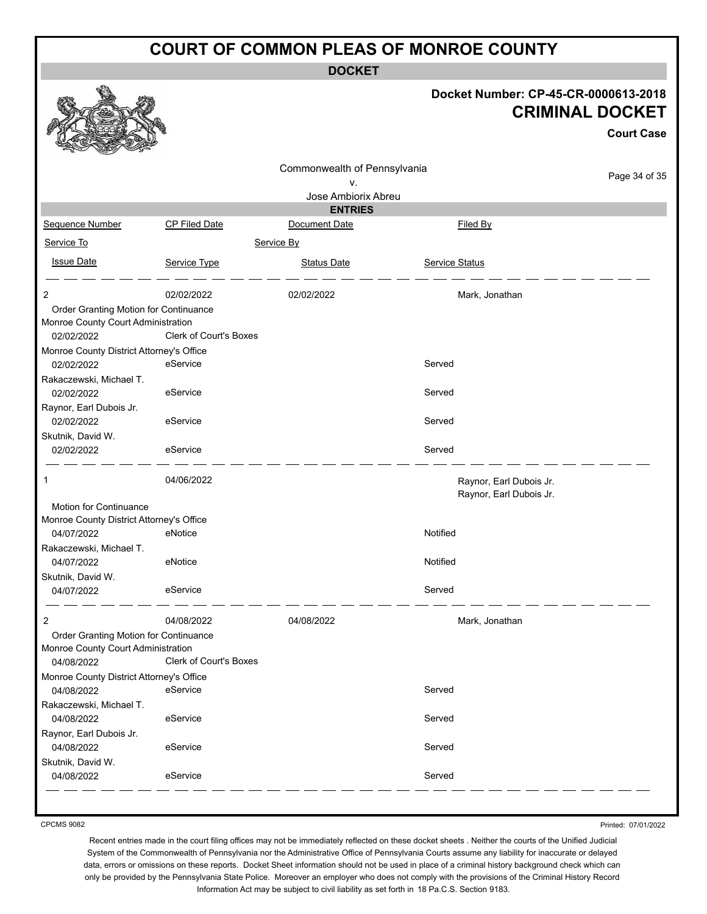**DOCKET**

|                                                                             |                               |                              |                | Docket Number: CP-45-CR-0000613-2018<br><b>CRIMINAL DOCKET</b><br><b>Court Case</b> |
|-----------------------------------------------------------------------------|-------------------------------|------------------------------|----------------|-------------------------------------------------------------------------------------|
|                                                                             |                               | Commonwealth of Pennsylvania |                | Page 34 of 35                                                                       |
|                                                                             |                               | ٧.                           |                |                                                                                     |
|                                                                             |                               | Jose Ambiorix Abreu          |                |                                                                                     |
|                                                                             |                               | <b>ENTRIES</b>               |                |                                                                                     |
| Sequence Number                                                             | CP Filed Date                 | Document Date                | Filed By       |                                                                                     |
| Service To                                                                  |                               | Service By                   |                |                                                                                     |
| <b>Issue Date</b>                                                           | Service Type                  | <b>Status Date</b>           | Service Status |                                                                                     |
| 2                                                                           | 02/02/2022                    | 02/02/2022                   | Mark, Jonathan |                                                                                     |
| Order Granting Motion for Continuance                                       |                               |                              |                |                                                                                     |
| Monroe County Court Administration                                          |                               |                              |                |                                                                                     |
| 02/02/2022                                                                  | <b>Clerk of Court's Boxes</b> |                              |                |                                                                                     |
| Monroe County District Attorney's Office                                    | eService                      |                              | Served         |                                                                                     |
| 02/02/2022                                                                  |                               |                              |                |                                                                                     |
| Rakaczewski, Michael T.<br>02/02/2022                                       | eService                      |                              | Served         |                                                                                     |
| Raynor, Earl Dubois Jr.                                                     |                               |                              |                |                                                                                     |
| 02/02/2022                                                                  | eService                      |                              | Served         |                                                                                     |
| Skutnik, David W.                                                           |                               |                              |                |                                                                                     |
| 02/02/2022                                                                  | eService                      |                              | Served         |                                                                                     |
| 1                                                                           | 04/06/2022                    |                              |                | Raynor, Earl Dubois Jr.<br>Raynor, Earl Dubois Jr.                                  |
| Motion for Continuance<br>Monroe County District Attorney's Office          |                               |                              |                |                                                                                     |
| 04/07/2022                                                                  | eNotice                       |                              | Notified       |                                                                                     |
| Rakaczewski, Michael T.                                                     |                               |                              |                |                                                                                     |
| 04/07/2022                                                                  | eNotice                       |                              | Notified       |                                                                                     |
| Skutnik, David W.                                                           |                               |                              |                |                                                                                     |
| 04/07/2022                                                                  | eService                      |                              | Served         |                                                                                     |
| 2                                                                           | 04/08/2022                    | 04/08/2022                   | Mark, Jonathan |                                                                                     |
| Order Granting Motion for Continuance<br>Monroe County Court Administration |                               |                              |                |                                                                                     |
| 04/08/2022                                                                  | <b>Clerk of Court's Boxes</b> |                              |                |                                                                                     |
| Monroe County District Attorney's Office                                    |                               |                              |                |                                                                                     |
| 04/08/2022                                                                  | eService                      |                              | Served         |                                                                                     |
| Rakaczewski, Michael T.                                                     |                               |                              |                |                                                                                     |
| 04/08/2022<br>Raynor, Earl Dubois Jr.                                       | eService                      |                              | Served         |                                                                                     |
| 04/08/2022                                                                  | eService                      |                              | Served         |                                                                                     |
| Skutnik, David W.                                                           |                               |                              |                |                                                                                     |
| 04/08/2022                                                                  | eService                      |                              | Served         |                                                                                     |
|                                                                             |                               |                              |                |                                                                                     |

CPCMS 9082

Printed: 07/01/2022